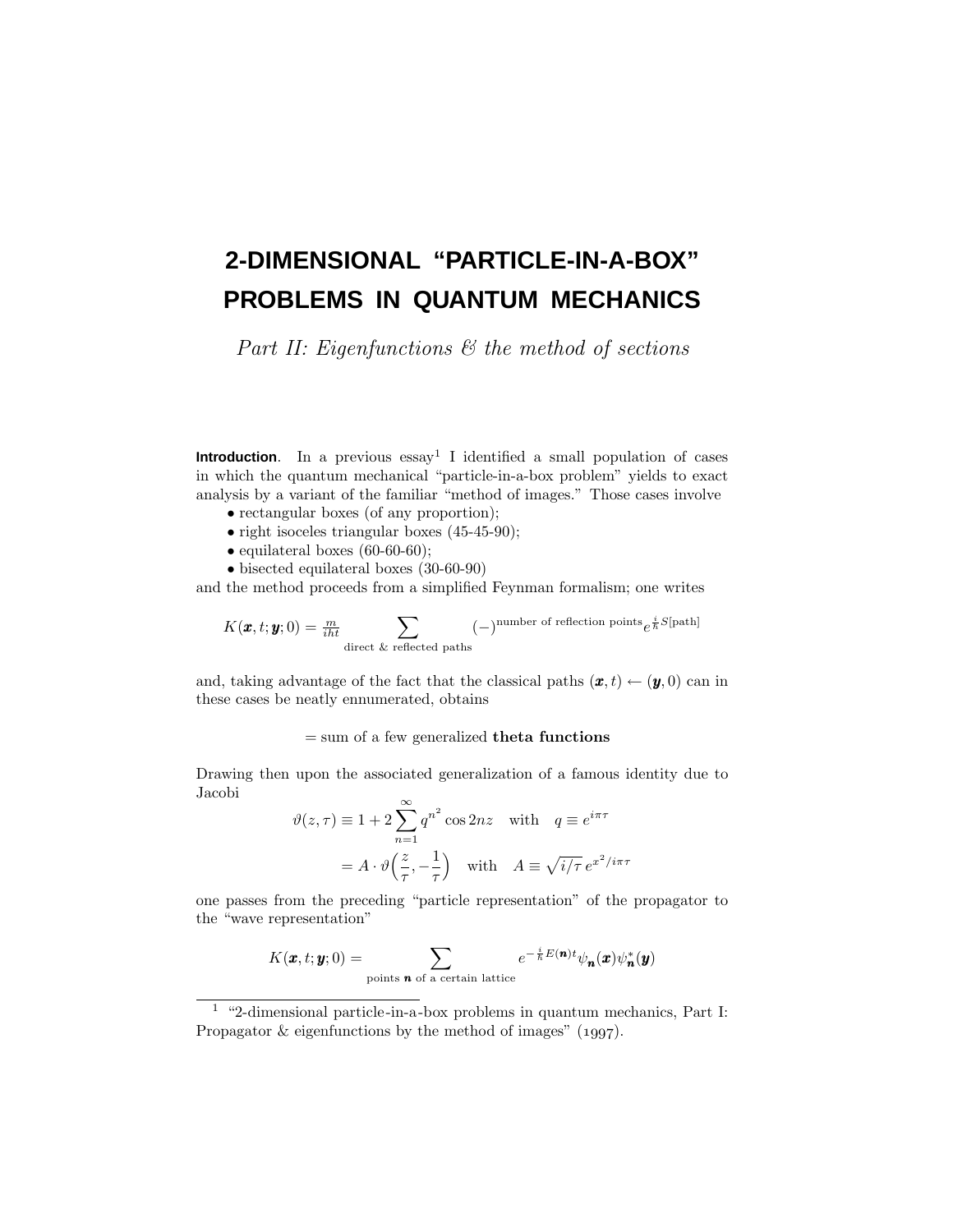# **2-DIMENSIONAL "PARTICLE-IN-A-BOX" PROBLEMS IN QUANTUM MECHANICS**

Part II: Eigenfunctions  $\mathcal{C}$  the method of sections

**Introduction**. In a previous  $essay<sup>1</sup>$  I identified a small population of cases in which the quantum mechanical "particle-in-a-box problem" yields to exact analysis by a variant of the familiar "method of images." Those cases involve

- rectangular boxes (of any proportion);
- right isoceles triangular boxes (45-45-90);
- equilateral boxes  $(60-60-60)$ ;
- bisected equilateral boxes (30-60-90)

and the method proceeds from a simplified Feynman formalism; one writes

$$
K(\pmb{x},t;\pmb{y};0)=\tfrac{m}{i\hbar t}\sum_{\text{direct &\pmb{x}~reflected~paths}}(-)^{\text{number of reflection points}}e^{\frac{i}{\hbar}S[\text{path}]}
$$

and, taking advantage of the fact that the classical paths  $(\mathbf{x}, t) \leftarrow (\mathbf{y}, 0)$  can in these cases be neatly ennumerated, obtains

= sum of a few generalized **theta functions**

Drawing then upon the associated generalization of a famous identity due to Jacobi

$$
\vartheta(z,\tau) \equiv 1 + 2\sum_{n=1}^{\infty} q^{n^2} \cos 2nz \quad \text{with} \quad q \equiv e^{i\pi\tau}
$$

$$
= A \cdot \vartheta\left(\frac{z}{\tau}, -\frac{1}{\tau}\right) \quad \text{with} \quad A \equiv \sqrt{i/\tau} e^{x^2/i\pi\tau}
$$

one passes from the preceding "particle representation" of the propagator to the "wave representation"

$$
K(\pmb{x},t;\pmb{y};0)=\sum_{\text{points $\pmb{n}$ of a certain lattice}}e^{-\frac{i}{\hbar}E(\pmb{n})t}\psi_{\pmb{n}}(\pmb{x})\psi_{\pmb{n}}^*(\pmb{y})
$$

 $1$  "2-dimensional particle-in-a-box problems in quantum mechanics, Part I: Propagator & eigenfunctions by the method of images"  $(1997)$ .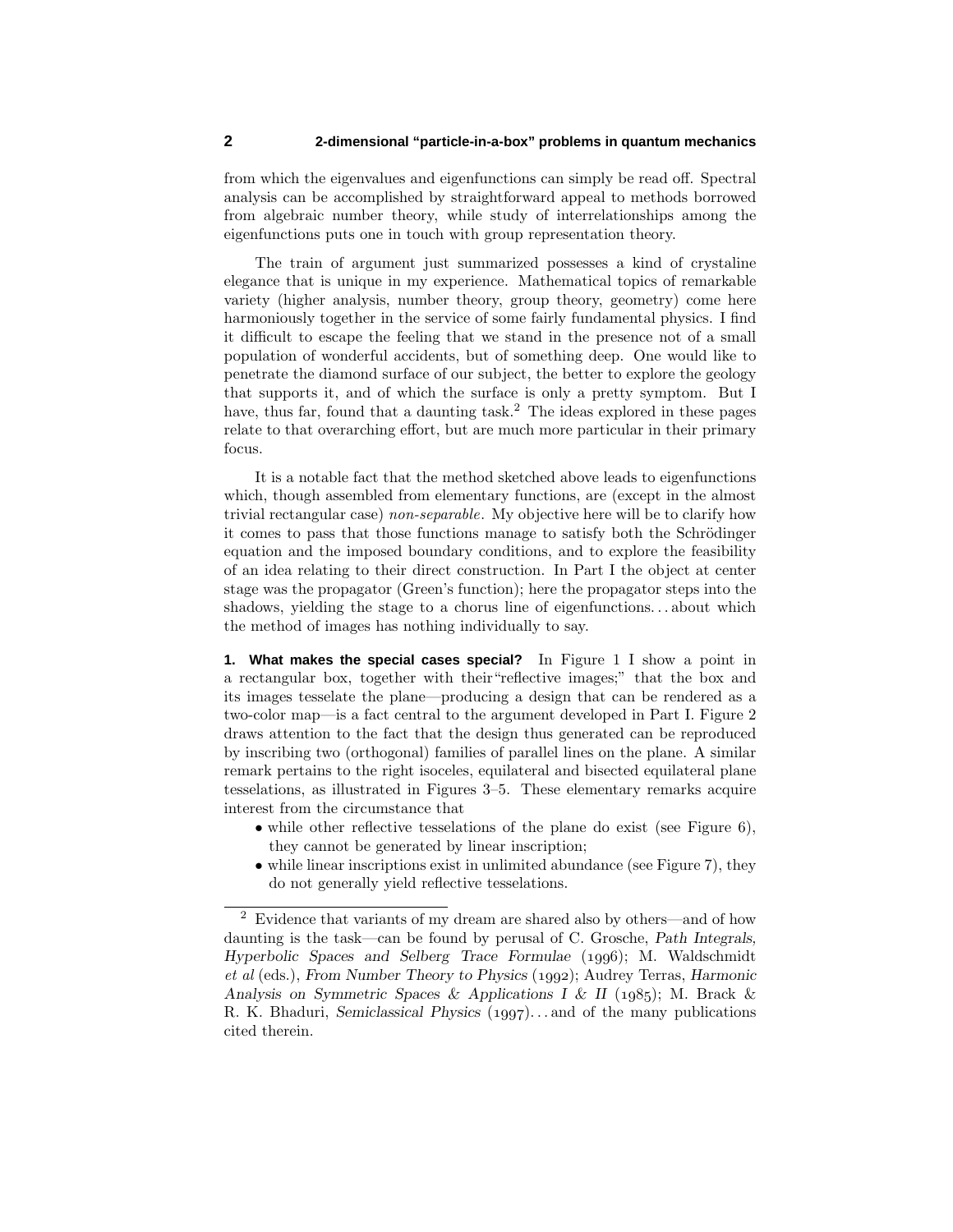from which the eigenvalues and eigenfunctions can simply be read off. Spectral analysis can be accomplished by straightforward appeal to methods borrowed from algebraic number theory, while study of interrelationships among the eigenfunctions puts one in touch with group representation theory.

The train of argument just summarized possesses a kind of crystaline elegance that is unique in my experience. Mathematical topics of remarkable variety (higher analysis, number theory, group theory, geometry) come here harmoniously together in the service of some fairly fundamental physics. I find it difficult to escape the feeling that we stand in the presence not of a small population of wonderful accidents, but of something deep. One would like to penetrate the diamond surface of our subject, the better to explore the geology that supports it, and of which the surface is only a pretty symptom. But I have, thus far, found that a daunting task.<sup>2</sup> The ideas explored in these pages relate to that overarching effort, but are much more particular in their primary focus.

It is a notable fact that the method sketched above leads to eigenfunctions which, though assembled from elementary functions, are (except in the almost trivial rectangular case) non-separable. My objective here will be to clarify how it comes to pass that those functions manage to satisfy both the Schrödinger equation and the imposed boundary conditions, and to explore the feasibility of an idea relating to their direct construction. In Part I the object at center stage was the propagator (Green's function); here the propagator steps into the shadows, yielding the stage to a chorus line of eigenfunctions*...* about which the method of images has nothing individually to say.

**1. What makes the special cases special?** In Figure 1 I show a point in a rectangular box, together with their"reflective images;" that the box and its images tesselate the plane—producing a design that can be rendered as a two-color map—is a fact central to the argument developed in Part I. Figure 2 draws attention to the fact that the design thus generated can be reproduced by inscribing two (orthogonal) families of parallel lines on the plane. A similar remark pertains to the right isoceles, equilateral and bisected equilateral plane tesselations, as illustrated in Figures 3–5. These elementary remarks acquire interest from the circumstance that

- while other reflective tesselations of the plane do exist (see Figure 6), they cannot be generated by linear inscription;
- while linear inscriptions exist in unlimited abundance (see Figure 7), they do not generally yield reflective tesselations.

<sup>2</sup> Evidence that variants of my dream are shared also by others—and of how daunting is the task—can be found by perusal of C. Grosche, *Path Integrals, Hyperbolic Spaces and Selberg Trace Formulae* (1996); M. Waldschmidt et al (eds.), *From Number Theory to Physics* (); Audrey Terras, *Harmonic* Analysis on Symmetric Spaces & Applications I & II ( $1985$ ); M. Brack & R. K. Bhaduri, *Semiclassical Physics* (1997)...and of the many publications cited therein.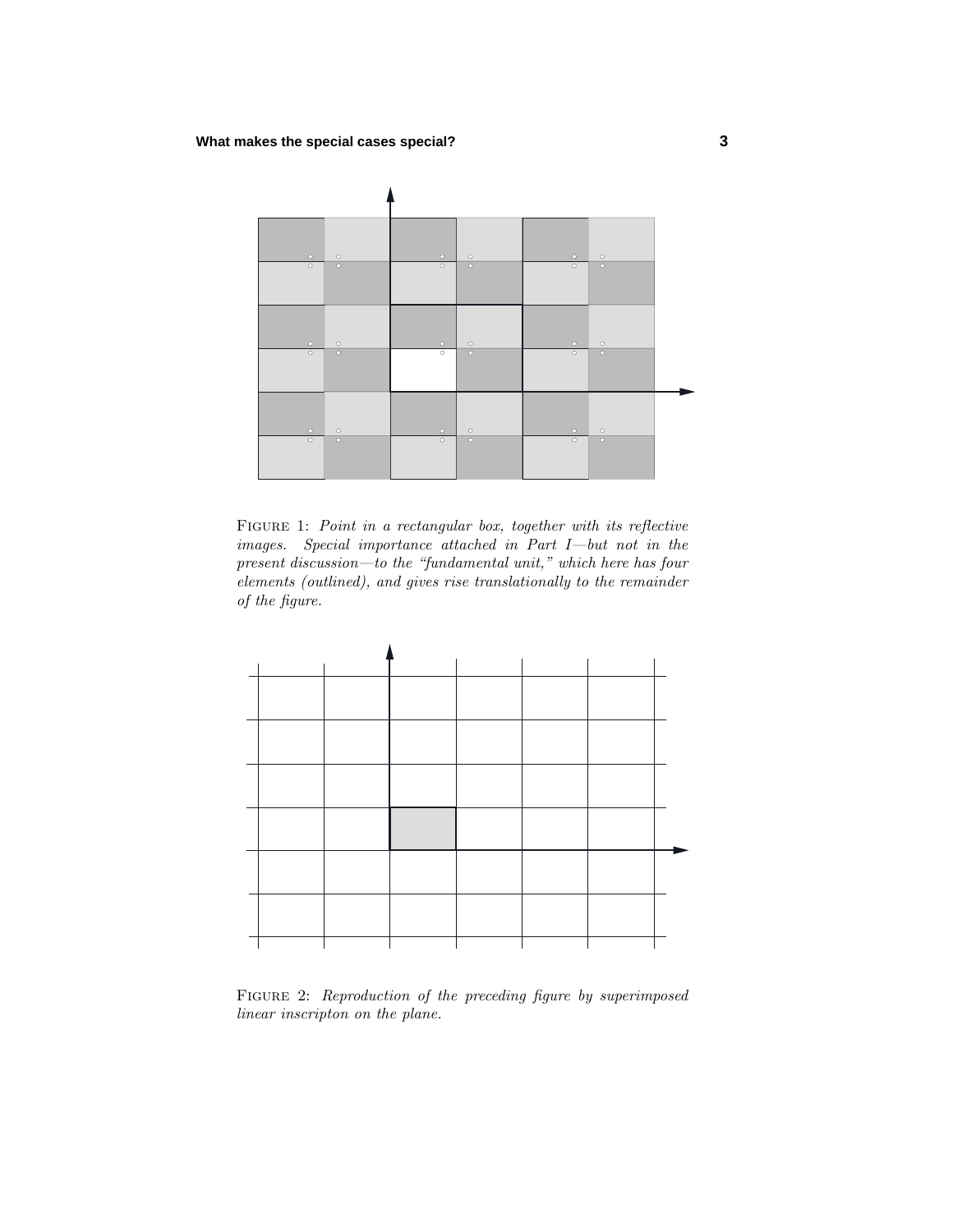

FIGURE 1: Point in a rectangular box, together with its reflective images. Special importance attached in Part I—but not in the  $present\ discussion to\ the\ "fundamental\ unit,"\ which\ here\ has\ four$ elements (outlined), and gives rise translationally to the remainder of the figure.



Figure 2: Reproduction of the preceding figure by superimposed linear inscripton on the plane.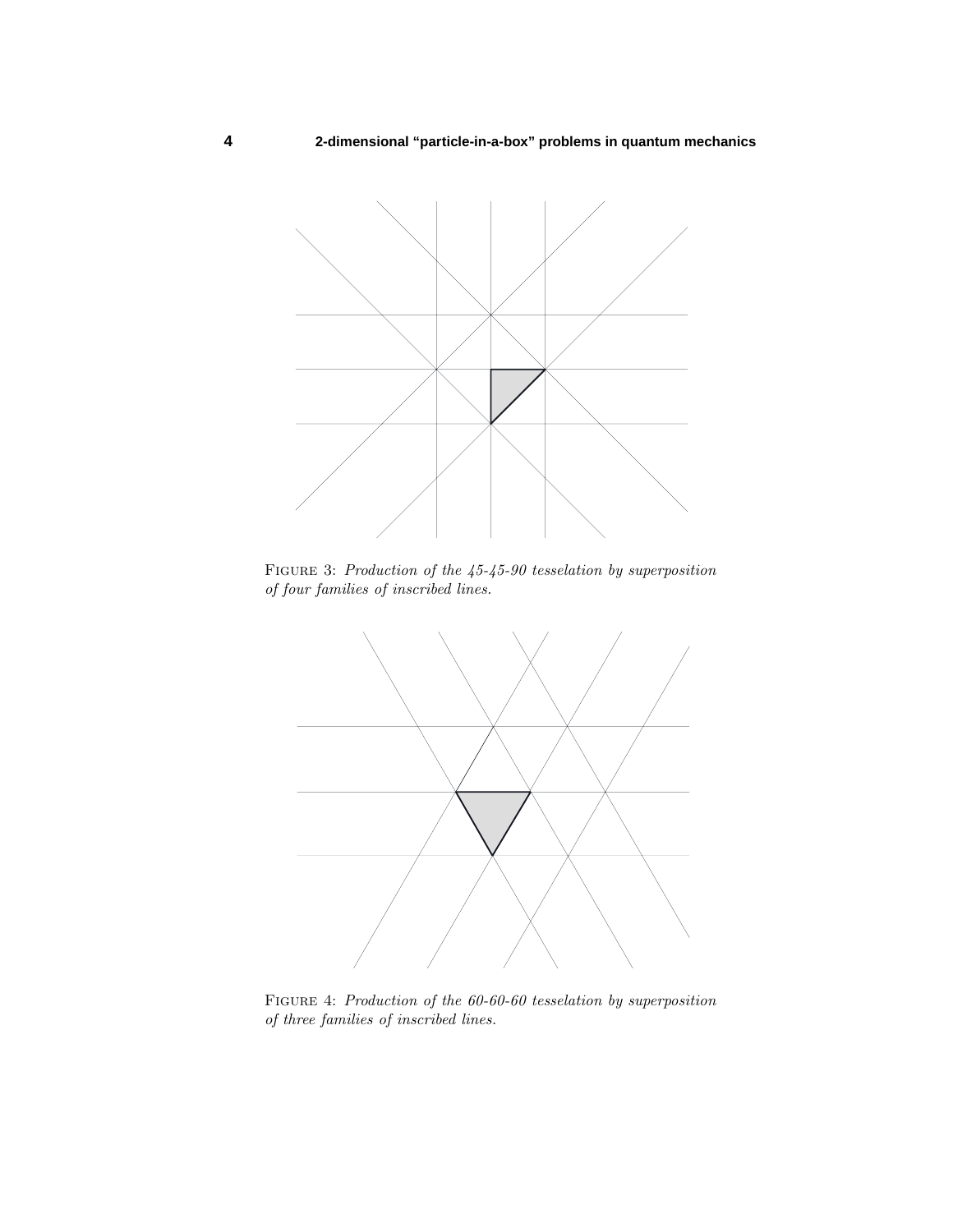

Figure 3: Production of the 45-45-90 tesselation by superposition of four families of inscribed lines.



Figure 4: Production of the 60-60-60 tesselation by superposition of three families of inscribed lines.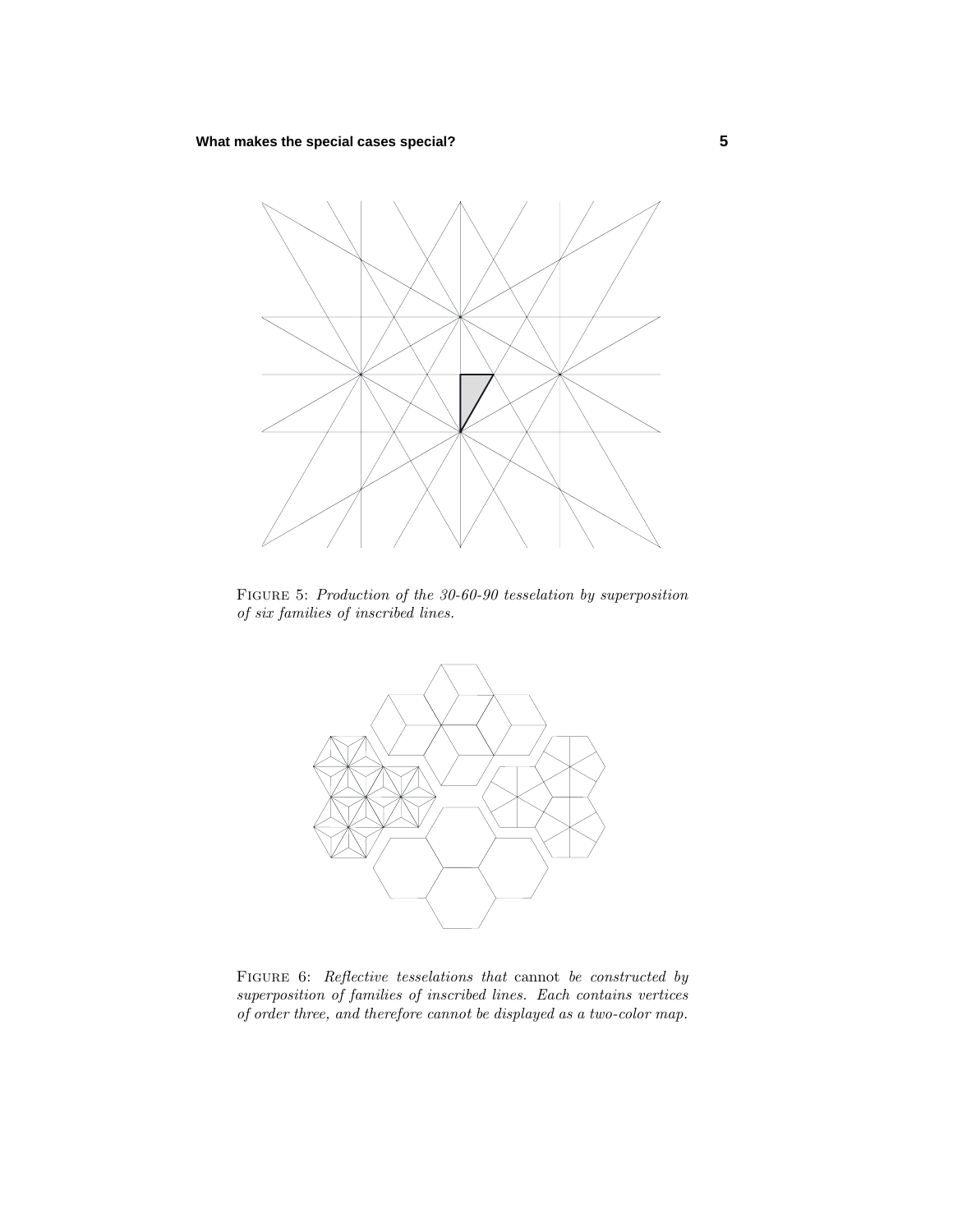

Figure 5: Production of the 30-60-90 tesselation by superposition of six families of inscribed lines.



FIGURE 6: Reflective tesselations that cannot be constructed by superposition of families of inscribed lines. Each contains vertices of order three, and therefore cannot be displayed as a two-color map.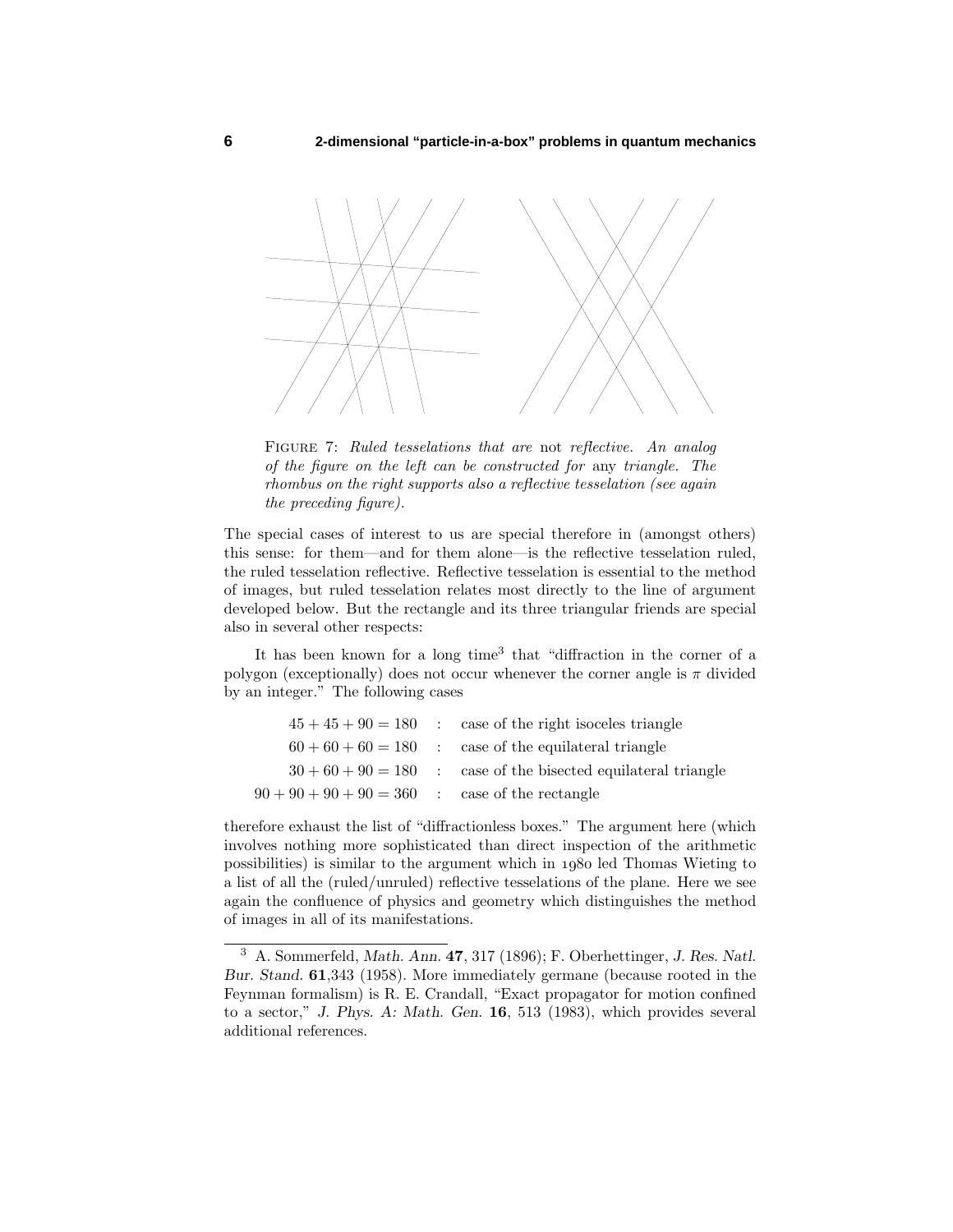

FIGURE 7: Ruled tesselations that are not reflective. An analog of the figure on the left can be constructed for any triangle. The rhombus on the right supports also a reflective tesselation (see again the preceding figure).

The special cases of interest to us are special therefore in (amongst others) this sense: for them—and for them alone—is the reflective tesselation ruled, the ruled tesselation reflective. Reflective tesselation is essential to the method of images, but ruled tesselation relates most directly to the line of argument developed below. But the rectangle and its three triangular friends are special also in several other respects:

It has been known for a long time<sup>3</sup> that "diffraction in the corner of a polygon (exceptionally) does not occur whenever the corner angle is  $\pi$  divided by an integer." The following cases

|                                                   | $45 + 45 + 90 = 180$ : case of the right isoceles triangle       |
|---------------------------------------------------|------------------------------------------------------------------|
|                                                   | $60 + 60 + 60 = 180$ : case of the equilateral triangle          |
|                                                   | $30 + 60 + 90 = 180$ : case of the bisected equilateral triangle |
| $90 + 90 + 90 + 90 = 360$ : case of the rectangle |                                                                  |

therefore exhaust the list of "diffractionless boxes." The argument here (which involves nothing more sophisticated than direct inspection of the arithmetic possibilities) is similar to the argument which in 1980 led Thomas Wieting to a list of all the (ruled/unruled) reflective tesselations of the plane. Here we see again the confluence of physics and geometry which distinguishes the method of images in all of its manifestations.

<sup>3</sup> A. Sommerfeld, *Math. Ann.* **47**, 317 (1896); F. Oberhettinger, *J. Res. Natl. Bur. Stand.* **61**,343 (1958). More immediately germane (because rooted in the Feynman formalism) is R. E. Crandall, "Exact propagator for motion confined to a sector," *J. Phys. A: Math. Gen.* **16**, 513 (1983), which provides several additional references.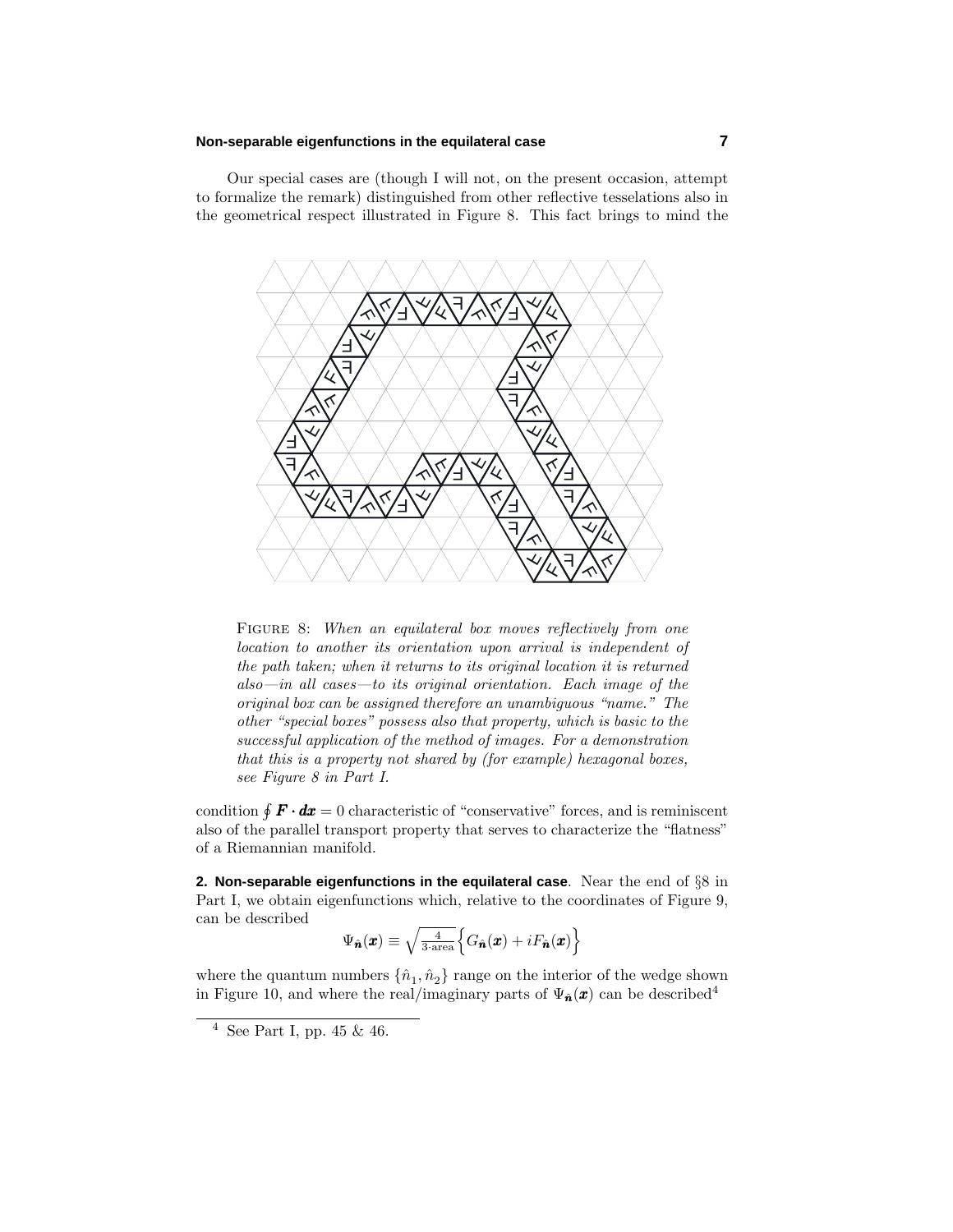### **Non-separable eigenfunctions in the equilateral case 7**

Our special cases are (though I will not, on the present occasion, attempt to formalize the remark) distinguished from other reflective tesselations also in the geometrical respect illustrated in Figure 8. This fact brings to mind the



FIGURE 8: When an equilateral box moves reflectively from one location to another its orientation upon arrival is independent of the path taken; when it returns to its original location it is returned  $also$ —in all cases—to its original orientation. Each image of the original box can be assigned therefore an unambiguous "name."The other "special boxes"possess also that property, which is basic to the successful application of the method of images. For a demonstration that this is a property not shared by (for example) hexagonal boxes, see Figure 8 in Part I.

condition  $\oint \mathbf{F} \cdot d\mathbf{x} = 0$  characteristic of "conservative" forces, and is reminiscent also of the parallel transport property that serves to characterize the "flatness" of a Riemannian manifold.

**2. Non-separable eigenfunctions in the equilateral case**. Near the end of §8 in Part I, we obtain eigenfunctions which, relative to the coordinates of Figure 9, can be described

$$
\Psi_{\hat{\boldsymbol{n}}}(\boldsymbol{x}) \equiv \sqrt{\tfrac{4}{3 \cdot \text{area}}} \Big\{ G_{\hat{\boldsymbol{n}}}(\boldsymbol{x}) + i F_{\hat{\boldsymbol{n}}}(\boldsymbol{x}) \Big\}
$$

where the quantum numbers  $\{\hat{n}_1, \hat{n}_2\}$  range on the interior of the wedge shown in Figure 10, and where the real/imaginary parts of  $\Psi_{\hat{n}}(x)$  can be described<sup>4</sup>

<sup>&</sup>lt;sup>4</sup> See Part I, pp. 45 & 46.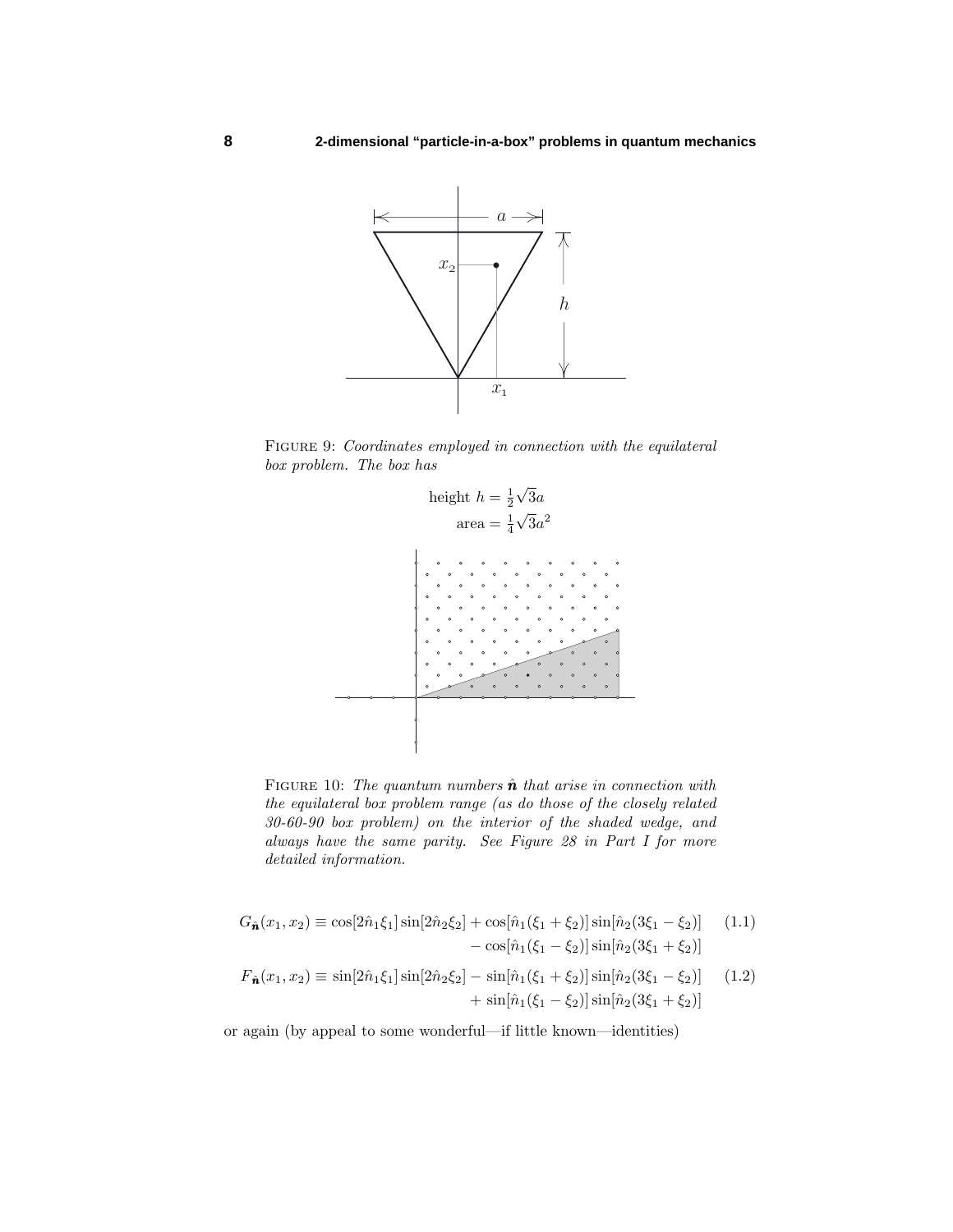

FIGURE 9: Coordinates employed in connection with the equilateral box problem. The box has



FIGURE 10: The quantum numbers  $\hat{\boldsymbol{n}}$  that arise in connection with the equilateral box problem range (as do those of the closely related 30-60-90 box problem) on the interior of the shaded wedge, and always have the same parity. See Figure 28 in Part I for more detailed information.

 $G_{\hat{n}}(x_1, x_2) \equiv \cos[2\hat{n}_1\xi_1] \sin[2\hat{n}_2\xi_2] + \cos[\hat{n}_1(\xi_1 + \xi_2)] \sin[\hat{n}_2(3\xi_1 - \xi_2)]$  (1*.*1)  $-\cos[\hat{n}_1(\xi_1 - \xi_2)]\sin[\hat{n}_2(3\xi_1 + \xi_2)]$ 

$$
F_{\hat{n}}(x_1, x_2) \equiv \sin[2\hat{n}_1\xi_1] \sin[2\hat{n}_2\xi_2] - \sin[\hat{n}_1(\xi_1 + \xi_2)] \sin[\hat{n}_2(3\xi_1 - \xi_2)] \quad (1.2)
$$

$$
+ \sin[\hat{n}_1(\xi_1 - \xi_2)] \sin[\hat{n}_2(3\xi_1 + \xi_2)]
$$

or again (by appeal to some wonderful—if little known—identities)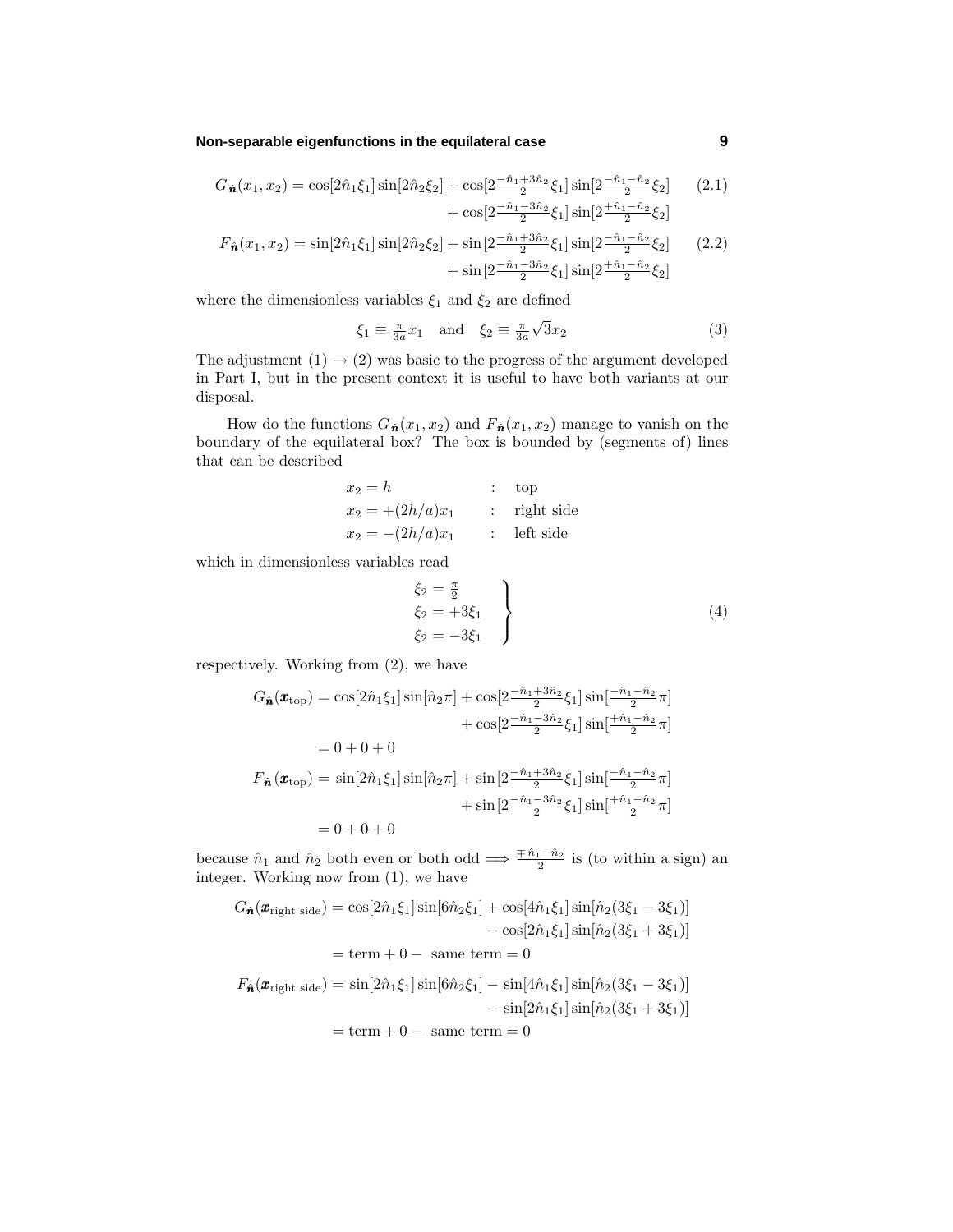### **Non-separable eigenfunctions in the equilateral case 9**

$$
G_{\hat{n}}(x_1, x_2) = \cos[2\hat{n}_1 \xi_1] \sin[2\hat{n}_2 \xi_2] + \cos[2\frac{-\hat{n}_1 + 3\hat{n}_2}{2} \xi_1] \sin[2\frac{-\hat{n}_1 - \hat{n}_2}{2} \xi_2]
$$
(2.1)  
+ 
$$
\cos[2\frac{-\hat{n}_1 - 3\hat{n}_2}{2} \xi_1] \sin[2\frac{+\hat{n}_1 - \hat{n}_2}{2} \xi_2]
$$

$$
F_{\hat{n}}(x_1, x_2) = \sin[2\hat{n}_1 \xi_1] \sin[2\hat{n}_2 \xi_2] + \sin[2\frac{-\hat{n}_1 + 3\hat{n}_2}{2} \xi_1] \sin[2\frac{-\hat{n}_1 - \hat{n}_2}{2} \xi_2]
$$
(2.2)  
+  $\sin[2\frac{-\hat{n}_1 - 3\hat{n}_2}{2} \xi_1] \sin[2\frac{+\hat{n}_1 - \hat{n}_2}{2} \xi_2]$ 

where the dimensionless variables  $\xi_1$  and<br>  $\xi_2$  are defined

$$
\xi_1 \equiv \frac{\pi}{3a} x_1 \quad \text{and} \quad \xi_2 \equiv \frac{\pi}{3a} \sqrt{3} x_2 \tag{3}
$$

The adjustment  $(1) \rightarrow (2)$  was basic to the progress of the argument developed in Part I, but in the present context it is useful to have both variants at our disposal.

How do the functions  $G_{\hat{\mathbf{n}}}(x_1, x_2)$  and  $F_{\hat{\mathbf{n}}}(x_1, x_2)$  manage to vanish on the boundary of the equilateral box? The box is bounded by (segments of) lines that can be described

$$
x_2 = h
$$
 : top  
\n
$$
x_2 = +(2h/a)x_1
$$
 : right side  
\n
$$
x_2 = -(2h/a)x_1
$$
 : left side

which in dimensionless variables read

$$
\begin{aligned}\n\xi_2 &= \frac{\pi}{2} \\
\xi_2 &= +3\xi_1 \\
\xi_2 &= -3\xi_1\n\end{aligned}
$$
\n(4)

respectively. Working from (2), we have

$$
G_{\hat{n}}(\boldsymbol{x}_{\text{top}}) = \cos[2\hat{n}_1\xi_1] \sin[\hat{n}_2\pi] + \cos[2\frac{-\hat{n}_1 + 3\hat{n}_2}{2}\xi_1] \sin[\frac{-\hat{n}_1 - \hat{n}_2}{2}\pi] + \cos[2\frac{-\hat{n}_1 - 3\hat{n}_2}{2}\xi_1] \sin[\frac{+\hat{n}_1 - \hat{n}_2}{2}\pi] = 0 + 0 + 0 F_{\hat{n}}(\boldsymbol{x}_{\text{top}}) = \sin[2\hat{n}_1\xi_1] \sin[\hat{n}_2\pi] + \sin[2\frac{-\hat{n}_1 + 3\hat{n}_2}{2}\xi_1] \sin[\frac{-\hat{n}_1 - \hat{n}_2}{2}\pi] + \sin[2\frac{-\hat{n}_1 - 3\hat{n}_2}{2}\xi_1] \sin[\frac{+\hat{n}_1 - \hat{n}_2}{2}\pi] = 0 + 0 + 0
$$

because  $\hat{n}_1$  and  $\hat{n}_2$  both even or both odd  $\implies \frac{\pm \hat{n}_1 - \hat{n}_2}{2}$  is (to within a sign) an integer. Working now from (1), we have

$$
G_{\hat{n}}(\mathbf{x}_{\text{right side}}) = \cos[2\hat{n}_1\xi_1] \sin[6\hat{n}_2\xi_1] + \cos[4\hat{n}_1\xi_1] \sin[\hat{n}_2(3\xi_1 - 3\xi_1)] - \cos[2\hat{n}_1\xi_1] \sin[\hat{n}_2(3\xi_1 + 3\xi_1)] = \text{term} + 0 - \text{ same term} = 0 F_{\hat{n}}(\mathbf{x}_{\text{right side}}) = \sin[2\hat{n}_1\xi_1] \sin[6\hat{n}_2\xi_1] - \sin[4\hat{n}_1\xi_1] \sin[\hat{n}_2(3\xi_1 - 3\xi_1)] - \sin[2\hat{n}_1\xi_1] \sin[\hat{n}_2(3\xi_1 + 3\xi_1)] = \text{term} + 0 - \text{ same term} = 0
$$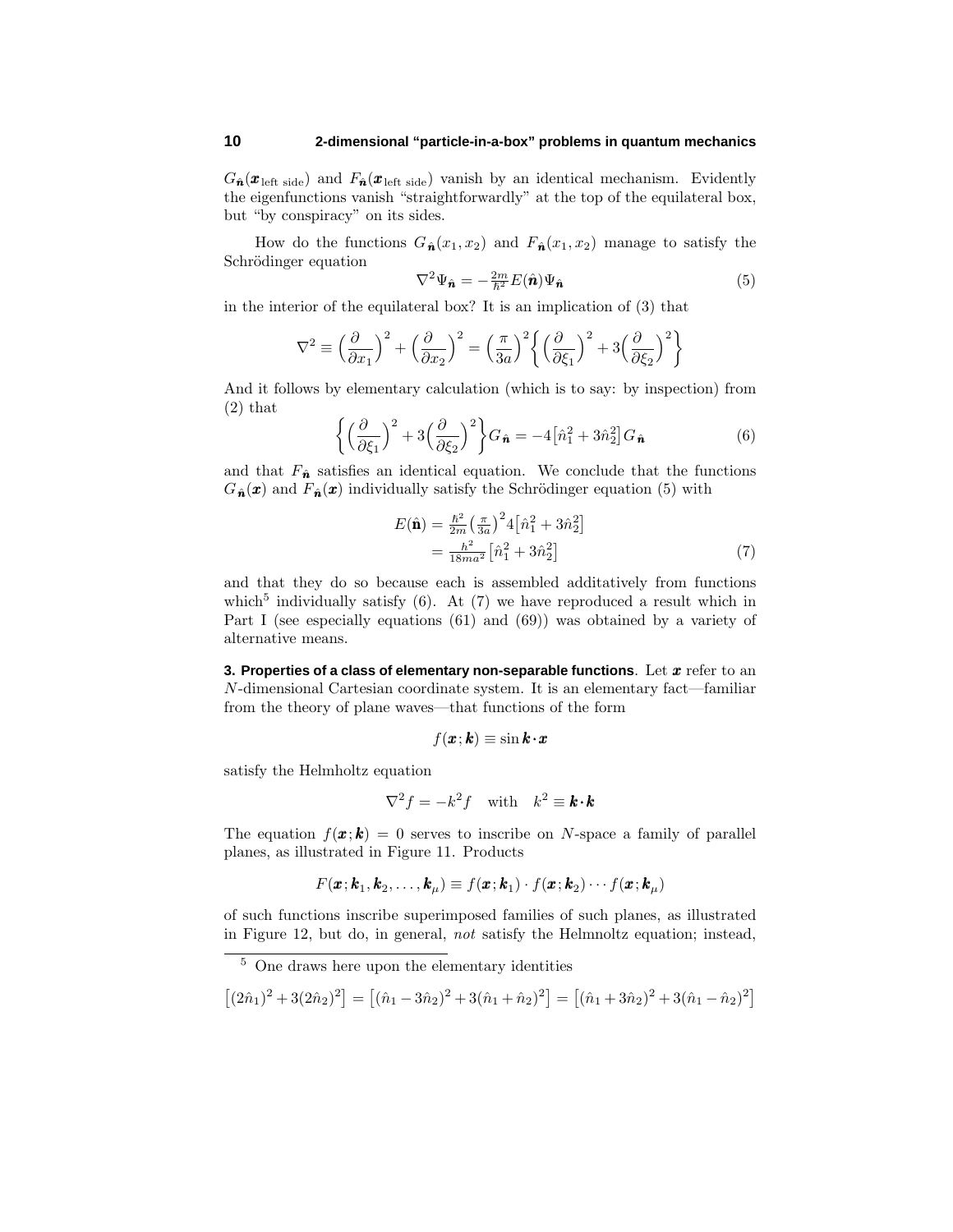$G_{\hat{\boldsymbol{n}}}(\boldsymbol{x}_{\text{left side}})$  and  $F_{\hat{\boldsymbol{n}}}(\boldsymbol{x}_{\text{left side}})$  vanish by an identical mechanism. Evidently the eigenfunctions vanish "straightforwardly" at the top of the equilateral box, but "by conspiracy" on its sides.

How do the functions  $G_{\hat{\mathbf{n}}}(x_1, x_2)$  and  $F_{\hat{\mathbf{n}}}(x_1, x_2)$  manage to satisfy the Schrödinger equation

$$
\nabla^2 \Psi_{\hat{\mathbf{n}}} = -\frac{2m}{\hbar^2} E(\hat{\mathbf{n}}) \Psi_{\hat{\mathbf{n}}} \tag{5}
$$

in the interior of the equilateral box? It is an implication of (3) that

$$
\nabla^2 \equiv \left(\frac{\partial}{\partial x_1}\right)^2 + \left(\frac{\partial}{\partial x_2}\right)^2 = \left(\frac{\pi}{3a}\right)^2 \left\{ \left(\frac{\partial}{\partial \xi_1}\right)^2 + 3\left(\frac{\partial}{\partial \xi_2}\right)^2 \right\}
$$

And it follows by elementary calculation (which is to say: by inspection) from (2) that

$$
\left\{ \left( \frac{\partial}{\partial \xi_1} \right)^2 + 3 \left( \frac{\partial}{\partial \xi_2} \right)^2 \right\} G_{\hat{\mathbf{n}}} = -4 \left[ \hat{n}_1^2 + 3 \hat{n}_2^2 \right] G_{\hat{\mathbf{n}}} \tag{6}
$$

and that  $F_{\hat{n}}$  satisfies an identical equation. We conclude that the functions  $G_{\hat{\boldsymbol{n}}}(x)$  and  $F_{\hat{\boldsymbol{n}}}(x)$  individually satisfy the Schrödinger equation (5) with

$$
E(\hat{\mathbf{n}}) = \frac{\hbar^2}{2m} \left(\frac{\pi}{3a}\right)^2 4 \left[\hat{n}_1^2 + 3\hat{n}_2^2\right] = \frac{\hbar^2}{18ma^2} \left[\hat{n}_1^2 + 3\hat{n}_2^2\right]
$$
(7)

and that they do so because each is assembled additatively from functions which<sup>5</sup> individually satisfy  $(6)$ . At  $(7)$  we have reproduced a result which in Part I (see especially equations (61) and (69)) was obtained by a variety of alternative means.

**3. Properties of a class of elementary non-separable functions**. Let *x* refer to an *N*-dimensional Cartesian coordinate system. It is an elementary fact—familiar from the theory of plane waves—that functions of the form

$$
f(\pmb{x};\pmb{k}) \equiv \sin \pmb{k} \cdot \pmb{x}
$$

satisfy the Helmholtz equation

$$
\nabla^2 f = -k^2 f \quad \text{with} \quad k^2 \equiv \mathbf{k} \cdot \mathbf{k}
$$

The equation  $f(\mathbf{x}; \mathbf{k}) = 0$  serves to inscribe on *N*-space a family of parallel planes, as illustrated in Figure 11. Products

$$
F(\pmb{x}; \pmb{k}_1, \pmb{k}_2, \dots, \pmb{k}_\mu) \equiv f(\pmb{x}; \pmb{k}_1) \cdot f(\pmb{x}; \pmb{k}_2) \cdots f(\pmb{x}; \pmb{k}_\mu)
$$

of such functions inscribe superimposed families of such planes, as illustrated in Figure 12, but do, in general, not satisfy the Helmnoltz equation; instead,

$$
[(2\hat{n}_1)^2 + 3(2\hat{n}_2)^2] = [(\hat{n}_1 - 3\hat{n}_2)^2 + 3(\hat{n}_1 + \hat{n}_2)^2] = [(\hat{n}_1 + 3\hat{n}_2)^2 + 3(\hat{n}_1 - \hat{n}_2)^2]
$$

<sup>5</sup> One draws here upon the elementary identities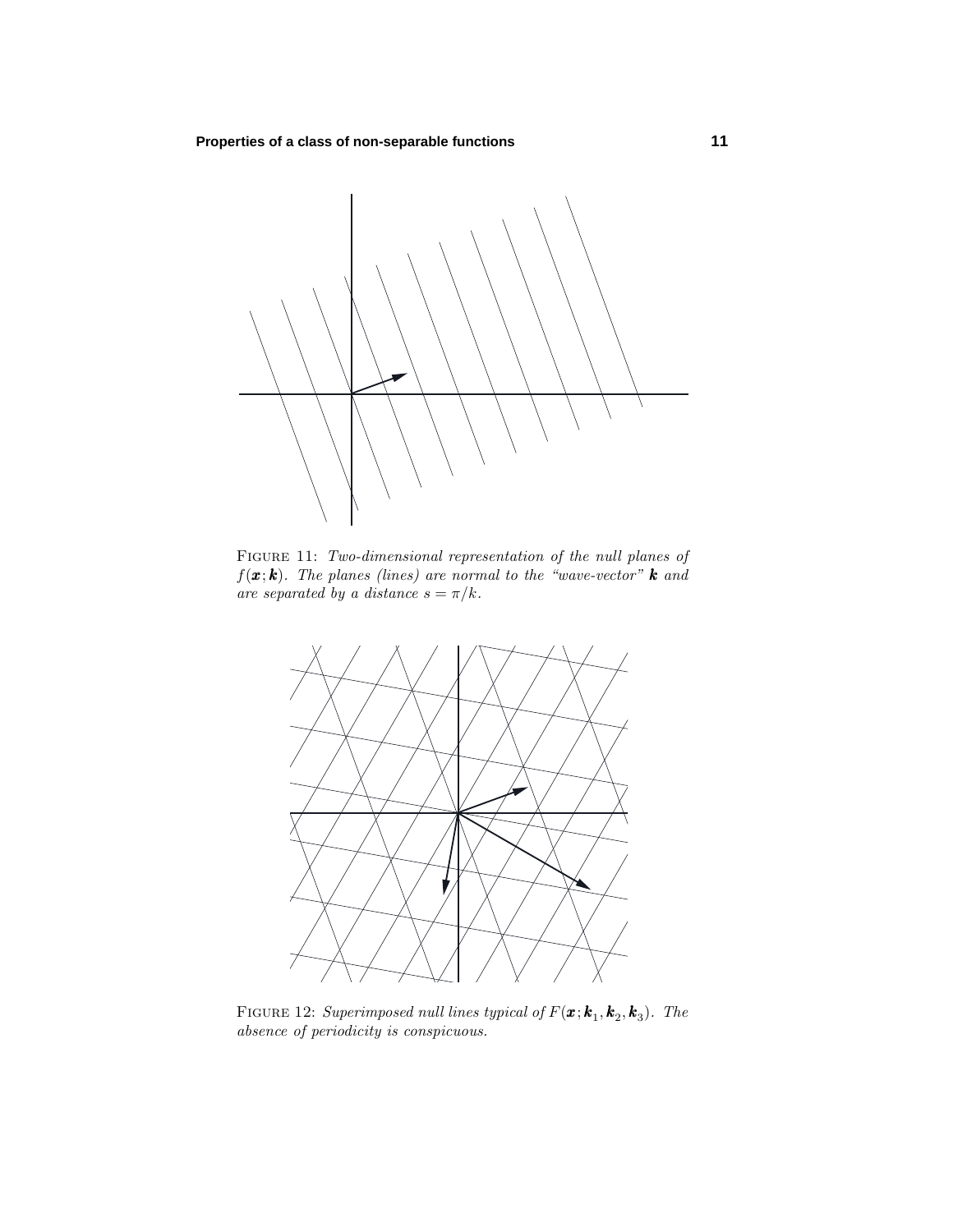

Figure 11: Two-dimensional representation of the null planes of  $f(\mathbf{x}; k)$ . The planes (lines) are normal to the "wave-vector" **k** and are separated by a distance  $s = \pi/k$ .



FIGURE 12: Superimposed null lines typical of  $F(\mathbf{x}; k_1, k_2, k_3)$ . The absence of periodicity is conspicuous.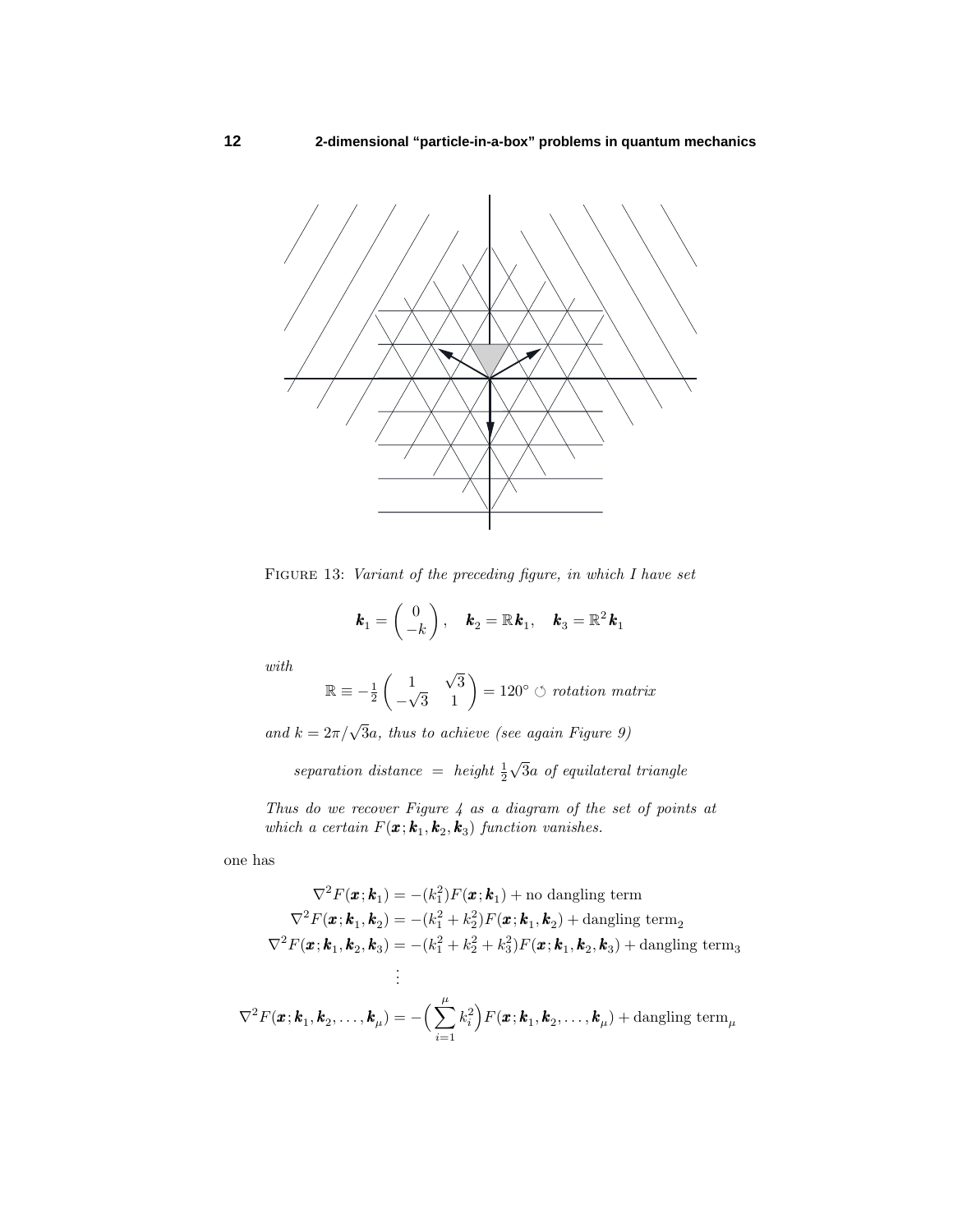

FIGURE 13: Variant of the preceding figure, in which I have set

$$
\boldsymbol{k}_1 = \begin{pmatrix} 0 \\ -k \end{pmatrix}, \quad \boldsymbol{k}_2 = \mathbb{R}\boldsymbol{k}_1, \quad \boldsymbol{k}_3 = \mathbb{R}^2\boldsymbol{k}_1
$$

with

$$
\mathbb{R} \equiv -\frac{1}{2} \begin{pmatrix} 1 & \sqrt{3} \\ -\sqrt{3} & 1 \end{pmatrix} = 120^{\circ} \circ \text{rotation matrix}
$$

and  $k = 2\pi/\sqrt{3}a$ , thus to achieve (see again Figure 9)

separation distance  $=$  height  $\frac{1}{2}\sqrt{3}a$  of equilateral triangle

Thus do we recover Figure 4 as a diagram of the set of points at which a certain  $F(\mathbf{x}; \mathbf{k}_1, \mathbf{k}_2, \mathbf{k}_3)$  function vanishes.

one has

$$
\nabla^2 F(\boldsymbol{x}; \boldsymbol{k}_1) = -(k_1^2) F(\boldsymbol{x}; \boldsymbol{k}_1) + \text{no danging term}
$$
  

$$
\nabla^2 F(\boldsymbol{x}; \boldsymbol{k}_1, \boldsymbol{k}_2) = -(k_1^2 + k_2^2) F(\boldsymbol{x}; \boldsymbol{k}_1, \boldsymbol{k}_2) + \text{danging term}_2
$$
  

$$
\nabla^2 F(\boldsymbol{x}; \boldsymbol{k}_1, \boldsymbol{k}_2, \boldsymbol{k}_3) = -(k_1^2 + k_2^2 + k_3^2) F(\boldsymbol{x}; \boldsymbol{k}_1, \boldsymbol{k}_2, \boldsymbol{k}_3) + \text{danging term}_3
$$
  

$$
\vdots
$$
  

$$
\nabla^2 F(\boldsymbol{x}; \boldsymbol{k}_1, \boldsymbol{k}_2, \dots, \boldsymbol{k}_\mu) = -\left(\sum_{i=1}^\mu k_i^2\right) F(\boldsymbol{x}; \boldsymbol{k}_1, \boldsymbol{k}_2, \dots, \boldsymbol{k}_\mu) + \text{danging term}_\mu
$$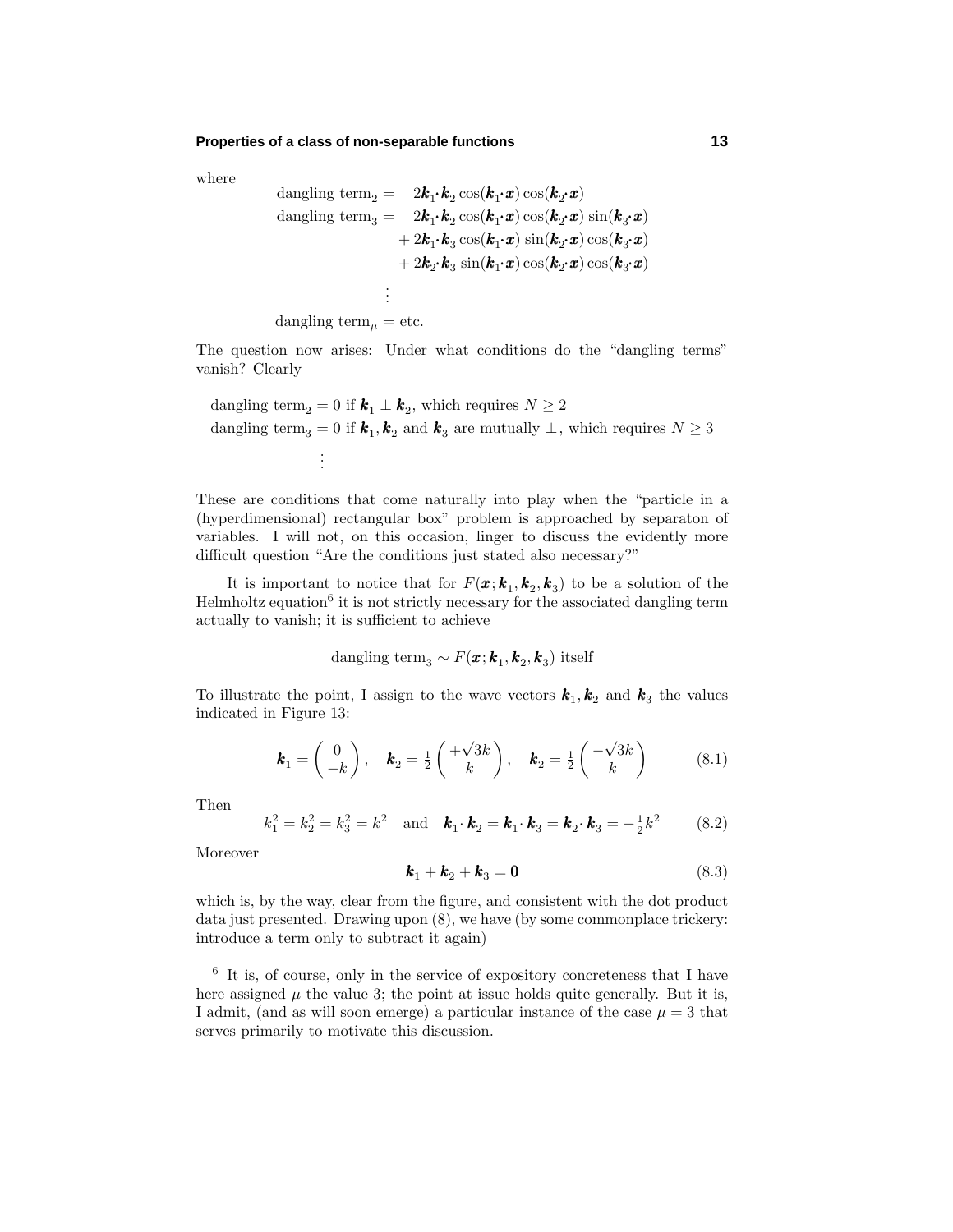#### **Properties of a class of non-separable functions 13**

where

dangling term<sup>2</sup> = 2*k*1·*k*<sup>2</sup> cos(*k*1·*x*) cos(*k*2·*x*) dangling term<sup>3</sup> = 2*k*1·*k*<sup>2</sup> cos(*k*1·*x*) cos(*k*2·*x*) sin(*k*3·*x*) + 2*k*1·*k*<sup>3</sup> cos(*k*1·*x*) sin(*k*2·*x*) cos(*k*3·*x*) + 2*k*2·*k*<sup>3</sup> sin(*k*1·*x*) cos(*k*2·*x*) cos(*k*3·*x*) . . .

```
dangling term<sub>\mu</sub> = etc.
```
The question now arises: Under what conditions do the "dangling terms" vanish? Clearly

danging term<sub>2</sub> = 0 if 
$$
\mathbf{k}_1 \perp \mathbf{k}_2
$$
, which requires  $N \ge 2$   
danging term<sub>3</sub> = 0 if  $\mathbf{k}_1, \mathbf{k}_2$  and  $\mathbf{k}_3$  are mutually  $\perp$ , which requires  $N \ge 3$   
 $\vdots$ 

These are conditions that come naturally into play when the "particle in a (hyperdimensional) rectangular box" problem is approached by separaton of variables. I will not, on this occasion, linger to discuss the evidently more difficult question "Are the conditions just stated also necessary?"

It is important to notice that for  $F(\mathbf{x}; k_1, k_2, k_3)$  to be a solution of the  $Helmholtz$  equation<sup>6</sup> it is not strictly necessary for the associated dangling term actually to vanish; it is sufficient to achieve

danging term<sub>3</sub> 
$$
\sim F(\mathbf{x}; \mathbf{k}_1, \mathbf{k}_2, \mathbf{k}_3)
$$
 itself

To illustrate the point, I assign to the wave vectors  $\mathbf{k}_1, \mathbf{k}_2$  and  $\mathbf{k}_3$  the values indicated in Figure 13:

$$
\boldsymbol{k}_1 = \begin{pmatrix} 0 \\ -k \end{pmatrix}, \quad \boldsymbol{k}_2 = \frac{1}{2} \begin{pmatrix} +\sqrt{3}k \\ k \end{pmatrix}, \quad \boldsymbol{k}_2 = \frac{1}{2} \begin{pmatrix} -\sqrt{3}k \\ k \end{pmatrix}
$$
(8.1)

Then

$$
k_1^2 = k_2^2 = k_3^2 = k^2
$$
 and  $\mathbf{k}_1 \cdot \mathbf{k}_2 = \mathbf{k}_1 \cdot \mathbf{k}_3 = \mathbf{k}_2 \cdot \mathbf{k}_3 = -\frac{1}{2}k^2$  (8.2)

Moreover

$$
\bm{k}_1 + \bm{k}_2 + \bm{k}_3 = \bm{0} \tag{8.3}
$$

which is, by the way, clear from the figure, and consistent with the dot product data just presented. Drawing upon (8), we have (by some commonplace trickery: introduce a term only to subtract it again)

 $6$  It is, of course, only in the service of expository concreteness that I have here assigned  $\mu$  the value 3; the point at issue holds quite generally. But it is, I admit, (and as will soon emerge) a particular instance of the case  $\mu = 3$  that serves primarily to motivate this discussion.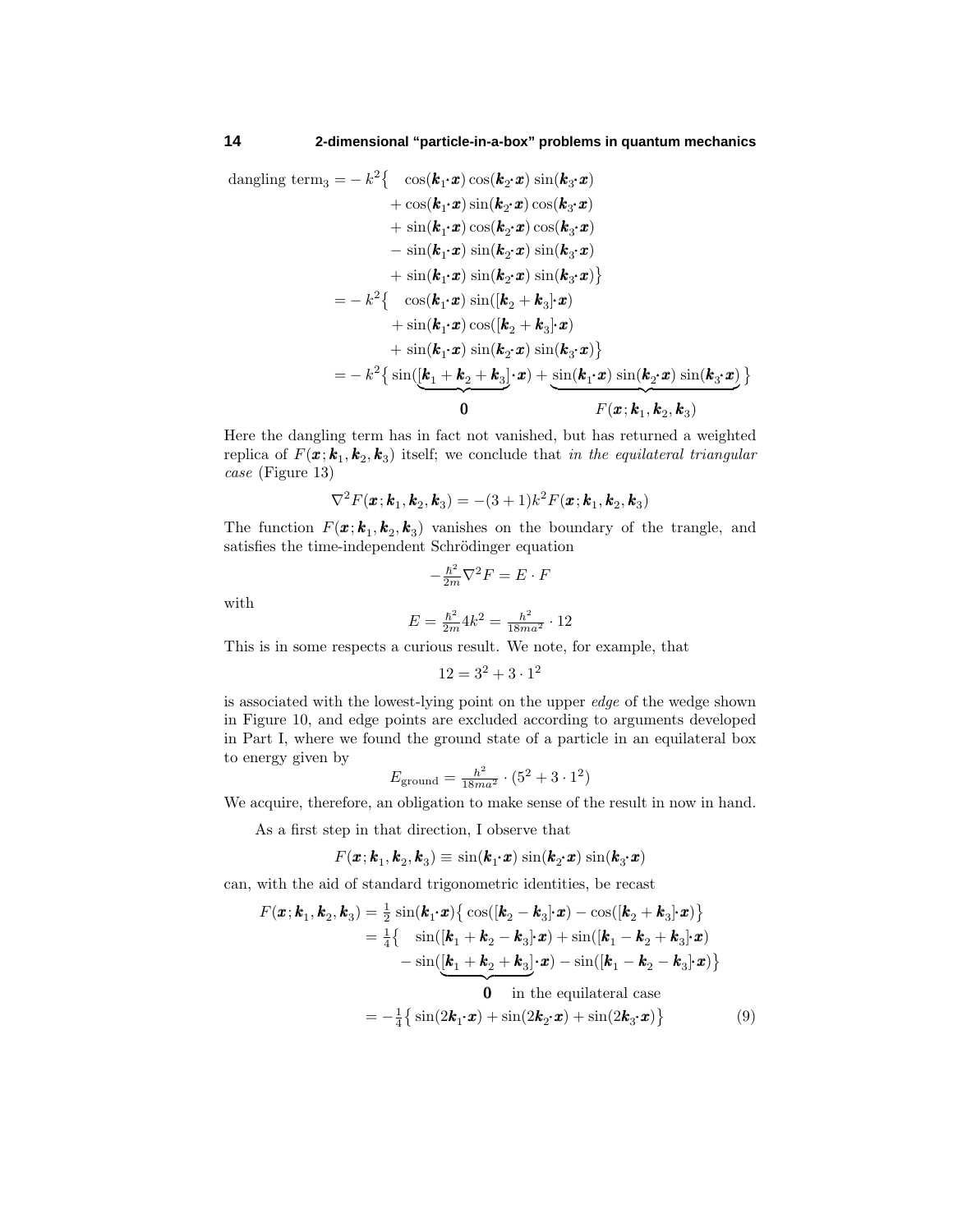danging term<sub>3</sub> = -k<sup>2</sup>{ cos(
$$
\mathbf{k}_1 \cdot \mathbf{x}
$$
) cos( $\mathbf{k}_2 \cdot \mathbf{x}$ ) sin( $\mathbf{k}_3 \cdot \mathbf{x}$ )  
+ cos( $\mathbf{k}_1 \cdot \mathbf{x}$ ) sin( $\mathbf{k}_2 \cdot \mathbf{x}$ ) cos( $\mathbf{k}_3 \cdot \mathbf{x}$ )  
+ sin( $\mathbf{k}_1 \cdot \mathbf{x}$ ) cos( $\mathbf{k}_2 \cdot \mathbf{x}$ ) cos( $\mathbf{k}_3 \cdot \mathbf{x}$ )  
- sin( $\mathbf{k}_1 \cdot \mathbf{x}$ ) sin( $\mathbf{k}_2 \cdot \mathbf{x}$ ) sin( $\mathbf{k}_3 \cdot \mathbf{x}$ )  
+ sin( $\mathbf{k}_1 \cdot \mathbf{x}$ ) sin( $\mathbf{k}_2 \cdot \mathbf{x}$ ) sin( $\mathbf{k}_3 \cdot \mathbf{x}$ )  
+ sin( $\mathbf{k}_1 \cdot \mathbf{x}$ ) sin( $\mathbf{k}_2 \cdot \mathbf{x}$ ) sin( $\mathbf{k}_3 \cdot \mathbf{x}$ )}  
+ sin( $\mathbf{k}_1 \cdot \mathbf{x}$ ) cos( $[\mathbf{k}_2 + \mathbf{k}_3] \cdot \mathbf{x}$ )  
+ sin( $\mathbf{k}_1 \cdot \mathbf{x}$ ) cos( $[\mathbf{k}_2 + \mathbf{k}_3] \cdot \mathbf{x}$ )  
+ sin( $\mathbf{k}_1 \cdot \mathbf{x}$ ) sin( $\mathbf{k}_2 \cdot \mathbf{x}$ ) sin( $\mathbf{k}_3 \cdot \mathbf{x}$ )}  
= -k<sup>2</sup>{ sin( $[\mathbf{k}_1 + \mathbf{k}_2 + \mathbf{k}_3] \cdot \mathbf{x}$ ) + sin( $\mathbf{k}_1 \cdot \mathbf{x}$ ) sin( $\mathbf{k}_2 \cdot \mathbf{x}$ ) sin( $\mathbf{k}_3 \cdot \mathbf{x}$ )}  
0  
F( $\mathbf{x}; \mathbf{k}_1, \mathbf{k}_2, \mathbf{k}_3$ )

Here the dangling term has in fact not vanished, but has returned a weighted replica of  $F(\mathbf{x}; k_1, k_2, k_3)$  itself; we conclude that in the equilateral triangular case (Figure 13)

$$
\nabla^2 F(\pmb{x}; \pmb{k}_1, \pmb{k}_2, \pmb{k}_3) = -(3+1)k^2 F(\pmb{x}; \pmb{k}_1, \pmb{k}_2, \pmb{k}_3)
$$

The function  $F(\mathbf{x}; \mathbf{k}_1, \mathbf{k}_2, \mathbf{k}_3)$  vanishes on the boundary of the trangle, and satisfies the time-independent Schrödinger equation

$$
-\frac{\hbar^2}{2m}\nabla^2 F = E \cdot F
$$

with

$$
E = \frac{\hbar^2}{2m} 4k^2 = \frac{h^2}{18ma^2} \cdot 12
$$

This is in some respects a curious result. We note, for example, that

$$
12 = 3^2 + 3 \cdot 1^2
$$

is associated with the lowest-lying point on the upper edge of the wedge shown in Figure 10, and edge points are excluded according to arguments developed in Part I, where we found the ground state of a particle in an equilateral box to energy given by

$$
E_{\text{ground}} = \frac{h^2}{18ma^2} \cdot (5^2 + 3 \cdot 1^2)
$$

We acquire, therefore, an obligation to make sense of the result in now in hand.

As a first step in that direction, I observe that

$$
F(\boldsymbol{x};\boldsymbol{k}_1,\boldsymbol{k}_2,\boldsymbol{k}_3)\equiv\sin(\boldsymbol{k}_1\boldsymbol{\cdot}\boldsymbol{x})\,\sin(\boldsymbol{k}_2\boldsymbol{\cdot}\boldsymbol{x})\,\sin(\boldsymbol{k}_3\boldsymbol{\cdot}\boldsymbol{x})
$$

can, with the aid of standard trigonometric identities, be recast

$$
F(\boldsymbol{x}; \boldsymbol{k}_1, \boldsymbol{k}_2, \boldsymbol{k}_3) = \frac{1}{2} \sin(\boldsymbol{k}_1 \cdot \boldsymbol{x}) \left\{ \cos([\boldsymbol{k}_2 - \boldsymbol{k}_3] \cdot \boldsymbol{x}) - \cos([\boldsymbol{k}_2 + \boldsymbol{k}_3] \cdot \boldsymbol{x}) \right\}
$$
  
\n
$$
= \frac{1}{4} \left\{ \begin{array}{l} \sin([\boldsymbol{k}_1 + \boldsymbol{k}_2 - \boldsymbol{k}_3] \cdot \boldsymbol{x}) + \sin([\boldsymbol{k}_1 - \boldsymbol{k}_2 + \boldsymbol{k}_3] \cdot \boldsymbol{x}) \\ - \sin([\boldsymbol{k}_1 + \boldsymbol{k}_2 + \boldsymbol{k}_3] \cdot \boldsymbol{x}) - \sin([\boldsymbol{k}_1 - \boldsymbol{k}_2 - \boldsymbol{k}_3] \cdot \boldsymbol{x}) \end{array} \right\}
$$
  
\n
$$
= -\frac{1}{4} \left\{ \sin(2\boldsymbol{k}_1 \cdot \boldsymbol{x}) + \sin(2\boldsymbol{k}_2 \cdot \boldsymbol{x}) + \sin(2\boldsymbol{k}_3 \cdot \boldsymbol{x}) \right\}
$$
(9)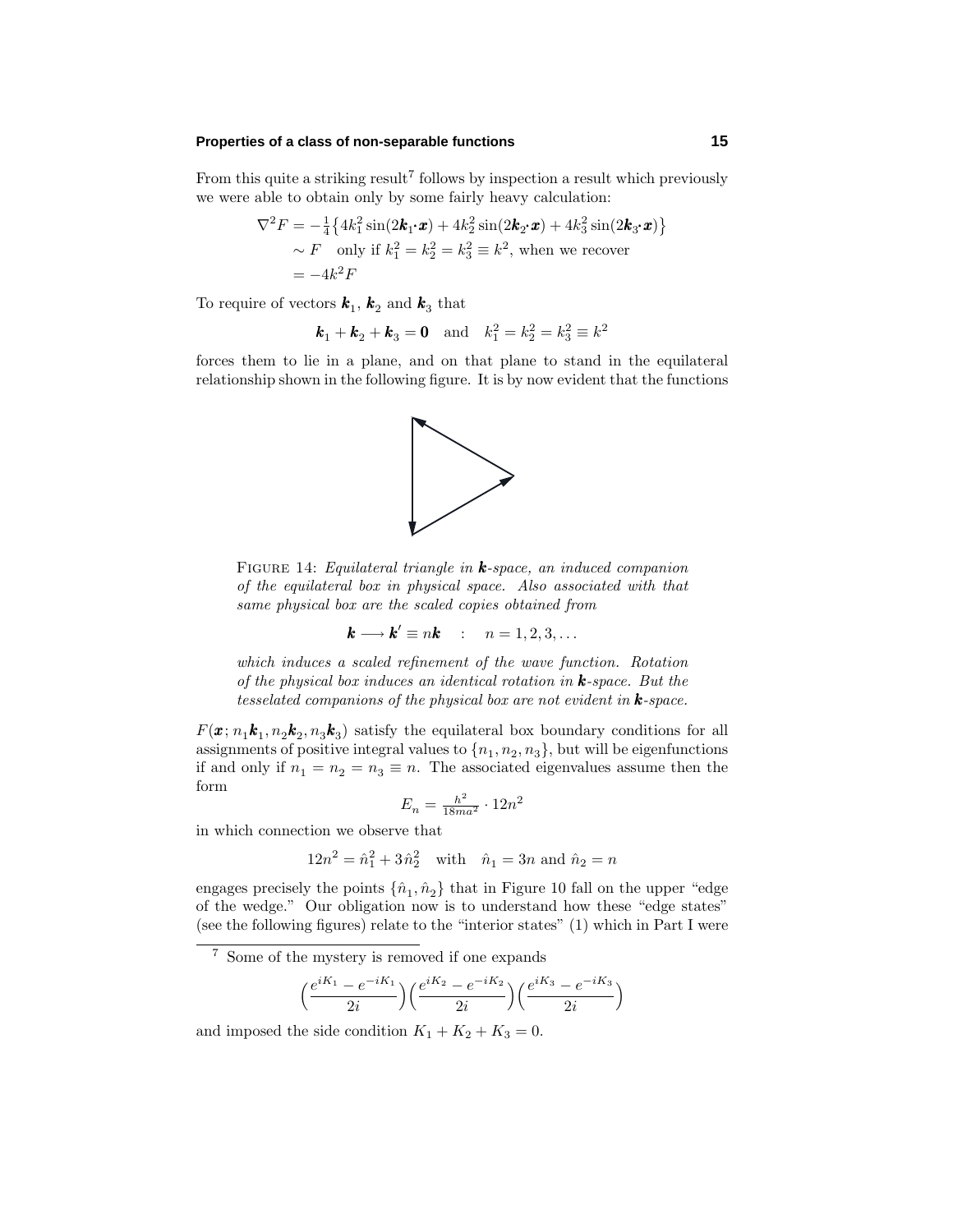#### **Properties of a class of non-separable functions 15**

From this quite a striking result<sup>7</sup> follows by inspection a result which previously we were able to obtain only by some fairly heavy calculation:

$$
\nabla^2 F = -\frac{1}{4} \{ 4k_1^2 \sin(2\mathbf{k}_1 \cdot \mathbf{x}) + 4k_2^2 \sin(2\mathbf{k}_2 \cdot \mathbf{x}) + 4k_3^2 \sin(2\mathbf{k}_3 \cdot \mathbf{x}) \}
$$
  
\sim F only if  $k_1^2 = k_2^2 = k_3^2 \equiv k^2$ , when we recover  
\n
$$
= -4k^2 F
$$

To require of vectors  $\mathbf{k}_1$ ,  $\mathbf{k}_2$  and  $\mathbf{k}_3$  that

 $\mathbf{k}_1 + \mathbf{k}_2 + \mathbf{k}_3 = \mathbf{0}$  and  $k_1^2 = k_2^2 = k_3^2 \equiv k^2$ 

forces them to lie in a plane, and on that plane to stand in the equilateral relationship shown in the following figure. It is by now evident that the functions



FIGURE 14: *Equilateral triangle in k*-space, an induced companion of the equilateral box in physical space. Also associated with that same physical box are the scaled copies obtained from

$$
\mathbf{k} \longrightarrow \mathbf{k}' \equiv n\mathbf{k} \quad : \quad n = 1, 2, 3, \dots
$$

which induces a scaled refinement of the wave function. Rotation of the physical box induces an identical rotation in *k*-space. But the tesselated companions of the physical box are not evident in *k*-space.

 $F(\pmb{x}; n_1 \pmb{k}_1, n_2 \pmb{k}_2, n_3 \pmb{k}_3)$  satisfy the equilateral box boundary conditions for all assignments of positive integral values to  $\{n_1, n_2, n_3\}$ , but will be eigenfunctions if and only if  $n_1 = n_2 = n_3 \equiv n$ . The associated eigenvalues assume then the form

$$
E_n = \frac{h^2}{18ma^2} \cdot 12n^2
$$

in which connection we observe that

$$
12n^2 = \hat{n}_1^2 + 3\hat{n}_2^2
$$
 with  $\hat{n}_1 = 3n$  and  $\hat{n}_2 = n$ 

engages precisely the points  $\{\hat{n}_1, \hat{n}_2\}$  that in Figure 10 fall on the upper "edge" of the wedge." Our obligation now is to understand how these "edge states" (see the following figures) relate to the "interior states" (1) which in Part I were

$$
\left(\frac{e^{iK_1} - e^{-iK_1}}{2i}\right) \left(\frac{e^{iK_2} - e^{-iK_2}}{2i}\right) \left(\frac{e^{iK_3} - e^{-iK_3}}{2i}\right)
$$

and imposed the side condition  $K_1 + K_2 + K_3 = 0$ .

<sup>7</sup> Some of the mystery is removed if one expands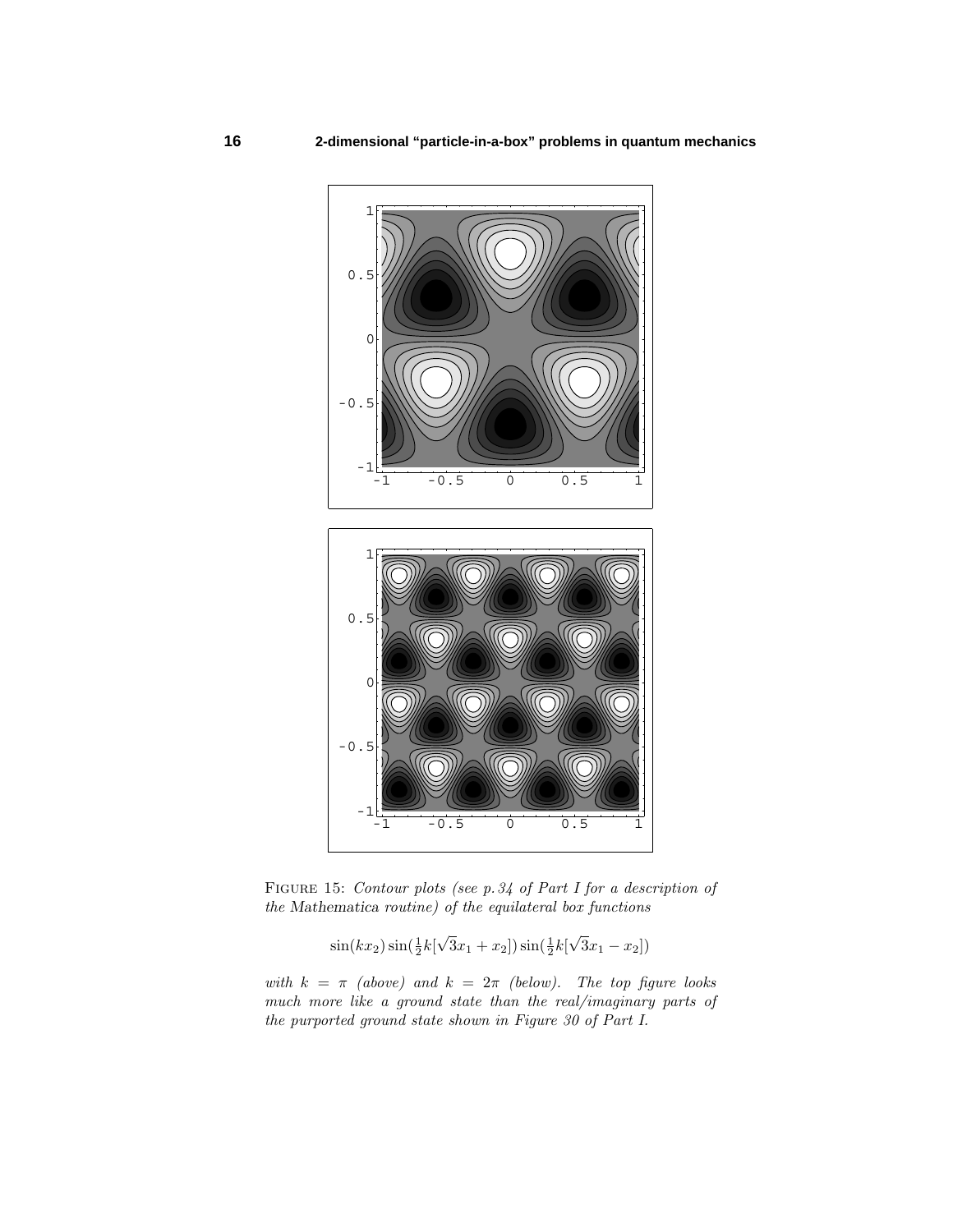

Figure 15: Contour plots (see p.34 of Part I for a description of the *Mathematica* routine) of the equilateral box functions

$$
\sin(kx_2)\sin(\frac{1}{2}k[\sqrt{3}x_1+x_2])\sin(\frac{1}{2}k[\sqrt{3}x_1-x_2])
$$

with  $k = \pi$  (above) and  $k = 2\pi$  (below). The top figure looks much more like a ground state than the real/imaginary parts of the purported ground state shown in Figure 30 of Part I.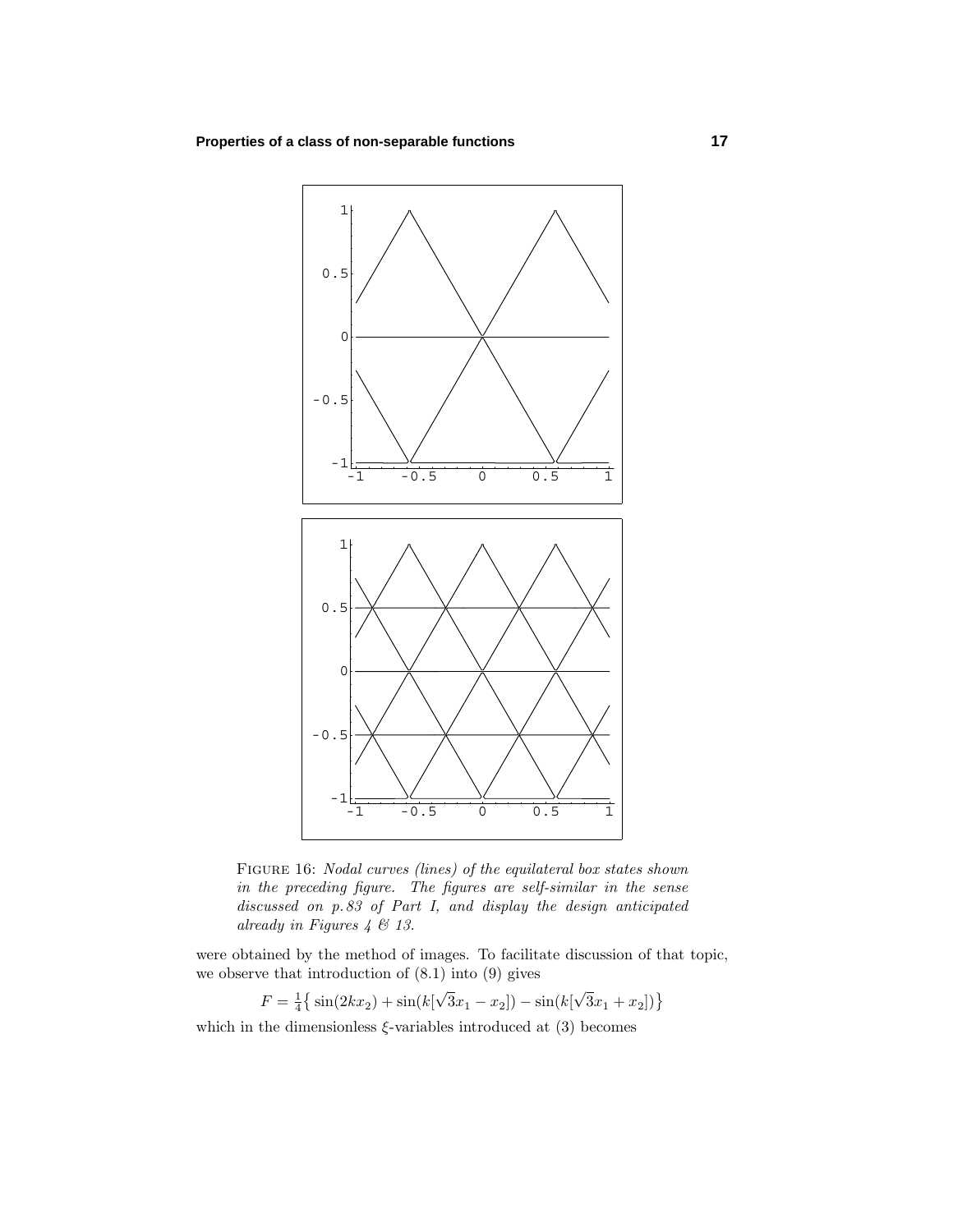

FIGURE 16: Nodal curves (lines) of the equilateral box states shown in the preceding figure. The figures are self-similar in the sense discussed on p.83 of Part I, and display the design anticipated already in Figures 4 & 13.

were obtained by the method of images. To facilitate discussion of that topic, we observe that introduction of (8.1) into (9) gives

$$
F = \frac{1}{4} \left\{ \sin(2kx_2) + \sin(k[\sqrt{3}x_1 - x_2]) - \sin(k[\sqrt{3}x_1 + x_2]) \right\}
$$

which in the dimensionless  $\xi$ -variables introduced at (3) becomes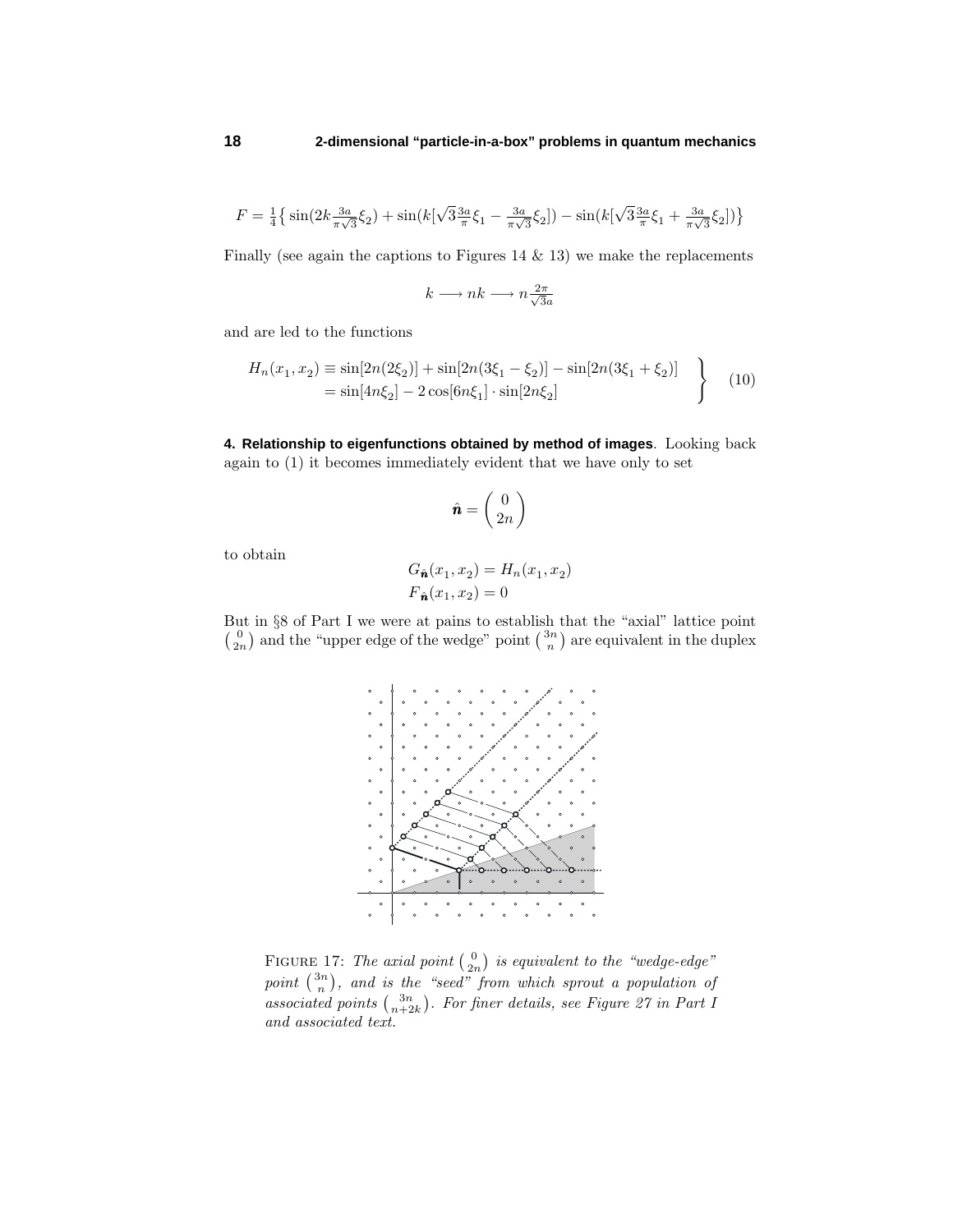$$
F = \frac{1}{4} \left\{ \sin(2k \frac{3a}{\pi \sqrt{3}} \xi_2) + \sin(k[\sqrt{3} \frac{3a}{\pi} \xi_1 - \frac{3a}{\pi \sqrt{3}} \xi_2]) - \sin(k[\sqrt{3} \frac{3a}{\pi} \xi_1 + \frac{3a}{\pi \sqrt{3}} \xi_2]) \right\}
$$

Finally (see again the captions to Figures 14  $\&$  13) we make the replacements

$$
k \longrightarrow nk \longrightarrow n \frac{2\pi}{\sqrt{3}a}
$$

and are led to the functions

$$
H_n(x_1, x_2) \equiv \sin[2n(2\xi_2)] + \sin[2n(3\xi_1 - \xi_2)] - \sin[2n(3\xi_1 + \xi_2)]
$$
  
=  $\sin[4n\xi_2] - 2\cos[6n\xi_1] \cdot \sin[2n\xi_2]$  (10)

**4. Relationship to eigenfunctions obtained by method of images**. Looking back again to (1) it becomes immediately evident that we have only to set

$$
\hat{\boldsymbol{n}} = \begin{pmatrix} 0 \\ 2n \end{pmatrix}
$$

to obtain

$$
G_{\hat{n}}(x_1, x_2) = H_n(x_1, x_2)
$$

$$
F_{\hat{n}}(x_1, x_2) = 0
$$

But in §8 of Part I we were at pains to establish that the "axial" lattice point  $\binom{0}{2n}$  and the "upper edge of the wedge" point  $\binom{3n}{n}$  are equivalent in the duplex



FIGURE 17: The axial point  $\binom{0}{2n}$  is equivalent to the "wedge-edge" point  $\binom{3n}{n}$ , and is the "seed" from which sprout a population of associated points  $\binom{3n}{n+2k}$ . For finer details, see Figure 27 in Part 1 and associated text.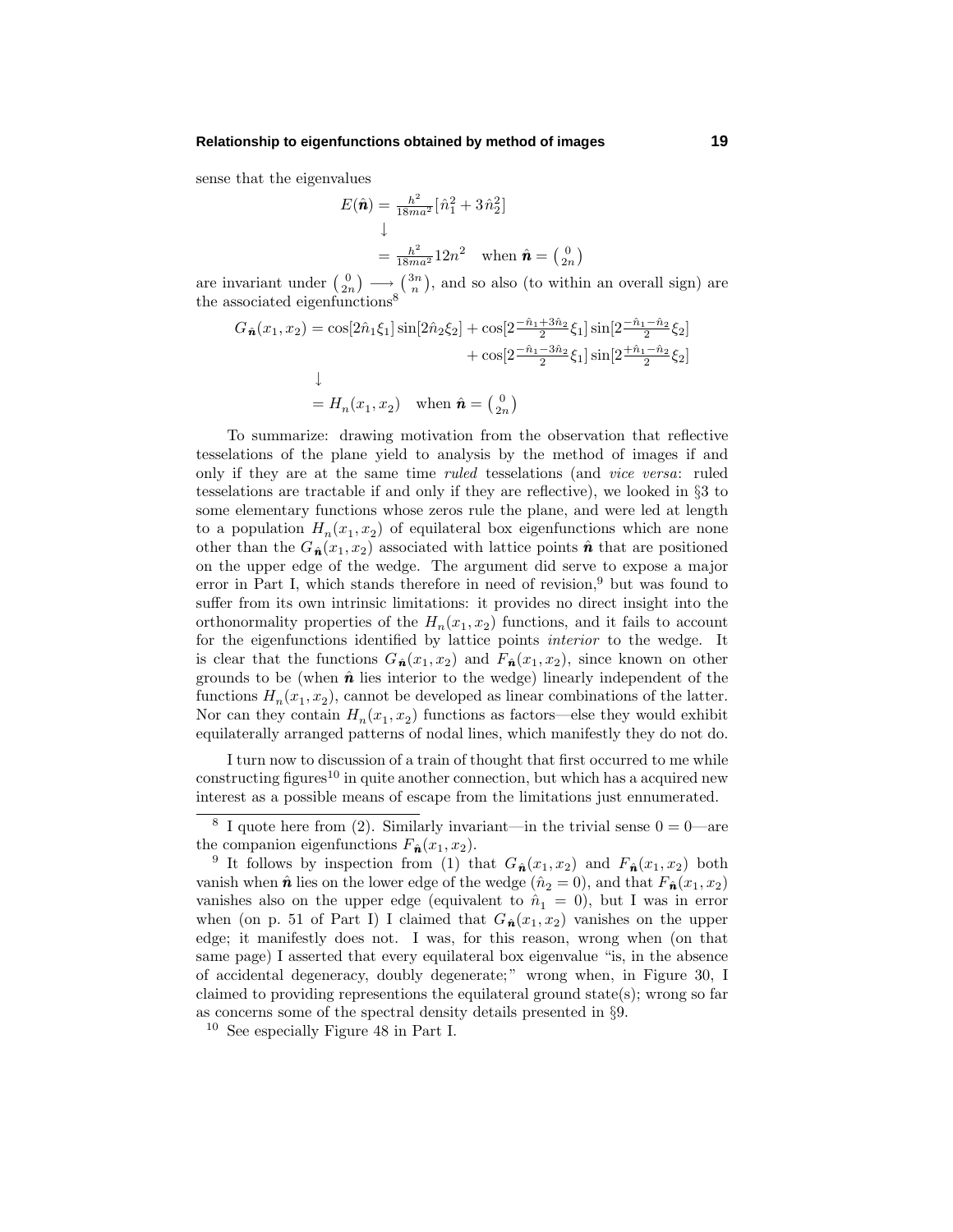#### **Relationship to eigenfunctions obtained by method of images 19**

sense that the eigenvalues

$$
E(\hat{\boldsymbol{n}}) = \frac{\hbar^2}{18ma^2} [\hat{n}_1^2 + 3\hat{n}_2^2]
$$
  

$$
\downarrow
$$
  

$$
= \frac{\hbar^2}{18ma^2} 12n^2 \text{ when } \hat{\boldsymbol{n}} = \begin{pmatrix} 0 \\ 2n \end{pmatrix}
$$

are invariant under  $\binom{0}{2n} \longrightarrow \binom{3n}{n}$ , and so also (to within an overall sign) are the associated eigenfunctions<sup>8</sup>

$$
G_{\hat{\mathbf{n}}}(x_1, x_2) = \cos[2\hat{n}_1 \xi_1] \sin[2\hat{n}_2 \xi_2] + \cos[2\frac{-\hat{n}_1 + 3\hat{n}_2}{2} \xi_1] \sin[2\frac{-\hat{n}_1 - \hat{n}_2}{2} \xi_2] + \cos[2\frac{-\hat{n}_1 - 3\hat{n}_2}{2} \xi_1] \sin[2\frac{+\hat{n}_1 - \hat{n}_2}{2} \xi_2] \downarrow
$$
  
=  $H_n(x_1, x_2)$  when  $\hat{\mathbf{n}} = \begin{pmatrix} 0 \\ 2n \end{pmatrix}$ 

To summarize: drawing motivation from the observation that reflective tesselations of the plane yield to analysis by the method of images if and only if they are at the same time ruled tesselations (and vice versa: ruled tesselations are tractable if and only if they are reflective), we looked in §3 to some elementary functions whose zeros rule the plane, and were led at length to a population  $H_n(x_1, x_2)$  of equilateral box eigenfunctions which are none other than the  $G_{\hat{\mathbf{n}}}(x_1, x_2)$  associated with lattice points  $\hat{\mathbf{n}}$  that are positioned on the upper edge of the wedge. The argument did serve to expose a major error in Part I, which stands therefore in need of revision.<sup>9</sup> but was found to suffer from its own intrinsic limitations: it provides no direct insight into the orthonormality properties of the  $H_n(x_1, x_2)$  functions, and it fails to account for the eigenfunctions identified by lattice points interior to the wedge. It is clear that the functions  $G_{\hat{\mathbf{n}}}(x_1, x_2)$  and  $F_{\hat{\mathbf{n}}}(x_1, x_2)$ , since known on other grounds to be (when  $\hat{\boldsymbol{n}}$  lies interior to the wedge) linearly independent of the functions  $H_n(x_1, x_2)$ , cannot be developed as linear combinations of the latter. Nor can they contain  $H_n(x_1, x_2)$  functions as factors—else they would exhibit equilaterally arranged patterns of nodal lines, which manifestly they do not do.

I turn now to discussion of a train of thought that first occurred to me while  $constructing figures<sup>10</sup> in quite another connection, but which has a acquired new$ interest as a possible means of escape from the limitations just ennumerated.

<sup>&</sup>lt;sup>8</sup> I quote here from (2). Similarly invariant—in the trivial sense  $0 = 0$ —are the companion eigenfunctions  $F_{\hat{\boldsymbol{n}}}(x_1, x_2)$ .

<sup>&</sup>lt;sup>9</sup> It follows by inspection from (1) that  $G_{\hat{\mathbf{n}}}(x_1, x_2)$  and  $F_{\hat{\mathbf{n}}}(x_1, x_2)$  both vanish when  $\hat{\boldsymbol{n}}$  lies on the lower edge of the wedge  $(\hat{n}_2 = 0)$ , and that  $F_{\hat{\boldsymbol{n}}}(x_1, x_2)$ vanishes also on the upper edge (equivalent to  $\hat{n}_1 = 0$ ), but I was in error when (on p. 51 of Part I) I claimed that  $G_{\hat{\mathbf{n}}}(x_1, x_2)$  vanishes on the upper edge; it manifestly does not. I was, for this reason, wrong when (on that same page) I asserted that every equilateral box eigenvalue "is, in the absence of accidental degeneracy, doubly degenerate;" wrong when, in Figure 30, I claimed to providing representions the equilateral ground state(s); wrong so far as concerns some of the spectral density details presented in §9.

<sup>10</sup> See especially Figure 48 in Part I.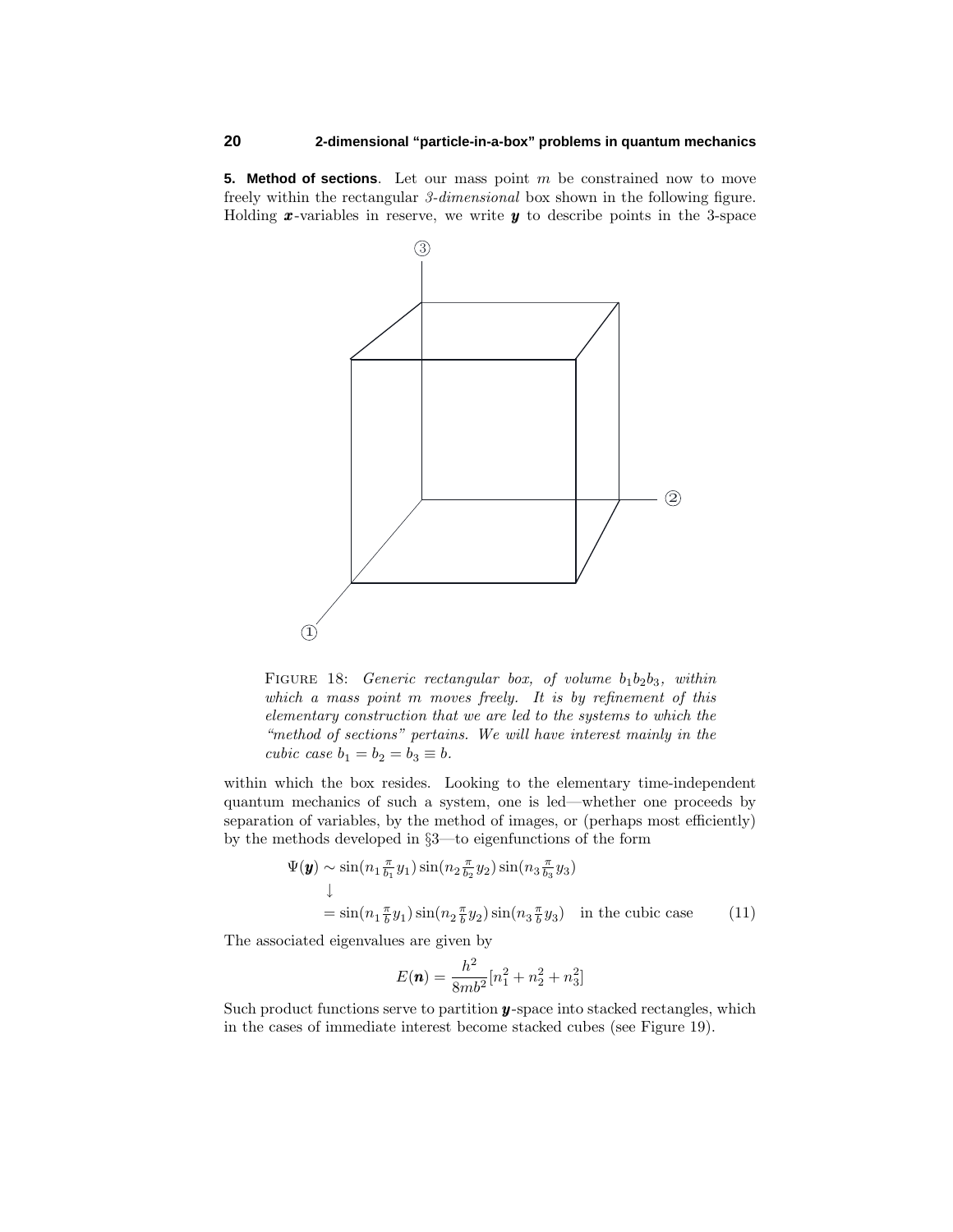**5. Method of sections**. Let our mass point *m* be constrained now to move freely within the rectangular 3-dimensional box shown in the following figure. Holding *x*-variables in reserve, we write *y* to describe points in the 3-space



FIGURE 18: Generic rectangular box, of volume  $b_1b_2b_3$ , within which a mass point *m* moves freely. It is by refinement of this elementary construction that we are led to the systems to which the "method of sections" pertains. We will have interest mainly in the cubic case  $b_1 = b_2 = b_3 \equiv b$ .

within which the box resides. Looking to the elementary time-independent quantum mechanics of such a system, one is led—whether one proceeds by separation of variables, by the method of images, or (perhaps most efficiently) by the methods developed in §3—to eigenfunctions of the form

$$
\Psi(\mathbf{y}) \sim \sin(n_1 \frac{\pi}{b_1} y_1) \sin(n_2 \frac{\pi}{b_2} y_2) \sin(n_3 \frac{\pi}{b_3} y_3)
$$
\n
$$
\downarrow
$$
\n
$$
= \sin(n_1 \frac{\pi}{b} y_1) \sin(n_2 \frac{\pi}{b} y_2) \sin(n_3 \frac{\pi}{b} y_3) \quad \text{in the cubic case} \tag{11}
$$

The associated eigenvalues are given by

$$
E(\mathbf{n}) = \frac{h^2}{8mb^2} [n_1^2 + n_2^2 + n_3^2]
$$

Such product functions serve to partition *y* -space into stacked rectangles, which in the cases of immediate interest become stacked cubes (see Figure 19).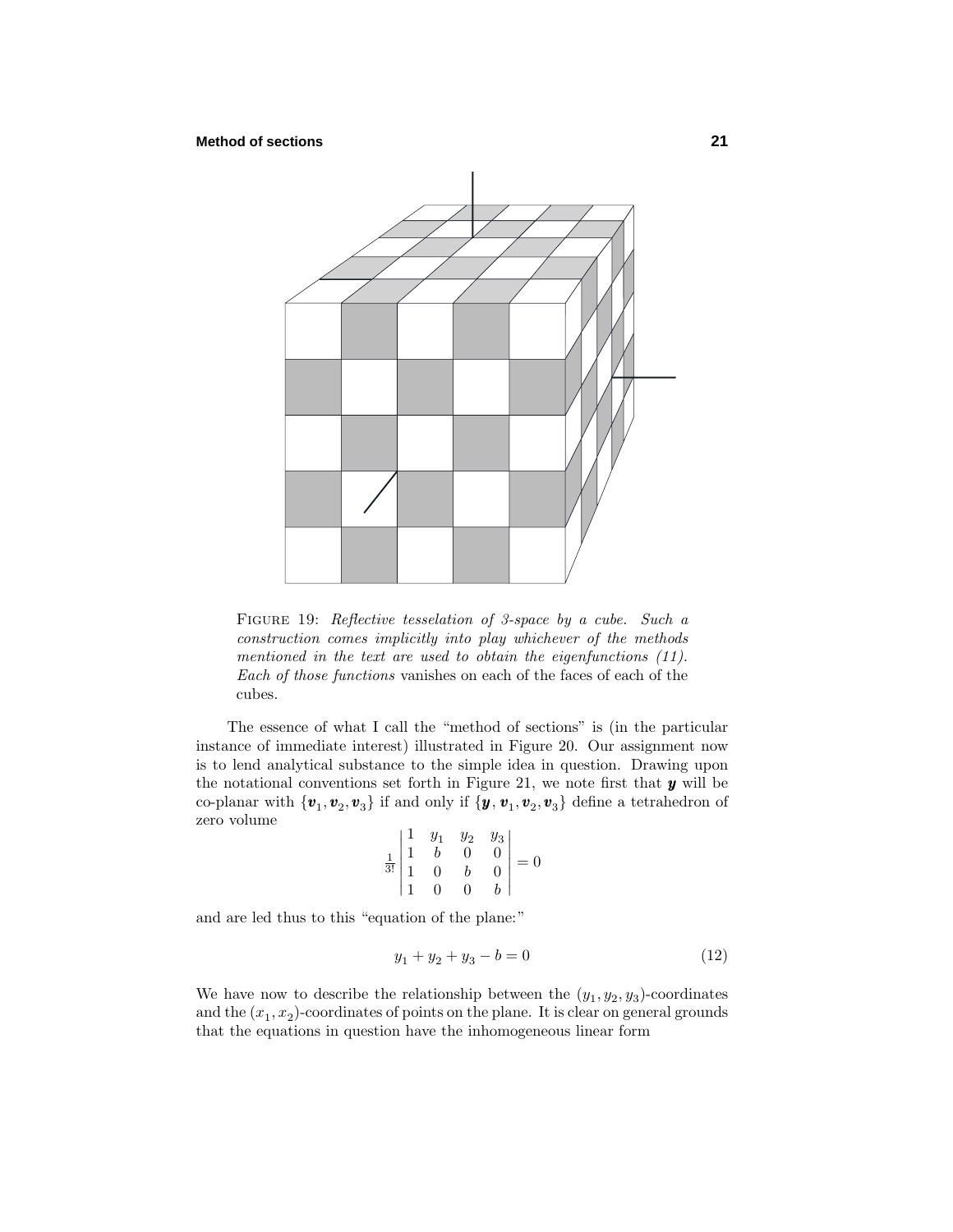#### **Method of sections 21**



FIGURE 19: Reflective tesselation of 3-space by a cube. Such a construction comes implicitly into play whichever of the methods mentioned in the text are used to obtain the eigenfunctions  $(11)$ . Each of those functions vanishes on each of the faces of each of the cubes.

The essence of what I call the "method of sections" is (in the particular instance of immediate interest) illustrated in Figure 20. Our assignment now is to lend analytical substance to the simple idea in question. Drawing upon the notational conventions set forth in Figure 21, we note first that *y* will be co-planar with  $\{\boldsymbol{v}_1, \boldsymbol{v}_2, \boldsymbol{v}_3\}$  if and only if  $\{\boldsymbol{y}, \boldsymbol{v}_1, \boldsymbol{v}_2, \boldsymbol{v}_3\}$  define a tetrahedron of zero volume

$$
\frac{1}{3!} \begin{vmatrix} 1 & y_1 & y_2 & y_3 \\ 1 & b & 0 & 0 \\ 1 & 0 & b & 0 \\ 1 & 0 & 0 & b \end{vmatrix} = 0
$$

and are led thus to this "equation of the plane:"

$$
y_1 + y_2 + y_3 - b = 0 \tag{12}
$$

We have now to describe the relationship between the  $(y_1, y_2, y_3)$ -coordinates and the  $(x_1, x_2)$ -coordinates of points on the plane. It is clear on general grounds that the equations in question have the inhomogeneous linear form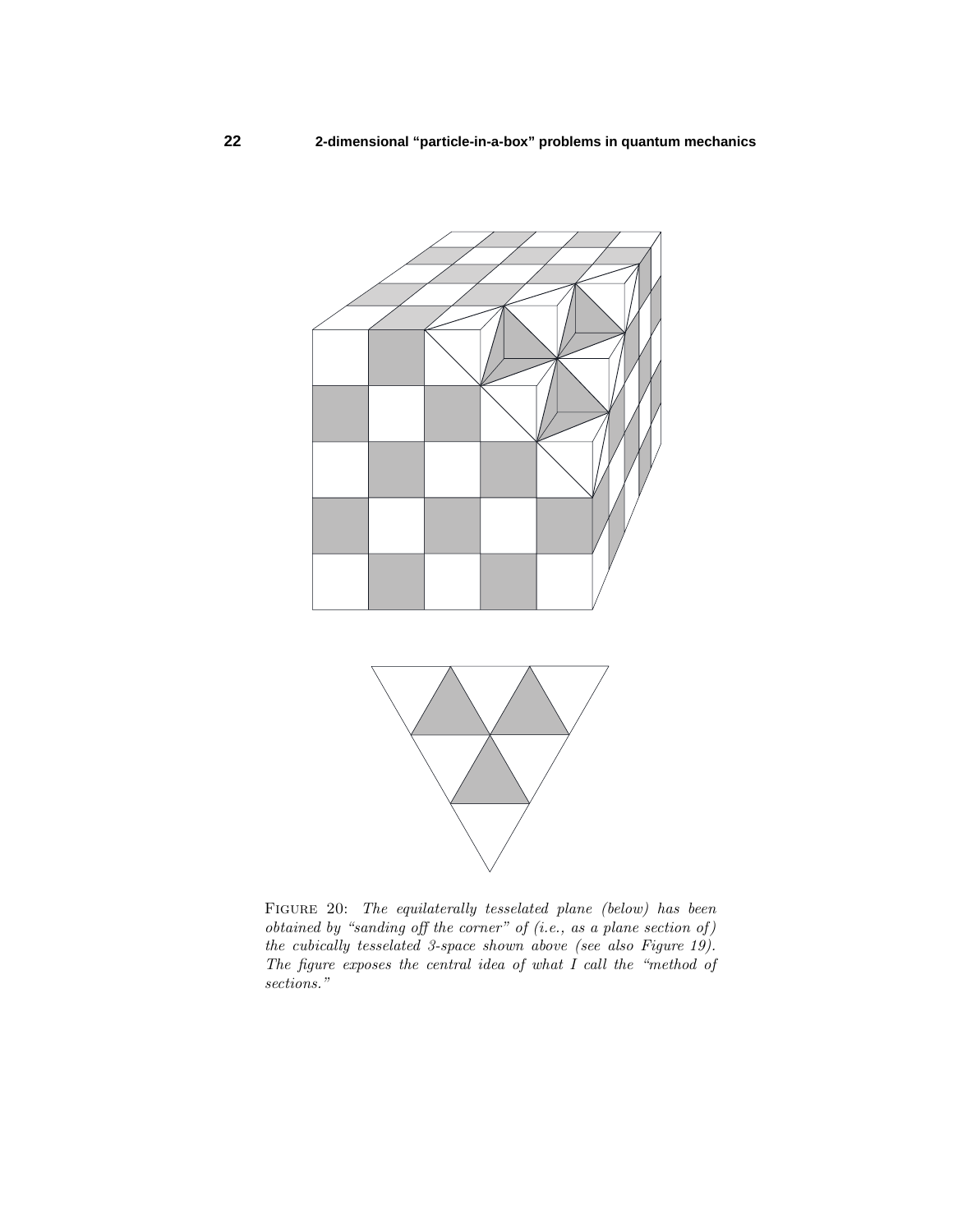

FIGURE 20: The equilaterally tesselated plane (below) has been obtained by "sanding off the corner" of  $(i.e., as a plane)$  section of) the cubically tesselated 3-space shown above (see also Figure 19). The figure exposes the central idea of what I call the "method of sections."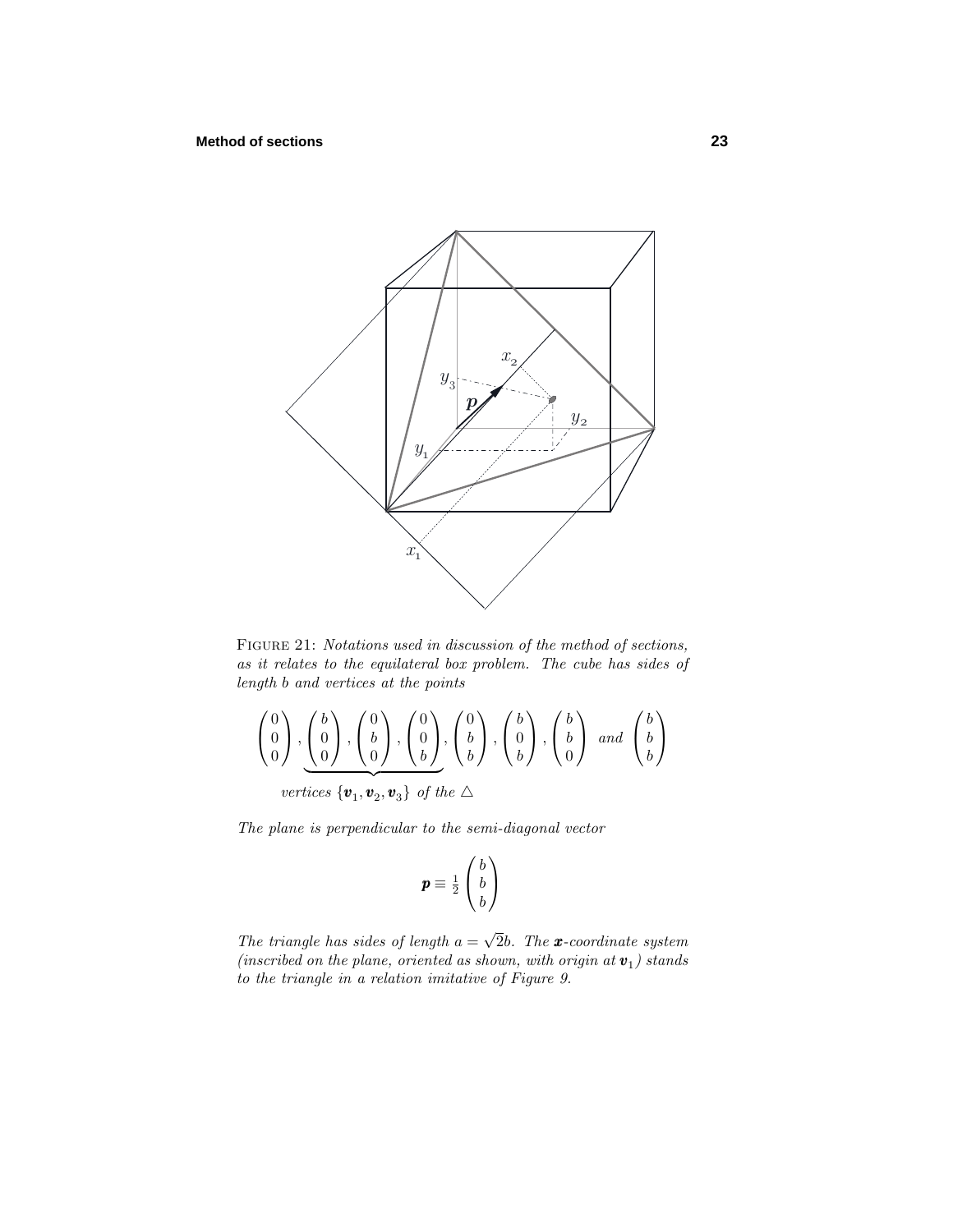

FIGURE 21: Notations used in discussion of the method of sections, as it relates to the equilateral box problem. The cube has sides of length *b* and vertices at the points

$$
\begin{pmatrix} 0 \\ 0 \\ 0 \end{pmatrix}, \begin{pmatrix} b \\ 0 \\ 0 \end{pmatrix}, \begin{pmatrix} 0 \\ b \\ 0 \end{pmatrix}, \begin{pmatrix} 0 \\ 0 \\ b \end{pmatrix}, \begin{pmatrix} 0 \\ b \\ b \end{pmatrix}, \begin{pmatrix} b \\ 0 \\ b \end{pmatrix}, \begin{pmatrix} b \\ 0 \\ 0 \end{pmatrix}, \begin{pmatrix} b \\ b \\ 0 \end{pmatrix} \text{ and } \begin{pmatrix} b \\ b \\ b \end{pmatrix}
$$
  
vertices {**v**<sub>1</sub>, **v**<sub>2</sub>, **v**<sub>3</sub>} of the  $\triangle$ 

The plane is perpendicular to the semi-diagonal vector

$$
\pmb{p} \equiv \tfrac{1}{2} \begin{pmatrix} b \\ b \\ b \end{pmatrix}
$$

The triangle has sides of length  $a = \sqrt{2}b$ . The **x**-coordinate system (inscribed on the plane, oriented as shown, with origin at  $\mathbf{v}_1$ ) stands to the triangle in a relation imitative of Figure 9.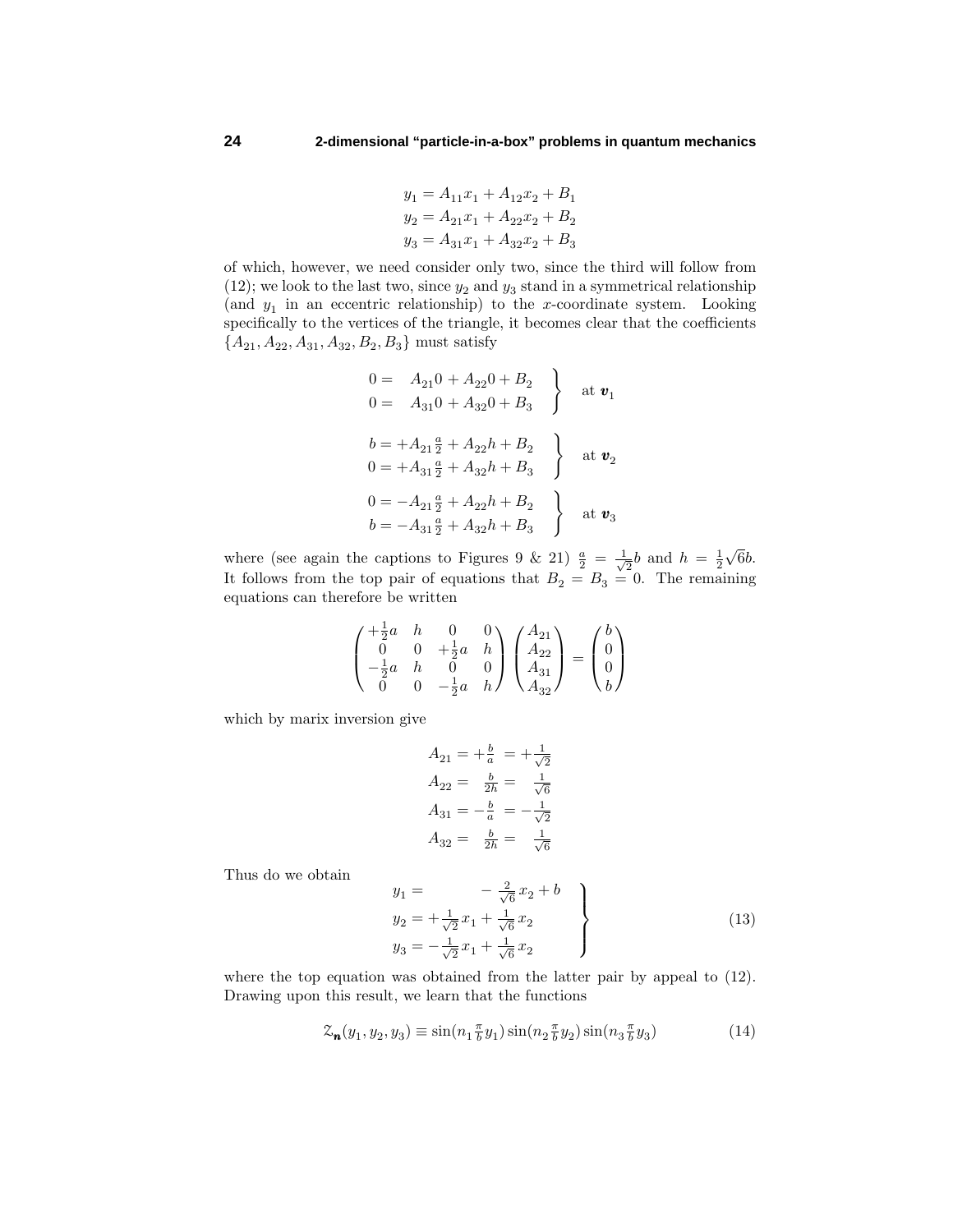$$
y_1 = A_{11}x_1 + A_{12}x_2 + B_1
$$
  

$$
y_2 = A_{21}x_1 + A_{22}x_2 + B_2
$$
  

$$
y_3 = A_{31}x_1 + A_{32}x_2 + B_3
$$

of which, however, we need consider only two, since the third will follow from (12); we look to the last two, since  $y_2$  and  $y_3$  stand in a symmetrical relationship (and *y*<sup>1</sup> in an eccentric relationship) to the *x*-coordinate system. Looking specifically to the vertices of the triangle, it becomes clear that the coefficients  $\{A_{21}, A_{22}, A_{31}, A_{32}, B_2, B_3\}$  must satisfy

$$
\begin{array}{ll}\n0 = & A_{21}0 + A_{22}0 + B_2 \\
0 = & A_{31}0 + A_{32}0 + B_3\n\end{array}\n\left.\begin{array}{ll}\n\end{array}\right\}\n\quad \text{at }\mathbf{v}_1
$$
\n
$$
\begin{array}{ll}\nb = +A_{21}\frac{a}{2} + A_{22}h + B_2 \\
0 = +A_{31}\frac{a}{2} + A_{32}h + B_3\n\end{array}\n\left.\begin{array}{ll}\n\end{array}\right\}\n\quad \text{at }\mathbf{v}_2
$$
\n
$$
\begin{array}{ll}\n0 = -A_{21}\frac{a}{2} + A_{22}h + B_2 \\
b = -A_{31}\frac{a}{2} + A_{32}h + B_3\n\end{array}\n\left.\begin{array}{ll}\n\end{array}\right\}\n\quad \text{at }\mathbf{v}_3
$$

where (see again the captions to Figures 9 & 21)  $\frac{a}{2} = \frac{1}{\sqrt{2}}b$  and  $h = \frac{1}{2}\sqrt{6}b$ . It follows from the top pair of equations that  $B_2 = B_3 = 0$ . The remaining equations can therefore be written

$$
\begin{pmatrix}\n+ \frac{1}{2}a & h & 0 & 0 \\
0 & 0 & + \frac{1}{2}a & h \\
- \frac{1}{2}a & h & 0 & 0 \\
0 & 0 & - \frac{1}{2}a & h\n\end{pmatrix}\n\begin{pmatrix}\nA_{21} \\
A_{22} \\
A_{31} \\
A_{32}\n\end{pmatrix} = \begin{pmatrix}\nb \\
0 \\
0 \\
b\n\end{pmatrix}
$$

which by marix inversion give

$$
A_{21} = +\frac{b}{a} = +\frac{1}{\sqrt{2}}
$$
  
\n
$$
A_{22} = \frac{b}{2h} = \frac{1}{\sqrt{6}}
$$
  
\n
$$
A_{31} = -\frac{b}{a} = -\frac{1}{\sqrt{2}}
$$
  
\n
$$
A_{32} = \frac{b}{2h} = \frac{1}{\sqrt{6}}
$$

Thus do we obtain

$$
y_1 = -\frac{2}{\sqrt{6}}x_2 + b
$$
  
\n
$$
y_2 = +\frac{1}{\sqrt{2}}x_1 + \frac{1}{\sqrt{6}}x_2
$$
  
\n
$$
y_3 = -\frac{1}{\sqrt{2}}x_1 + \frac{1}{\sqrt{6}}x_2
$$
\n(13)

where the top equation was obtained from the latter pair by appeal to  $(12)$ . Drawing upon this result, we learn that the functions

$$
\mathcal{Z}_{\mathbf{n}}(y_1, y_2, y_3) \equiv \sin(n_1 \frac{\pi}{b} y_1) \sin(n_2 \frac{\pi}{b} y_2) \sin(n_3 \frac{\pi}{b} y_3)
$$
(14)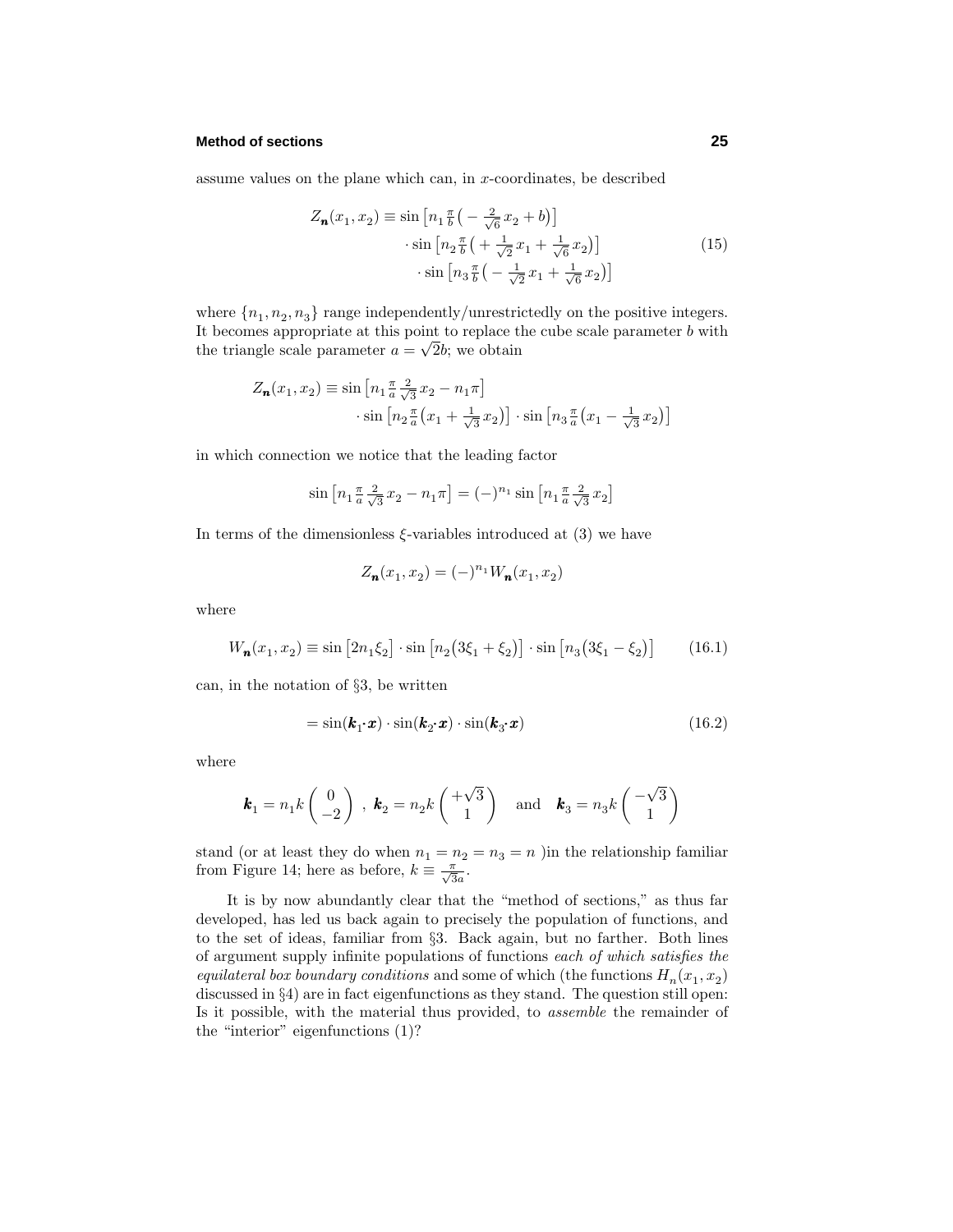#### **Method of sections 25**

assume values on the plane which can, in *x*-coordinates, be described

$$
Z_{\mathbf{n}}(x_1, x_2) \equiv \sin \left[ n_1 \frac{\pi}{b} \left( -\frac{2}{\sqrt{6}} x_2 + b \right) \right] \cdot \sin \left[ n_2 \frac{\pi}{b} \left( +\frac{1}{\sqrt{2}} x_1 + \frac{1}{\sqrt{6}} x_2 \right) \right] \cdot \sin \left[ n_3 \frac{\pi}{b} \left( -\frac{1}{\sqrt{2}} x_1 + \frac{1}{\sqrt{6}} x_2 \right) \right]
$$
(15)

where  ${n_1, n_2, n_3}$  range independently/unrestrictedly on the positive integers. It becomes appropriate at this point to replace the cube scale parameter *b* with the triangle scale parameter  $a = \sqrt{2}b$ ; we obtain

$$
Z_{\mathbf{n}}(x_1, x_2) \equiv \sin \left[ n_1 \frac{\pi}{a} \frac{2}{\sqrt{3}} x_2 - n_1 \pi \right] \cdot \sin \left[ n_2 \frac{\pi}{a} \left( x_1 + \frac{1}{\sqrt{3}} x_2 \right) \right] \cdot \sin \left[ n_3 \frac{\pi}{a} \left( x_1 - \frac{1}{\sqrt{3}} x_2 \right) \right]
$$

in which connection we notice that the leading factor

$$
\sin\left[n_1\frac{\pi}{a}\frac{2}{\sqrt{3}}x_2-n_1\pi\right] = (-)^{n_1}\sin\left[n_1\frac{\pi}{a}\frac{2}{\sqrt{3}}x_2\right]
$$

In terms of the dimensionless  $\xi$ -variables introduced at (3) we have

$$
Z_{\bf n}(x_1,x_2)=(-)^{n_1}W_{\bf n}(x_1,x_2)
$$

where

$$
W_{n}(x_{1}, x_{2}) \equiv \sin\left[2n_{1}\xi_{2}\right] \cdot \sin\left[n_{2}\left(3\xi_{1} + \xi_{2}\right)\right] \cdot \sin\left[n_{3}\left(3\xi_{1} - \xi_{2}\right)\right] \tag{16.1}
$$

can, in the notation of §3, be written

$$
= \sin(\mathbf{k}_1 \cdot \mathbf{x}) \cdot \sin(\mathbf{k}_2 \cdot \mathbf{x}) \cdot \sin(\mathbf{k}_3 \cdot \mathbf{x}) \tag{16.2}
$$

where

$$
\mathbf{k}_1 = n_1 k \begin{pmatrix} 0 \\ -2 \end{pmatrix}, \ \mathbf{k}_2 = n_2 k \begin{pmatrix} +\sqrt{3} \\ 1 \end{pmatrix} \quad \text{and} \quad \mathbf{k}_3 = n_3 k \begin{pmatrix} -\sqrt{3} \\ 1 \end{pmatrix}
$$

stand (or at least they do when  $n_1 = n_2 = n_3 = n$ ) in the relationship familiar from Figure 14; here as before,  $k \equiv \frac{\pi}{\sqrt{3}a}$ .

It is by now abundantly clear that the "method of sections," as thus far developed, has led us back again to precisely the population of functions, and to the set of ideas, familiar from §3. Back again, but no farther. Both lines of argument supply infinite populations of functions each of which satisfies the equilateral box boundary conditions and some of which (the functions  $H_n(x_1, x_2)$ ) discussed in §4) are in fact eigenfunctions as they stand. The question still open: Is it possible, with the material thus provided, to assemble the remainder of the "interior" eigenfunctions (1)?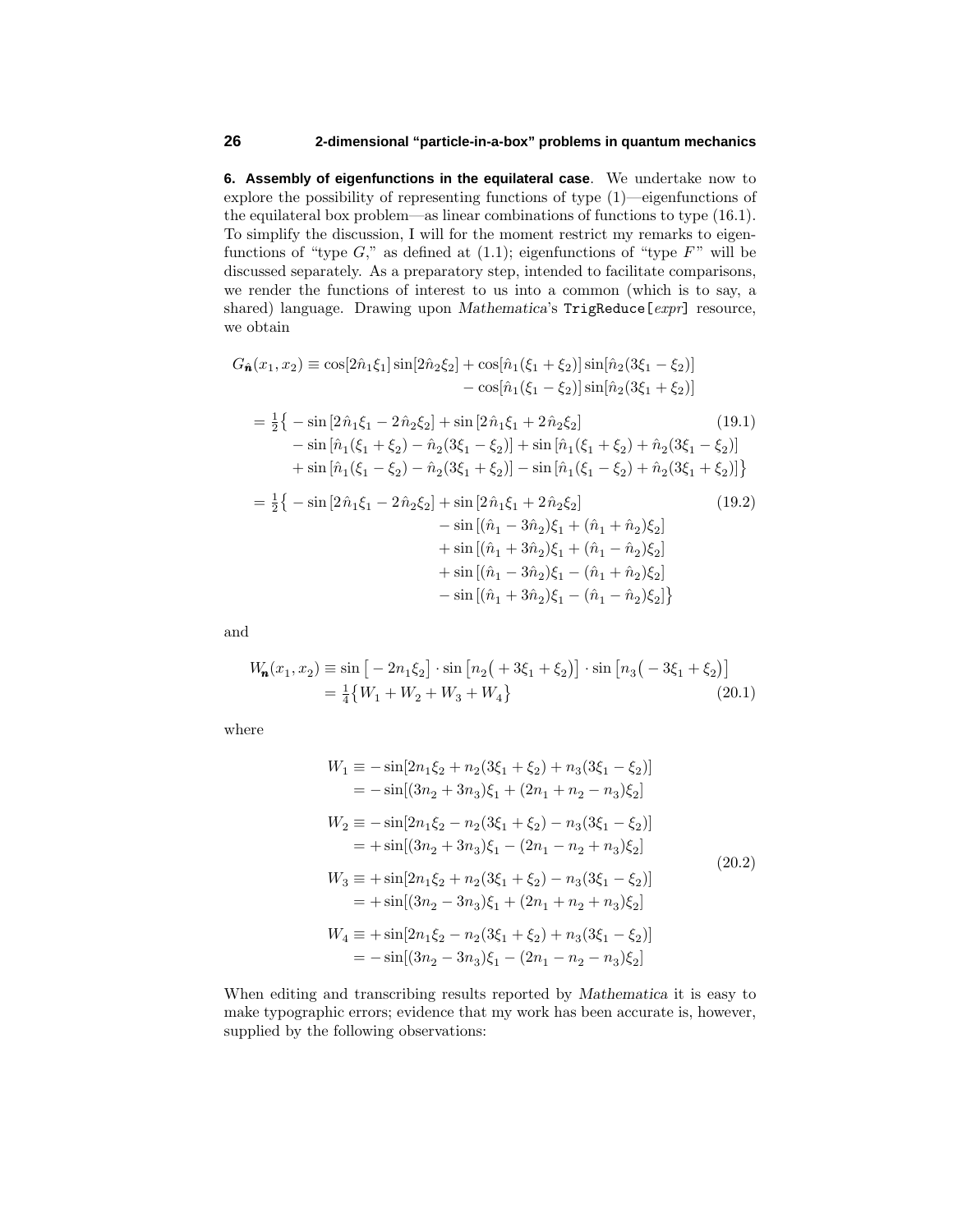**6. Assembly of eigenfunctions in the equilateral case**. We undertake now to explore the possibility of representing functions of type (1)—eigenfunctions of the equilateral box problem—as linear combinations of functions to type (16.1). To simplify the discussion, I will for the moment restrict my remarks to eigenfunctions of "type  $G$ ," as defined at  $(1.1)$ ; eigenfunctions of "type  $F$ " will be discussed separately. As a preparatory step, intended to facilitate comparisons, we render the functions of interest to us into a common (which is to say, a shared) language. Drawing upon *Mathematica*'s TrigReduce[expr] resource, we obtain

$$
G_{\hat{\mathbf{n}}}(x_1, x_2) \equiv \cos[2\hat{n}_1\xi_1] \sin[2\hat{n}_2\xi_2] + \cos[\hat{n}_1(\xi_1 + \xi_2)] \sin[\hat{n}_2(3\xi_1 - \xi_2)]
$$
  
\n
$$
- \cos[\hat{n}_1(\xi_1 - \xi_2)] \sin[\hat{n}_2(3\xi_1 + \xi_2)]
$$
  
\n
$$
= \frac{1}{2} \{- \sin[2\hat{n}_1\xi_1 - 2\hat{n}_2\xi_2] + \sin[2\hat{n}_1\xi_1 + 2\hat{n}_2\xi_2]
$$
(19.1)  
\n
$$
- \sin[\hat{n}_1(\xi_1 + \xi_2) - \hat{n}_2(3\xi_1 - \xi_2)] + \sin[\hat{n}_1(\xi_1 + \xi_2) + \hat{n}_2(3\xi_1 - \xi_2)]
$$
  
\n
$$
+ \sin[\hat{n}_1(\xi_1 - \xi_2) - \hat{n}_2(3\xi_1 + \xi_2)] - \sin[\hat{n}_1(\xi_1 - \xi_2) + \hat{n}_2(3\xi_1 + \xi_2)]\}
$$
  
\n
$$
= \frac{1}{2} \{- \sin[2\hat{n}_1\xi_1 - 2\hat{n}_2\xi_2] + \sin[2\hat{n}_1\xi_1 + 2\hat{n}_2\xi_2]
$$
  
\n
$$
- \sin[(\hat{n}_1 - 3\hat{n}_2)\xi_1 + (\hat{n}_1 + \hat{n}_2)\xi_2]
$$
  
\n
$$
+ \sin[(\hat{n}_1 + 3\hat{n}_2)\xi_1 - (\hat{n}_1 + \hat{n}_2)\xi_2]
$$
  
\n
$$
- \sin[(\hat{n}_1 + 3\hat{n}_2)\xi_1 - (\hat{n}_1 - \hat{n}_2)\xi_2]
$$

and

$$
W_{n}(x_{1}, x_{2}) \equiv \sin \left[ -2n_{1}\xi_{2} \right] \cdot \sin \left[ n_{2} \left( +3\xi_{1} + \xi_{2} \right) \right] \cdot \sin \left[ n_{3} \left( -3\xi_{1} + \xi_{2} \right) \right]
$$
  
=  $\frac{1}{4} \{ W_{1} + W_{2} + W_{3} + W_{4} \}$  (20.1)

where

$$
W_1 \equiv -\sin[2n_1\xi_2 + n_2(3\xi_1 + \xi_2) + n_3(3\xi_1 - \xi_2)]
$$
  
\n
$$
= -\sin[(3n_2 + 3n_3)\xi_1 + (2n_1 + n_2 - n_3)\xi_2]
$$
  
\n
$$
W_2 \equiv -\sin[2n_1\xi_2 - n_2(3\xi_1 + \xi_2) - n_3(3\xi_1 - \xi_2)]
$$
  
\n
$$
= +\sin[(3n_2 + 3n_3)\xi_1 - (2n_1 - n_2 + n_3)\xi_2]
$$
  
\n
$$
W_3 \equiv +\sin[2n_1\xi_2 + n_2(3\xi_1 + \xi_2) - n_3(3\xi_1 - \xi_2)]
$$
  
\n
$$
= +\sin[(3n_2 - 3n_3)\xi_1 + (2n_1 + n_2 + n_3)\xi_2]
$$
  
\n
$$
W_4 \equiv +\sin[2n_1\xi_2 - n_2(3\xi_1 + \xi_2) + n_3(3\xi_1 - \xi_2)]
$$
  
\n
$$
= -\sin[(3n_2 - 3n_3)\xi_1 - (2n_1 - n_2 - n_3)\xi_2]
$$

When editing and transcribing results reported by *Mathematica* it is easy to make typographic errors; evidence that my work has been accurate is, however, supplied by the following observations: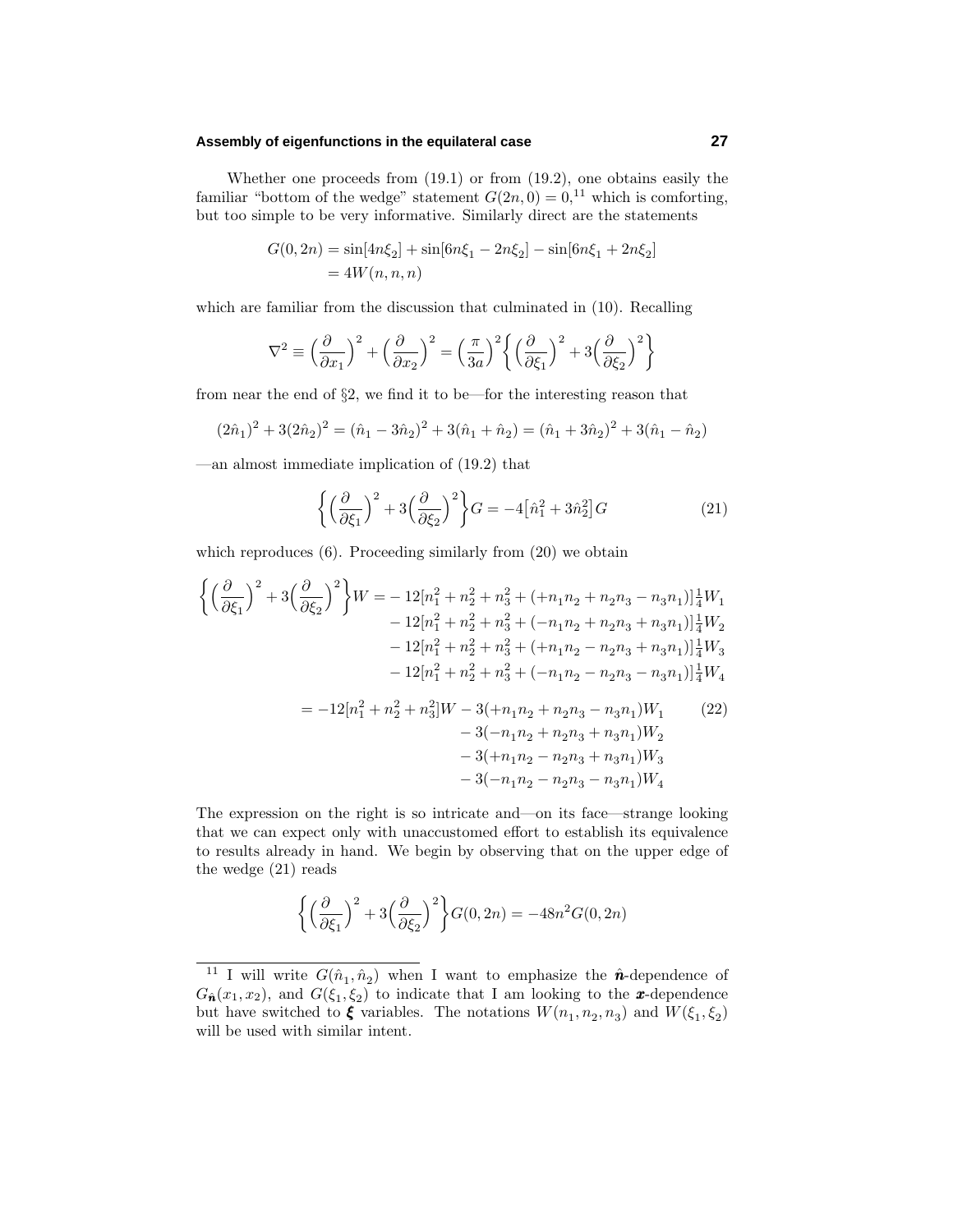### **Assembly of eigenfunctions in the equilateral case 27**

Whether one proceeds from (19.1) or from (19.2), one obtains easily the familiar "bottom of the wedge" statement  $G(2n, 0) = 0,$ <sup>11</sup> which is comforting, but too simple to be very informative. Similarly direct are the statements

$$
G(0, 2n) = \sin[4n\xi_2] + \sin[6n\xi_1 - 2n\xi_2] - \sin[6n\xi_1 + 2n\xi_2]
$$
  
= 4W(n, n, n)

which are familiar from the discussion that culminated in (10). Recalling

$$
\nabla^2 \equiv \left(\frac{\partial}{\partial x_1}\right)^2 + \left(\frac{\partial}{\partial x_2}\right)^2 = \left(\frac{\pi}{3a}\right)^2 \left\{ \left(\frac{\partial}{\partial \xi_1}\right)^2 + 3\left(\frac{\partial}{\partial \xi_2}\right)^2 \right\}
$$

from near the end of §2, we find it to be—for the interesting reason that

$$
(2\hat{n}_1)^2 + 3(2\hat{n}_2)^2 = (\hat{n}_1 - 3\hat{n}_2)^2 + 3(\hat{n}_1 + \hat{n}_2) = (\hat{n}_1 + 3\hat{n}_2)^2 + 3(\hat{n}_1 - \hat{n}_2)
$$

—an almost immediate implication of (19.2) that

$$
\left\{ \left(\frac{\partial}{\partial \xi_1}\right)^2 + 3\left(\frac{\partial}{\partial \xi_2}\right)^2 \right\} G = -4\left[\hat{n}_1^2 + 3\hat{n}_2^2\right] G \tag{21}
$$

 $-3(-n_1n_2 - n_2n_3 - n_3n_1)W_4$ 

which reproduces (6). Proceeding similarly from (20) we obtain

$$
\begin{aligned}\n\left\{\left(\frac{\partial}{\partial \xi_1}\right)^2 + 3\left(\frac{\partial}{\partial \xi_2}\right)^2\right\} W &= -12[n_1^2 + n_2^2 + n_3^2 + (+n_1n_2 + n_2n_3 - n_3n_1)]\frac{1}{4}W_1 \\
&\quad -12[n_1^2 + n_2^2 + n_3^2 + (-n_1n_2 + n_2n_3 + n_3n_1)]\frac{1}{4}W_2 \\
&\quad -12[n_1^2 + n_2^2 + n_3^2 + (+n_1n_2 - n_2n_3 + n_3n_1)]\frac{1}{4}W_3 \\
&\quad -12[n_1^2 + n_2^2 + n_3^2 + (-n_1n_2 - n_2n_3 - n_3n_1)]\frac{1}{4}W_4 \\
&\quad = -12[n_1^2 + n_2^2 + n_3^2]W - 3(+n_1n_2 + n_2n_3 - n_3n_1)W_1\n\end{aligned} \tag{22}
$$
\n
$$
\begin{aligned}\n-3(-n_1n_2 + n_2n_3 + n_3n_1)W_2 \\
&\quad - 3(-n_1n_2 - n_2n_3 + n_3n_1)W_3\n\end{aligned}
$$

The expression on the right is so intricate and—on its face—strange looking that we can expect only with unaccustomed effort to establish its equivalence to results already in hand. We begin by observing that on the upper edge of the wedge (21) reads

$$
\left\{ \left(\frac{\partial}{\partial \xi_1}\right)^2 + 3\left(\frac{\partial}{\partial \xi_2}\right)^2 \right\} G(0, 2n) = -48n^2 G(0, 2n)
$$

<sup>&</sup>lt;sup>11</sup> I will write  $G(\hat{n}_1, \hat{n}_2)$  when I want to emphasize the  $\hat{n}$ -dependence of  $G_{\hat{\mathbf{n}}}(x_1, x_2)$ , and  $G(\xi_1, \xi_2)$  to indicate that I am looking to the *x*-dependence but have switched to  $\xi$  variables. The notations  $W(n_1, n_2, n_3)$  and  $W(\xi_1, \xi_2)$ will be used with similar intent.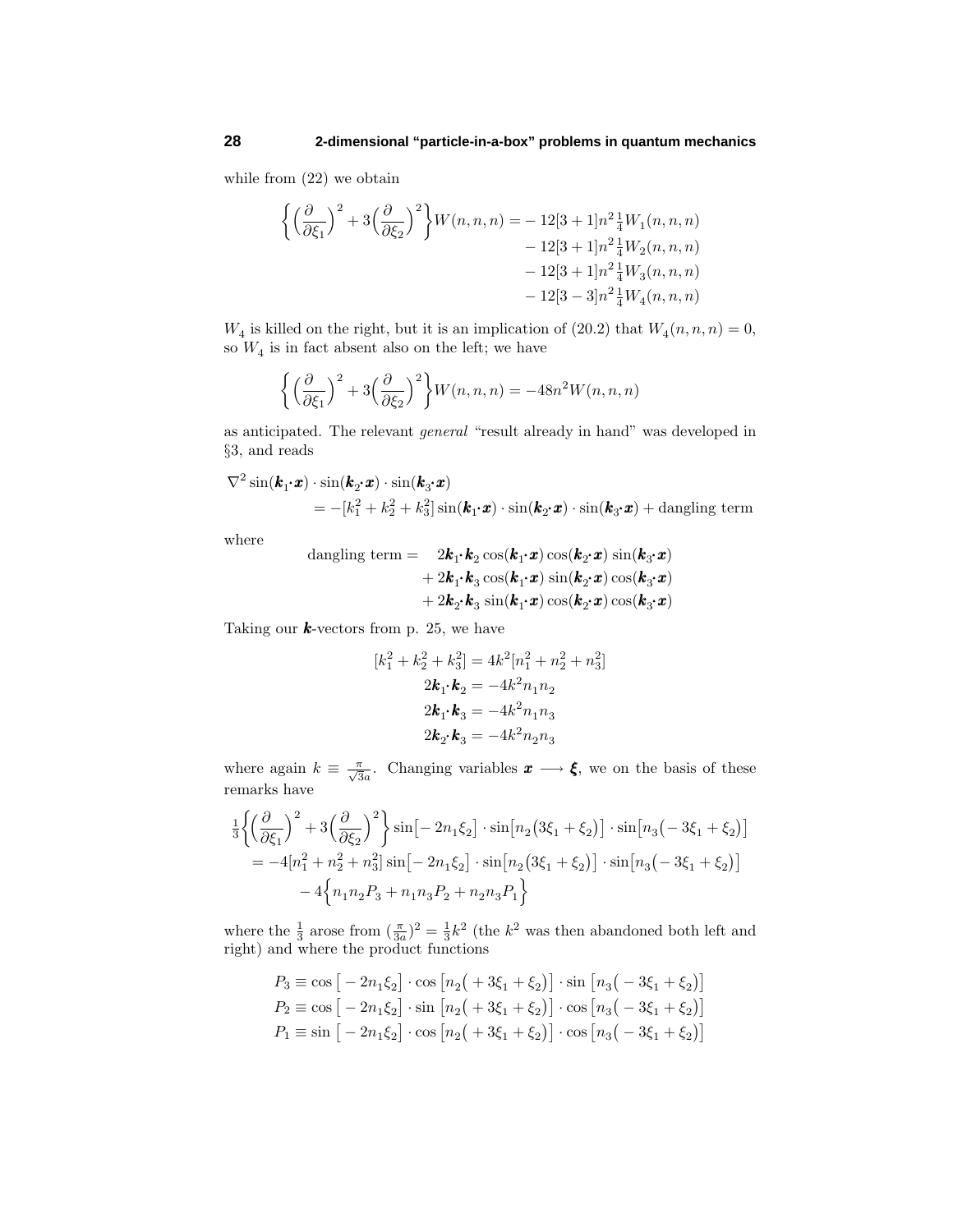while from (22) we obtain

$$
\begin{aligned} \left\{ \left( \frac{\partial}{\partial \xi_1} \right)^2 + 3 \left( \frac{\partial}{\partial \xi_2} \right)^2 \right\} & W(n, n, n) = -12[3 + 1] n^2 \frac{1}{4} W_1(n, n, n) \\ & -12[3 + 1] n^2 \frac{1}{4} W_2(n, n, n) \\ & -12[3 + 1] n^2 \frac{1}{4} W_3(n, n, n) \\ & -12[3 - 3] n^2 \frac{1}{4} W_4(n, n, n) \end{aligned}
$$

 $W_4$  is killed on the right, but it is an implication of (20.2) that  $W_4(n,n,n) = 0$ , so  $W_4$  is in fact absent also on the left; we have

$$
\left\{ \left( \frac{\partial}{\partial \xi_1} \right)^2 + 3 \left( \frac{\partial}{\partial \xi_2} \right)^2 \right\} W(n, n, n) = -48n^2 W(n, n, n)
$$

as anticipated. The relevant general "result already in hand" was developed in §3, and reads

$$
\nabla^2 \sin(\mathbf{k}_1 \cdot \mathbf{x}) \cdot \sin(\mathbf{k}_2 \cdot \mathbf{x}) \cdot \sin(\mathbf{k}_3 \cdot \mathbf{x})
$$
  
= -[k<sub>1</sub><sup>2</sup> + k<sub>2</sub><sup>2</sup> + k<sub>3</sub><sup>2</sup>] sin( $\mathbf{k}_1 \cdot \mathbf{x}$ ) · sin( $\mathbf{k}_2 \cdot \mathbf{x}$ ) · sin( $\mathbf{k}_3 \cdot \mathbf{x}$ ) + danging term

where

$$
\begin{aligned} \text{danging term} = & 2\boldsymbol{k}_1 \boldsymbol{\cdot} \boldsymbol{k}_2 \cos(\boldsymbol{k}_1 \boldsymbol{\cdot} \boldsymbol{x}) \cos(\boldsymbol{k}_2 \boldsymbol{\cdot} \boldsymbol{x}) \sin(\boldsymbol{k}_3 \boldsymbol{\cdot} \boldsymbol{x}) \\ & + 2\boldsymbol{k}_1 \boldsymbol{\cdot} \boldsymbol{k}_3 \cos(\boldsymbol{k}_1 \boldsymbol{\cdot} \boldsymbol{x}) \sin(\boldsymbol{k}_2 \boldsymbol{\cdot} \boldsymbol{x}) \cos(\boldsymbol{k}_3 \boldsymbol{\cdot} \boldsymbol{x}) \\ & + 2\boldsymbol{k}_2 \boldsymbol{\cdot} \boldsymbol{k}_3 \sin(\boldsymbol{k}_1 \boldsymbol{\cdot} \boldsymbol{x}) \cos(\boldsymbol{k}_2 \boldsymbol{\cdot} \boldsymbol{x}) \cos(\boldsymbol{k}_3 \boldsymbol{\cdot} \boldsymbol{x}) \end{aligned}
$$

Taking our *k*-vectors from p. 25, we have

$$
[k_1^2 + k_2^2 + k_3^2] = 4k^2[n_1^2 + n_2^2 + n_3^2]
$$
  

$$
2\mathbf{k}_1 \cdot \mathbf{k}_2 = -4k^2 n_1 n_2
$$
  

$$
2\mathbf{k}_1 \cdot \mathbf{k}_3 = -4k^2 n_1 n_3
$$
  

$$
2\mathbf{k}_2 \cdot \mathbf{k}_3 = -4k^2 n_2 n_3
$$

where again  $k \equiv \frac{\pi}{\sqrt{3}a}$ . Changing variables  $\mathbf{x} \longrightarrow \boldsymbol{\xi}$ , we on the basis of these remarks have

$$
\frac{1}{3}\left\{\left(\frac{\partial}{\partial\xi_1}\right)^2 + 3\left(\frac{\partial}{\partial\xi_2}\right)^2\right\}\sin\left[-2n_1\xi_2\right] \cdot \sin\left[n_2\left(3\xi_1 + \xi_2\right)\right] \cdot \sin\left[n_3\left(-3\xi_1 + \xi_2\right)\right]
$$
  
=  $-4[n_1^2 + n_2^2 + n_3^2] \sin\left[-2n_1\xi_2\right] \cdot \sin\left[n_2\left(3\xi_1 + \xi_2\right)\right] \cdot \sin\left[n_3\left(-3\xi_1 + \xi_2\right)\right]$   
-  $4\left\{n_1n_2P_3 + n_1n_3P_2 + n_2n_3P_1\right\}$ 

where the  $\frac{1}{3}$  arose from  $(\frac{\pi}{3a})^2 = \frac{1}{3}k^2$  (the  $k^2$  was then abandoned both left and right) and where the product functions

$$
P_3 \equiv \cos \left[ -2n_1 \xi_2 \right] \cdot \cos \left[ n_2 \left( +3\xi_1 + \xi_2 \right) \right] \cdot \sin \left[ n_3 \left( -3\xi_1 + \xi_2 \right) \right]
$$
  
\n
$$
P_2 \equiv \cos \left[ -2n_1 \xi_2 \right] \cdot \sin \left[ n_2 \left( +3\xi_1 + \xi_2 \right) \right] \cdot \cos \left[ n_3 \left( -3\xi_1 + \xi_2 \right) \right]
$$
  
\n
$$
P_1 \equiv \sin \left[ -2n_1 \xi_2 \right] \cdot \cos \left[ n_2 \left( +3\xi_1 + \xi_2 \right) \right] \cdot \cos \left[ n_3 \left( -3\xi_1 + \xi_2 \right) \right]
$$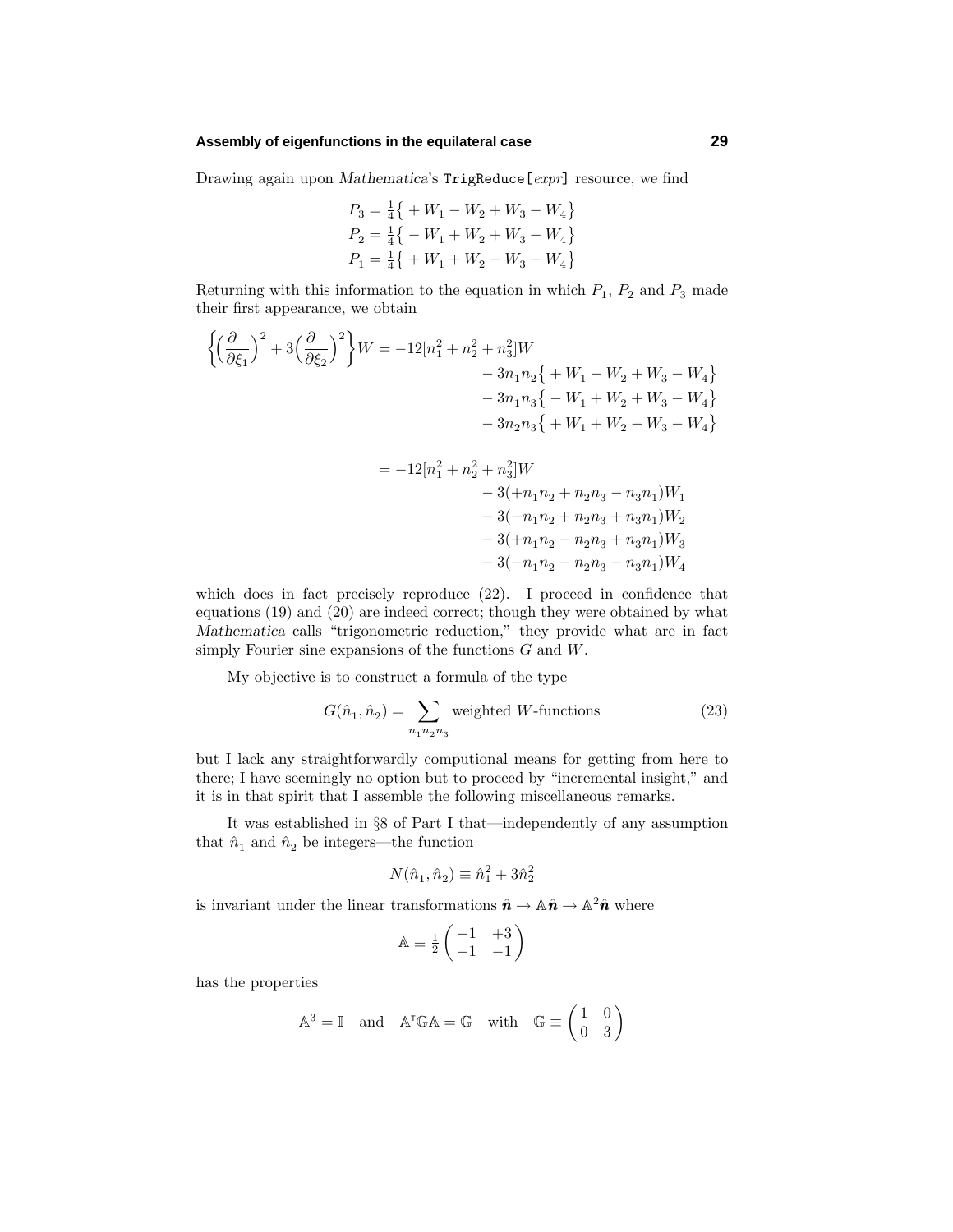#### **Assembly of eigenfunctions in the equilateral case 29**

Drawing again upon *Mathematica*'s TrigReduce[expr] resource, we find

$$
\begin{aligned} P_3 &= \tfrac{1}{4} \big\{ + W_1 - W_2 + W_3 - W_4 \big\} \\ P_2 &= \tfrac{1}{4} \big\{ - W_1 + W_2 + W_3 - W_4 \big\} \\ P_1 &= \tfrac{1}{4} \big\{ + W_1 + W_2 - W_3 - W_4 \big\} \end{aligned}
$$

Returning with this information to the equation in which  $P_1$ ,  $P_2$  and  $P_3$  made their first appearance, we obtain

$$
\begin{aligned} \left\{ \left( \frac{\partial}{\partial \xi_1} \right)^2 + 3 \left( \frac{\partial}{\partial \xi_2} \right)^2 \right\} W &= -12 \left[ n_1^2 + n_2^2 + n_3^2 \right] W \\ &- 3n_1 n_2 \left\{ + W_1 - W_2 + W_3 - W_4 \right\} \\ &- 3n_1 n_3 \left\{ -W_1 + W_2 + W_3 - W_4 \right\} \\ &- 3n_2 n_3 \left\{ + W_1 + W_2 - W_3 - W_4 \right\} \end{aligned}
$$

$$
= -12[n_1^2 + n_2^2 + n_3^2]W
$$
  
\n
$$
-3(+n_1n_2 + n_2n_3 - n_3n_1)W_1
$$
  
\n
$$
-3(-n_1n_2 + n_2n_3 + n_3n_1)W_2
$$
  
\n
$$
-3(+n_1n_2 - n_2n_3 + n_3n_1)W_3
$$
  
\n
$$
-3(-n_1n_2 - n_2n_3 - n_3n_1)W_4
$$

which does in fact precisely reproduce  $(22)$ . I proceed in confidence that equations (19) and (20) are indeed correct; though they were obtained by what *Mathematica* calls "trigonometric reduction," they provide what are in fact simply Fourier sine expansions of the functions *G* and *W*.

My objective is to construct a formula of the type

$$
G(\hat{n}_1, \hat{n}_2) = \sum_{n_1 n_2 n_3} \text{weighted } W\text{-functions} \tag{23}
$$

but I lack any straightforwardly computional means for getting from here to there; I have seemingly no option but to proceed by "incremental insight," and it is in that spirit that I assemble the following miscellaneous remarks.

It was established in §8 of Part I that—independently of any assumption that  $\hat{n}_1$  and  $\hat{n}_2$  be integers—the function

$$
N(\hat{n}_1, \hat{n}_2) \equiv \hat{n}_1^2 + 3\hat{n}_2^2
$$

is invariant under the linear transformations  $\hat{\mathbf{n}} \to \mathbb{A} \hat{\mathbf{n}} \to \mathbb{A}^2 \hat{\mathbf{n}}$  where

$$
\mathbb{A} \equiv \frac{1}{2} \begin{pmatrix} -1 & +3 \\ -1 & -1 \end{pmatrix}
$$

has the properties

$$
\mathbb{A}^3 = \mathbb{I} \quad \text{and} \quad \mathbb{A}^{\mathsf{T}} \mathbb{G} \mathbb{A} = \mathbb{G} \quad \text{with} \quad \mathbb{G} \equiv \begin{pmatrix} 1 & 0 \\ 0 & 3 \end{pmatrix}
$$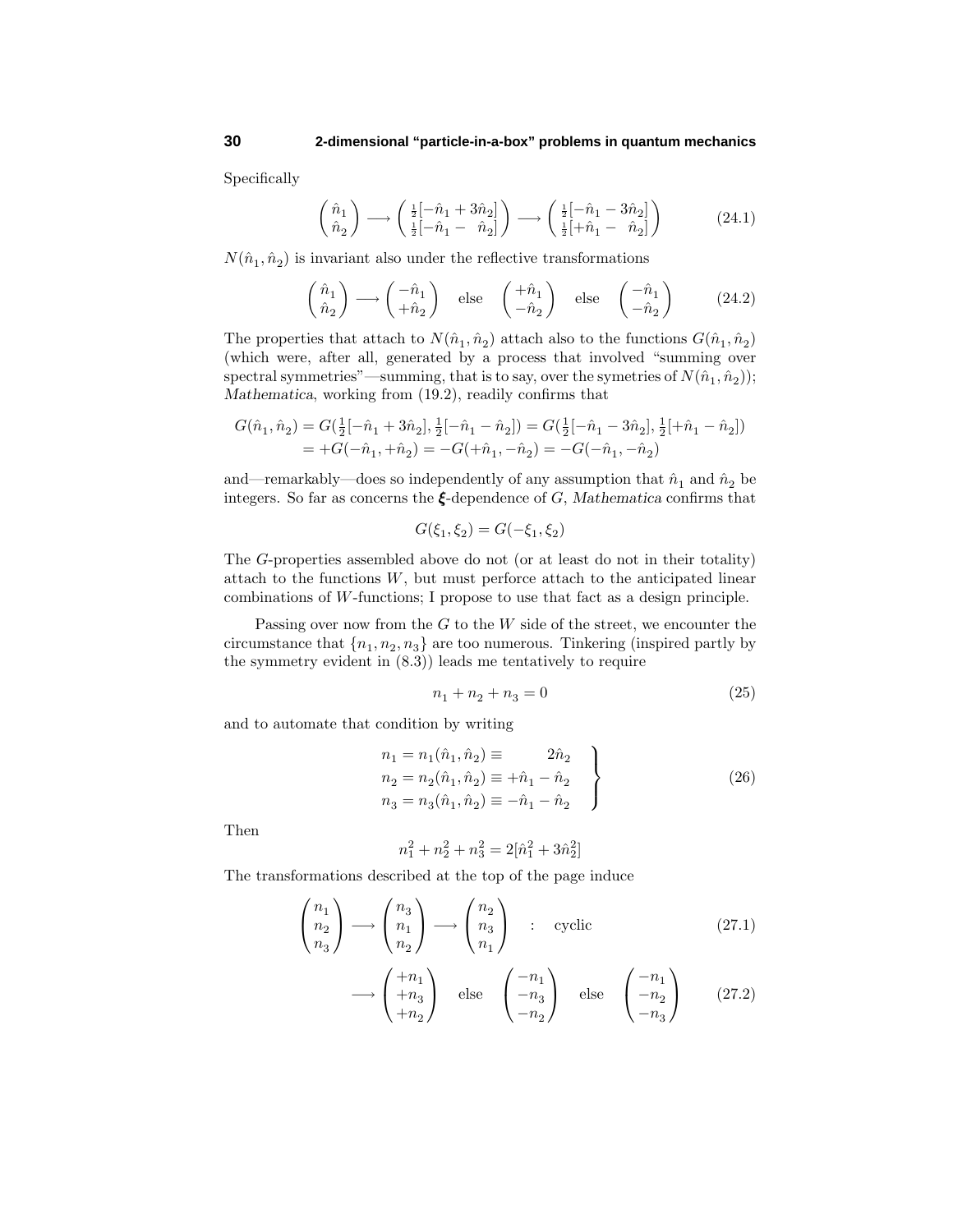Specifically

$$
\begin{pmatrix}\n\hat{n}_1 \\
\hat{n}_2\n\end{pmatrix}\n\longrightarrow\n\begin{pmatrix}\n\frac{1}{2}[-\hat{n}_1 + 3\hat{n}_2] \\
\frac{1}{2}[-\hat{n}_1 - \hat{n}_2]\n\end{pmatrix}\n\longrightarrow\n\begin{pmatrix}\n\frac{1}{2}[-\hat{n}_1 - 3\hat{n}_2] \\
\frac{1}{2}[\hat{n}_1 - \hat{n}_2]\n\end{pmatrix}
$$
\n(24.1)

 $N(\hat{n}_1, \hat{n}_2)$  is invariant also under the reflective transformations

$$
\begin{pmatrix} \hat{n}_1 \\ \hat{n}_2 \end{pmatrix} \longrightarrow \begin{pmatrix} -\hat{n}_1 \\ +\hat{n}_2 \end{pmatrix} \text{ else } \begin{pmatrix} +\hat{n}_1 \\ -\hat{n}_2 \end{pmatrix} \text{ else } \begin{pmatrix} -\hat{n}_1 \\ -\hat{n}_2 \end{pmatrix} \tag{24.2}
$$

The properties that attach to  $N(\hat{n}_1, \hat{n}_2)$  attach also to the functions  $G(\hat{n}_1, \hat{n}_2)$ (which were, after all, generated by a process that involved "summing over spectral symmetries"—summing, that is to say, over the symetries of  $N(\hat{n}_1, \hat{n}_2)$ ; *Mathematica*, working from (19.2), readily confirms that

$$
G(\hat{n}_1, \hat{n}_2) = G(\frac{1}{2}[-\hat{n}_1 + 3\hat{n}_2], \frac{1}{2}[-\hat{n}_1 - \hat{n}_2]) = G(\frac{1}{2}[-\hat{n}_1 - 3\hat{n}_2], \frac{1}{2}[+\hat{n}_1 - \hat{n}_2])
$$
  
= +G(-\hat{n}\_1, +\hat{n}\_2) = -G(+\hat{n}\_1, -\hat{n}\_2) = -G(-\hat{n}\_1, -\hat{n}\_2)

and—remarkably—does so independently of any assumption that  $\hat{n}_1$  and  $\hat{n}_2$  be integers. So far as concerns the *ξ*-dependence of *G*, *Mathematica* confirms that

$$
G(\xi_1, \xi_2) = G(-\xi_1, \xi_2)
$$

The *G*-properties assembled above do not (or at least do not in their totality) attach to the functions *W*, but must perforce attach to the anticipated linear combinations of *W*-functions; I propose to use that fact as a design principle.

Passing over now from the *G* to the *W* side of the street, we encounter the circumstance that  $\{n_1, n_2, n_3\}$  are too numerous. Tinkering (inspired partly by the symmetry evident in (8.3)) leads me tentatively to require

$$
n_1 + n_2 + n_3 = 0 \tag{25}
$$

and to automate that condition by writing

$$
n_1 = n_1(\hat{n}_1, \hat{n}_2) \equiv 2\hat{n}_2 \n n_2 = n_2(\hat{n}_1, \hat{n}_2) \equiv +\hat{n}_1 - \hat{n}_2 \n n_3 = n_3(\hat{n}_1, \hat{n}_2) \equiv -\hat{n}_1 - \hat{n}_2
$$
\n(26)

Then

$$
n_1^2 + n_2^2 + n_3^2 = 2[\hat{n}_1^2 + 3\hat{n}_2^2]
$$

The transformations described at the top of the page induce

$$
\begin{pmatrix} n_1 \\ n_2 \\ n_3 \end{pmatrix} \longrightarrow \begin{pmatrix} n_3 \\ n_1 \\ n_2 \end{pmatrix} \longrightarrow \begin{pmatrix} n_2 \\ n_3 \\ n_1 \end{pmatrix} : cyclic \qquad (27.1)
$$

$$
\longrightarrow \begin{pmatrix} +n_1 \\ +n_3 \\ +n_2 \end{pmatrix} \quad \text{else} \quad \begin{pmatrix} -n_1 \\ -n_3 \\ -n_2 \end{pmatrix} \quad \text{else} \quad \begin{pmatrix} -n_1 \\ -n_2 \\ -n_3 \end{pmatrix} \tag{27.2}
$$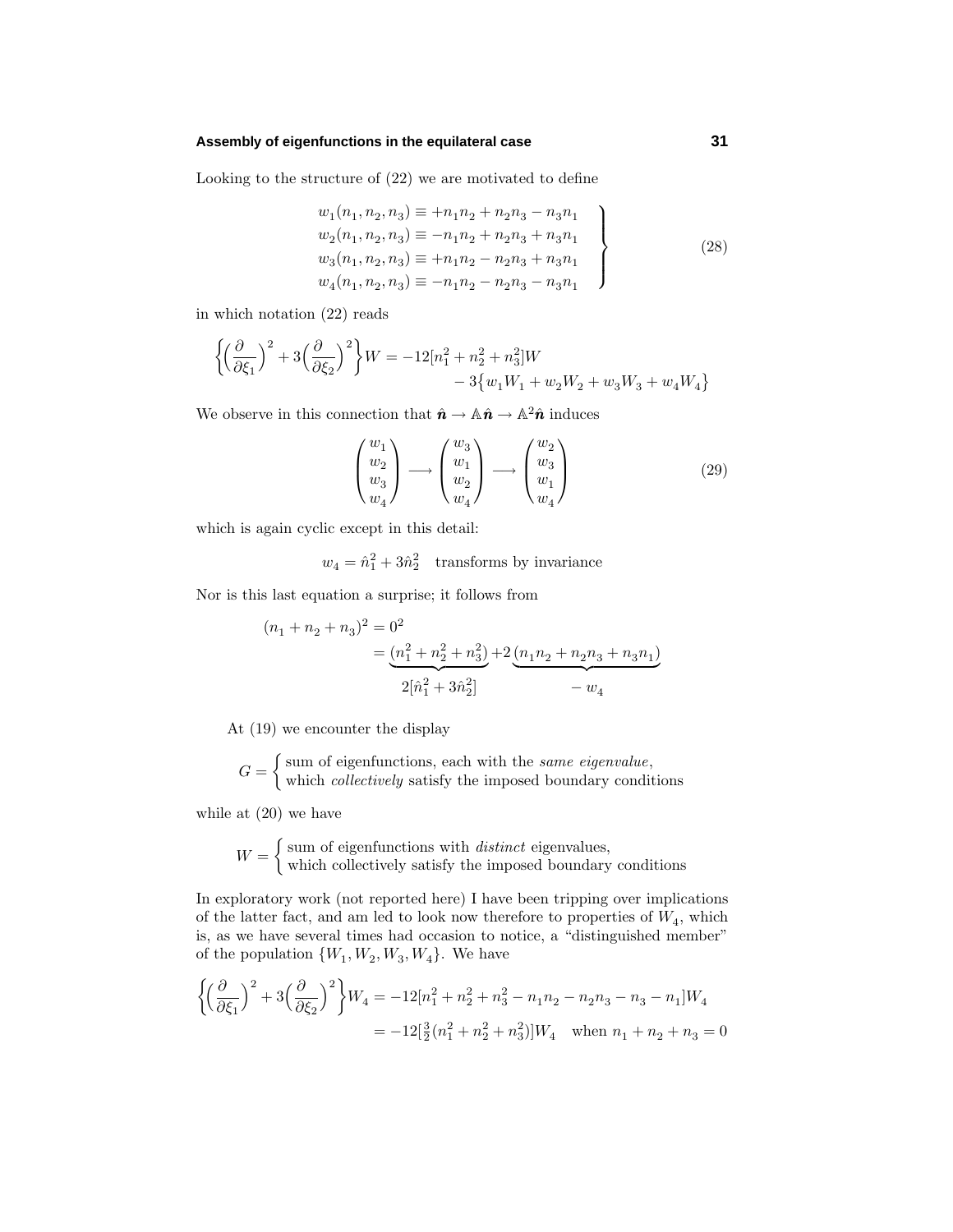#### **Assembly of eigenfunctions in the equilateral case 31**

Looking to the structure of (22) we are motivated to define

$$
w_1(n_1, n_2, n_3) \equiv +n_1 n_2 + n_2 n_3 - n_3 n_1
$$
  
\n
$$
w_2(n_1, n_2, n_3) \equiv -n_1 n_2 + n_2 n_3 + n_3 n_1
$$
  
\n
$$
w_3(n_1, n_2, n_3) \equiv +n_1 n_2 - n_2 n_3 + n_3 n_1
$$
  
\n
$$
w_4(n_1, n_2, n_3) \equiv -n_1 n_2 - n_2 n_3 - n_3 n_1
$$
\n(28)

in which notation (22) reads

$$
\begin{aligned} \left\{ \left( \frac{\partial}{\partial \xi_1} \right)^2 + 3 \left( \frac{\partial}{\partial \xi_2} \right)^2 \right\} W &= -12 \left[ n_1^2 + n_2^2 + n_3^2 \right] W \\ &- 3 \left\{ w_1 W_1 + w_2 W_2 + w_3 W_3 + w_4 W_4 \right\} \end{aligned}
$$

We observe in this connection that  $\hat{n} \to \mathbb{A}\hat{n} \to \mathbb{A}^2\hat{n}$  induces

$$
\begin{pmatrix} w_1 \\ w_2 \\ w_3 \\ w_4 \end{pmatrix} \longrightarrow \begin{pmatrix} w_3 \\ w_1 \\ w_2 \\ w_4 \end{pmatrix} \longrightarrow \begin{pmatrix} w_2 \\ w_3 \\ w_1 \\ w_4 \end{pmatrix}
$$
 (29)

which is again cyclic except in this detail:

 $w_4 = \hat{n}_1^2 + 3\hat{n}_2^2$  transforms by invariance

Nor is this last equation a surprise; it follows from

$$
(n_1 + n_2 + n_3)^2 = 0^2
$$
  
= 
$$
\underbrace{(n_1^2 + n_2^2 + n_3^2)}_{2[\hat{n}_1^2 + 3\hat{n}_2^2]} + 2\underbrace{(n_1n_2 + n_2n_3 + n_3n_1)}_{-w_4}
$$

At (19) we encounter the display

 $G = \begin{cases}$  sum of eigenfunctions, each with the *same eigenvalue*, which *collectively* satisfy the imposed boundary conditions

while at (20) we have

$$
W = \begin{cases} \text{sum of eigenfunctions with } distinct \text{ eigenvalues,} \\ \text{which collectively satisfy the imposed boundary conditions} \end{cases}
$$

In exploratory work (not reported here) I have been tripping over implications of the latter fact, and am led to look now therefore to properties of  $W_4$ , which is, as we have several times had occasion to notice, a "distinguished member" of the population  $\{W_1, W_2, W_3, W_4\}$ . We have

$$
\begin{aligned} \left\{ \left( \frac{\partial}{\partial \xi_1} \right)^2 + 3 \left( \frac{\partial}{\partial \xi_2} \right)^2 \right\} W_4 &= -12 \left[ n_1^2 + n_2^2 + n_3^2 - n_1 n_2 - n_2 n_3 - n_3 - n_1 \right] W_4 \\ &= -12 \left[ \frac{3}{2} (n_1^2 + n_2^2 + n_3^2) \right] W_4 \quad \text{when } n_1 + n_2 + n_3 = 0 \end{aligned}
$$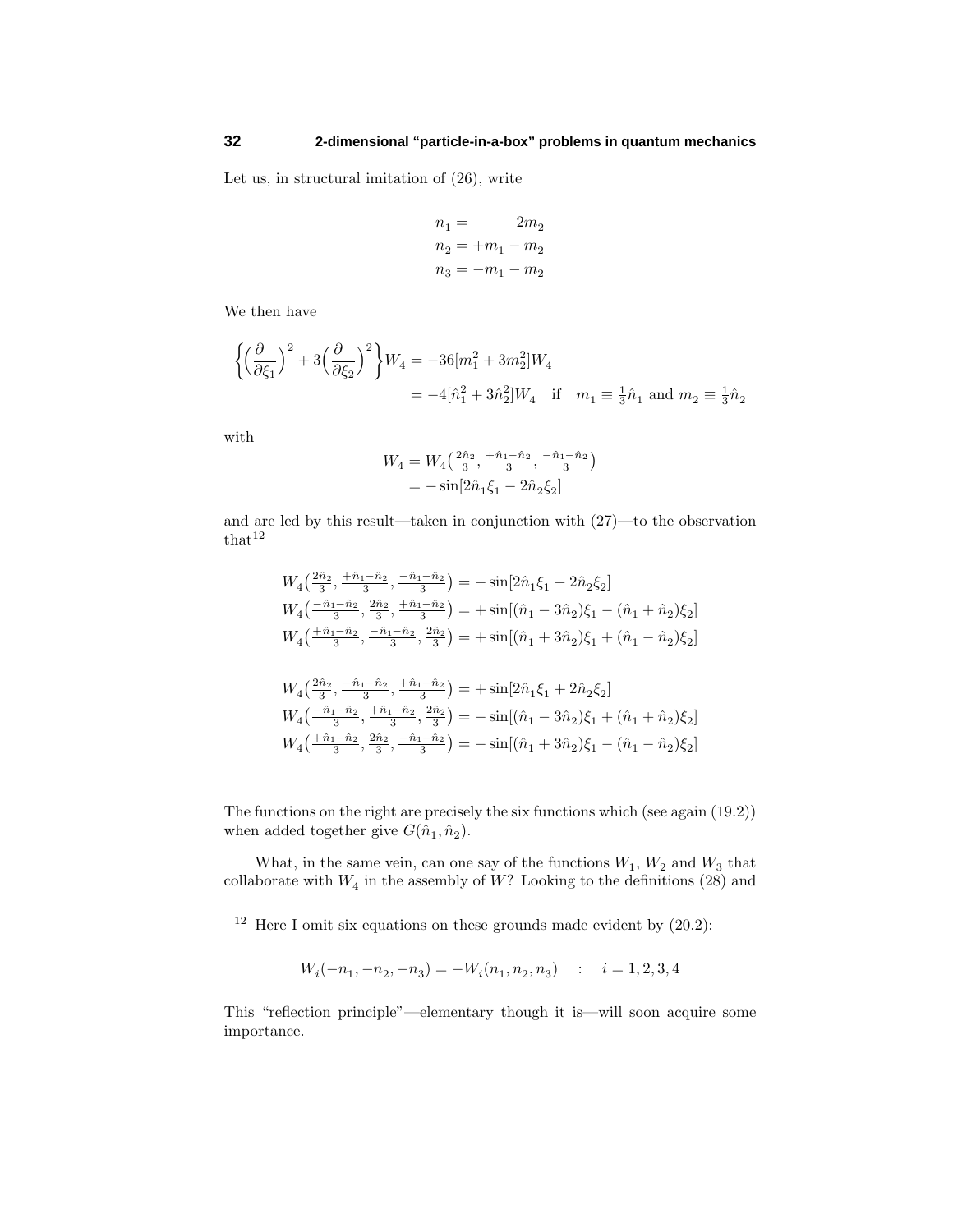Let us, in structural imitation of (26), write

$$
\begin{aligned} n_1&=&2m_2\\ n_2&=+m_1-m_2\\ n_3&=-m_1-m_2 \end{aligned}
$$

We then have

$$
\begin{aligned} \left\{ \left( \frac{\partial}{\partial \xi_1} \right)^2 + 3 \left( \frac{\partial}{\partial \xi_2} \right)^2 \right\} W_4 &= -36[m_1^2 + 3m_2^2] W_4 \\ &= -4[\hat{n}_1^2 + 3\hat{n}_2^2] W_4 \quad \text{if} \quad m_1 \equiv \frac{1}{3}\hat{n}_1 \text{ and } m_2 \equiv \frac{1}{3}\hat{n}_2 \end{aligned}
$$

with

$$
W_4 = W_4 \left( \frac{2\hat{n}_2}{3}, \frac{+\hat{n}_1 - \hat{n}_2}{3}, \frac{-\hat{n}_1 - \hat{n}_2}{3} \right)
$$
  
=  $-\sin[2\hat{n}_1 \xi_1 - 2\hat{n}_2 \xi_2]$ 

and are led by this result—taken in conjunction with (27)—to the observation  $that<sup>12</sup>$ 

$$
W_4\left(\frac{2\hat{n}_2}{3}, \frac{\hat{n}_1 - \hat{n}_2}{3}, \frac{-\hat{n}_1 - \hat{n}_2}{3}\right) = -\sin[2\hat{n}_1\xi_1 - 2\hat{n}_2\xi_2]
$$
  
\n
$$
W_4\left(\frac{-\hat{n}_1 - \hat{n}_2}{3}, \frac{2\hat{n}_2}{3}, \frac{\hat{n}_1 - \hat{n}_2}{3}\right) = +\sin[(\hat{n}_1 - 3\hat{n}_2)\xi_1 - (\hat{n}_1 + \hat{n}_2)\xi_2]
$$
  
\n
$$
W_4\left(\frac{+\hat{n}_1 - \hat{n}_2}{3}, \frac{-\hat{n}_1 - \hat{n}_2}{3}, \frac{2\hat{n}_2}{3}\right) = +\sin[(\hat{n}_1 + 3\hat{n}_2)\xi_1 + (\hat{n}_1 - \hat{n}_2)\xi_2]
$$
  
\n
$$
W_4\left(\frac{2\hat{n}_2}{3}, \frac{-\hat{n}_1 - \hat{n}_2}{3}, \frac{\hat{n}_1 - \hat{n}_2}{3}\right) = +\sin[2\hat{n}_1\xi_1 + 2\hat{n}_2\xi_2]
$$
  
\n
$$
W_4\left(\frac{-\hat{n}_1 - \hat{n}_2}{3}, \frac{\hat{n}_1 - \hat{n}_2}{3}, \frac{2\hat{n}_2}{3}\right) = -\sin[(\hat{n}_1 - 3\hat{n}_2)\xi_1 + (\hat{n}_1 + \hat{n}_2)\xi_2]
$$
  
\n
$$
W_4\left(\frac{+\hat{n}_1 - \hat{n}_2}{3}, \frac{2\hat{n}_2}{3}, \frac{-\hat{n}_1 - \hat{n}_2}{3}\right) = -\sin[(\hat{n}_1 + 3\hat{n}_2)\xi_1 - (\hat{n}_1 - \hat{n}_2)\xi_2]
$$

The functions on the right are precisely the six functions which (see again (19.2)) when added together give  $G(\hat{n}_1, \hat{n}_2)$ .

What, in the same vein, can one say of the functions  $W_1$ ,  $W_2$  and  $W_3$  that collaborate with  $W_4$  in the assembly of  $W$ ? Looking to the definitions (28) and

<sup>12</sup> Here I omit six equations on these grounds made evident by  $(20.2)$ :

$$
W_i(-n_1, -n_2, -n_3) = -W_i(n_1, n_2, n_3) \quad : \quad i = 1, 2, 3, 4
$$

This "reflection principle"—elementary though it is—will soon acquire some importance.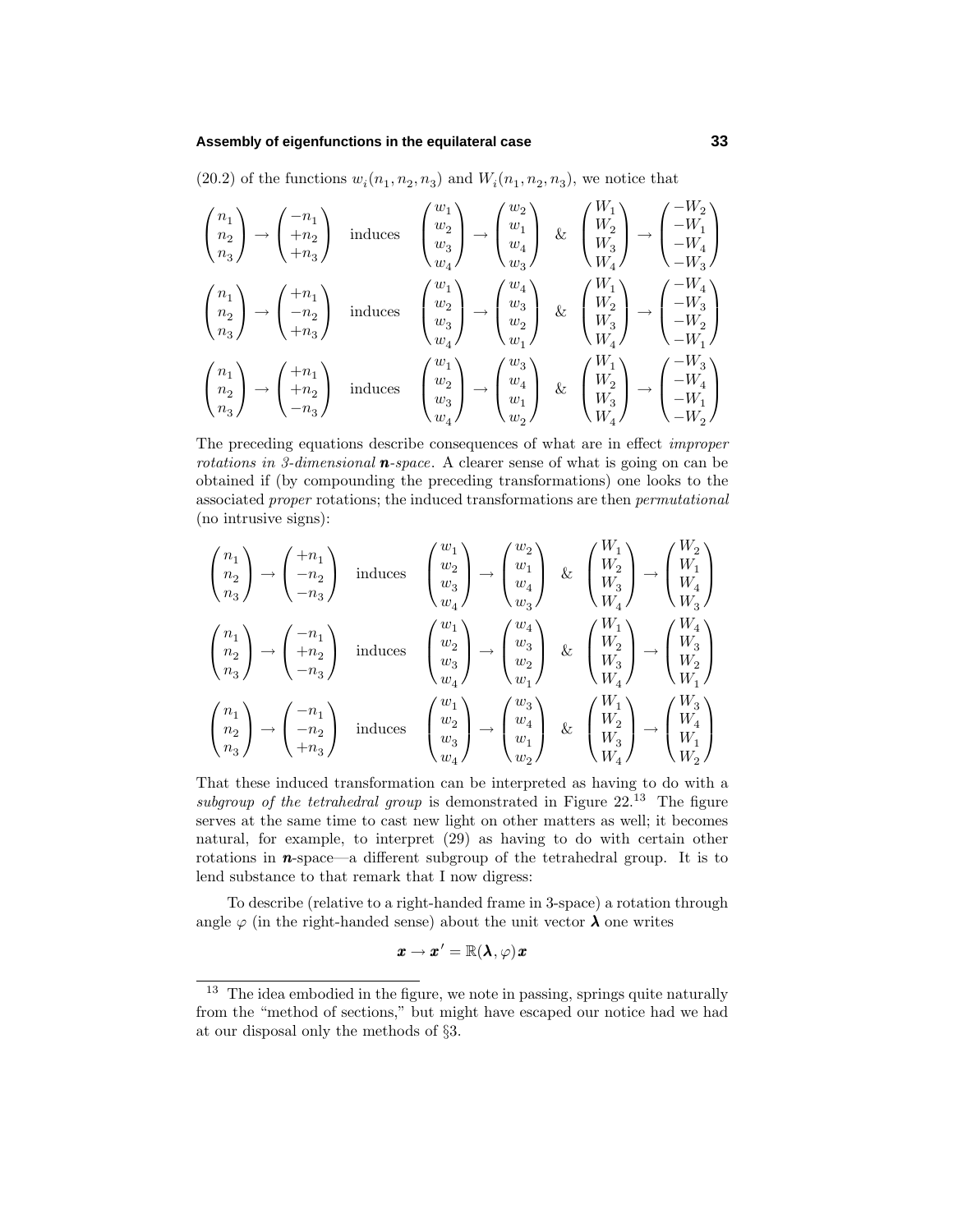#### **Assembly of eigenfunctions in the equilateral case 33**

(20.2) of the functions  $w_i(n_1, n_2, n_3)$  and  $W_i(n_1, n_2, n_3)$ , we notice that

$$
\begin{pmatrix} n_1 \\ n_2 \\ n_3 \end{pmatrix} \rightarrow \begin{pmatrix} -n_1 \\ +n_2 \\ +n_3 \end{pmatrix} \quad \text{induces} \quad \begin{pmatrix} w_1 \\ w_2 \\ w_3 \\ w_4 \end{pmatrix} \rightarrow \begin{pmatrix} w_2 \\ w_1 \\ w_4 \\ w_3 \end{pmatrix} \quad \& \quad \begin{pmatrix} W_1 \\ W_2 \\ W_3 \\ W_4 \end{pmatrix} \rightarrow \begin{pmatrix} -W_2 \\ -W_1 \\ -W_4 \\ -W_3 \end{pmatrix}
$$

$$
\begin{pmatrix} n_1 \\ n_2 \\ n_3 \end{pmatrix} \rightarrow \begin{pmatrix} +n_1 \\ -n_2 \\ +n_3 \end{pmatrix} \quad \text{induces} \quad \begin{pmatrix} w_1 \\ w_2 \\ w_3 \\ w_4 \end{pmatrix} \rightarrow \begin{pmatrix} w_4 \\ w_3 \\ w_2 \\ w_1 \end{pmatrix} \quad \& \quad \begin{pmatrix} W_1 \\ W_2 \\ W_3 \\ W_4 \end{pmatrix} \rightarrow \begin{pmatrix} -W_4 \\ -W_2 \\ -W_2 \\ -W_1 \end{pmatrix}
$$

$$
\begin{pmatrix} n_1 \\ n_2 \\ n_3 \\ n_3 \end{pmatrix} \rightarrow \begin{pmatrix} +n_1 \\ +n_2 \\ -n_3 \end{pmatrix} \quad \text{induces} \quad \begin{pmatrix} w_1 \\ w_2 \\ w_3 \\ w_4 \end{pmatrix} \rightarrow \begin{pmatrix} w_3 \\ w_4 \\ w_1 \\ w_2 \end{pmatrix} \quad \& \quad \begin{pmatrix} W_1 \\ W_2 \\ W_3 \\ W_4 \end{pmatrix} \rightarrow \begin{pmatrix} -W_3 \\ -W_4 \\ -W_1 \\ -W_2 \end{pmatrix}
$$

The preceding equations describe consequences of what are in effect improper rotations in 3-dimensional *n*-space. A clearer sense of what is going on can be obtained if (by compounding the preceding transformations) one looks to the associated proper rotations; the induced transformations are then permutational (no intrusive signs):

$$
\begin{pmatrix} n_1 \\ n_2 \\ n_3 \end{pmatrix} \rightarrow \begin{pmatrix} +n_1 \\ -n_2 \\ -n_3 \end{pmatrix} \quad \text{induces} \quad \begin{pmatrix} w_1 \\ w_2 \\ w_3 \\ w_4 \end{pmatrix} \rightarrow \begin{pmatrix} w_2 \\ w_1 \\ w_4 \\ w_3 \end{pmatrix} \quad \& \quad \begin{pmatrix} W_1 \\ W_2 \\ W_3 \\ W_4 \end{pmatrix} \rightarrow \begin{pmatrix} W_2 \\ W_1 \\ W_4 \\ W_5 \end{pmatrix}
$$

$$
\begin{pmatrix} n_1 \\ n_2 \\ n_3 \end{pmatrix} \rightarrow \begin{pmatrix} -n_1 \\ +n_2 \\ -n_3 \end{pmatrix} \quad \text{induces} \quad \begin{pmatrix} w_1 \\ w_2 \\ w_3 \\ w_4 \end{pmatrix} \rightarrow \begin{pmatrix} w_4 \\ w_3 \\ w_2 \\ w_1 \end{pmatrix} \quad \& \quad \begin{pmatrix} W_1 \\ W_2 \\ W_3 \\ W_4 \end{pmatrix} \rightarrow \begin{pmatrix} W_4 \\ W_3 \\ W_4 \\ W_4 \end{pmatrix}
$$

$$
\begin{pmatrix} n_1 \\ n_2 \\ n_3 \\ n_3 \end{pmatrix} \rightarrow \begin{pmatrix} -n_1 \\ -n_2 \\ +n_3 \end{pmatrix} \quad \text{induces} \quad \begin{pmatrix} w_1 \\ w_2 \\ w_3 \\ w_4 \end{pmatrix} \rightarrow \begin{pmatrix} w_3 \\ w_4 \\ w_1 \\ w_2 \end{pmatrix} \quad \& \quad \begin{pmatrix} W_1 \\ W_2 \\ W_3 \\ W_4 \end{pmatrix} \rightarrow \begin{pmatrix} W_3 \\ W_4 \\ W_4 \\ W_5 \end{pmatrix}
$$

That these induced transformation can be interpreted as having to do with a subgroup of the tetrahedral group is demonstrated in Figure  $22^{13}$ . The figure serves at the same time to cast new light on other matters as well; it becomes natural, for example, to interpret (29) as having to do with certain other rotations in *n*-space—a different subgroup of the tetrahedral group. It is to lend substance to that remark that I now digress:

To describe (relative to a right-handed frame in 3-space) a rotation through angle  $\varphi$  (in the right-handed sense) about the unit vector  $\lambda$  one writes

$$
\boldsymbol{x}\rightarrow\boldsymbol{x}'=\mathbb{R}(\boldsymbol{\lambda},\varphi)\boldsymbol{x}
$$

<sup>&</sup>lt;sup>13</sup> The idea embodied in the figure, we note in passing, springs quite naturally from the "method of sections," but might have escaped our notice had we had at our disposal only the methods of §3.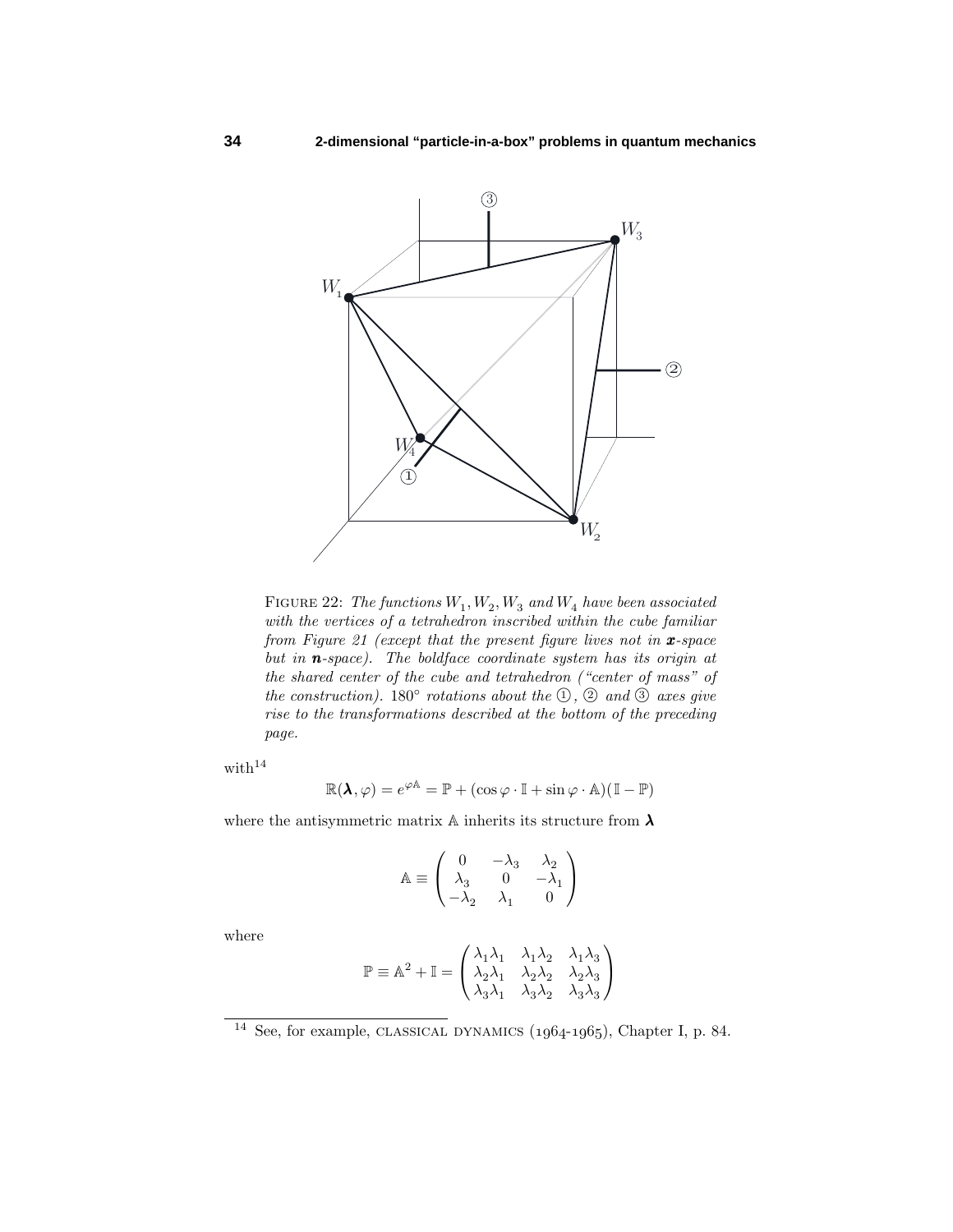

FIGURE 22: The functions  $W_1, W_2, W_3$  and  $W_4$  have been associated with the vertices of a tetrahedron inscribed within the cube familiar from Figure 21 (except that the present figure lives not in *x*-space but in *n*-space). The boldface coordinate system has its origin at the shared center of the cube and tetrahedron ("center of mass"of the construction). 180 $^{\circ}$  rotations about the  $(1)$ ,  $(2)$  and  $(3)$  axes give rise to the transformations described at the bottom of the preceding page.

 $\rm{with}^{14}$ 

$$
\mathbb{R}(\lambda, \varphi) = e^{\varphi \mathbb{A}} = \mathbb{P} + (\cos \varphi \cdot \mathbb{I} + \sin \varphi \cdot \mathbb{A})(\mathbb{I} - \mathbb{P})
$$

where the antisymmetric matrix A inherits its structure from *λ*

$$
\mathbb{A} \equiv \begin{pmatrix} 0 & -\lambda_3 & \lambda_2 \\ \lambda_3 & 0 & -\lambda_1 \\ -\lambda_2 & \lambda_1 & 0 \end{pmatrix}
$$

where

$$
\mathbb{P} \equiv \mathbb{A}^2 + \mathbb{I} = \begin{pmatrix} \lambda_1 \lambda_1 & \lambda_1 \lambda_2 & \lambda_1 \lambda_3 \\ \lambda_2 \lambda_1 & \lambda_2 \lambda_2 & \lambda_2 \lambda_3 \\ \lambda_3 \lambda_1 & \lambda_3 \lambda_2 & \lambda_3 \lambda_3 \end{pmatrix}
$$

<sup>&</sup>lt;sup>14</sup> See, for example, CLASSICAL DYNAMICS  $(1964-1965)$ , Chapter I, p. 84.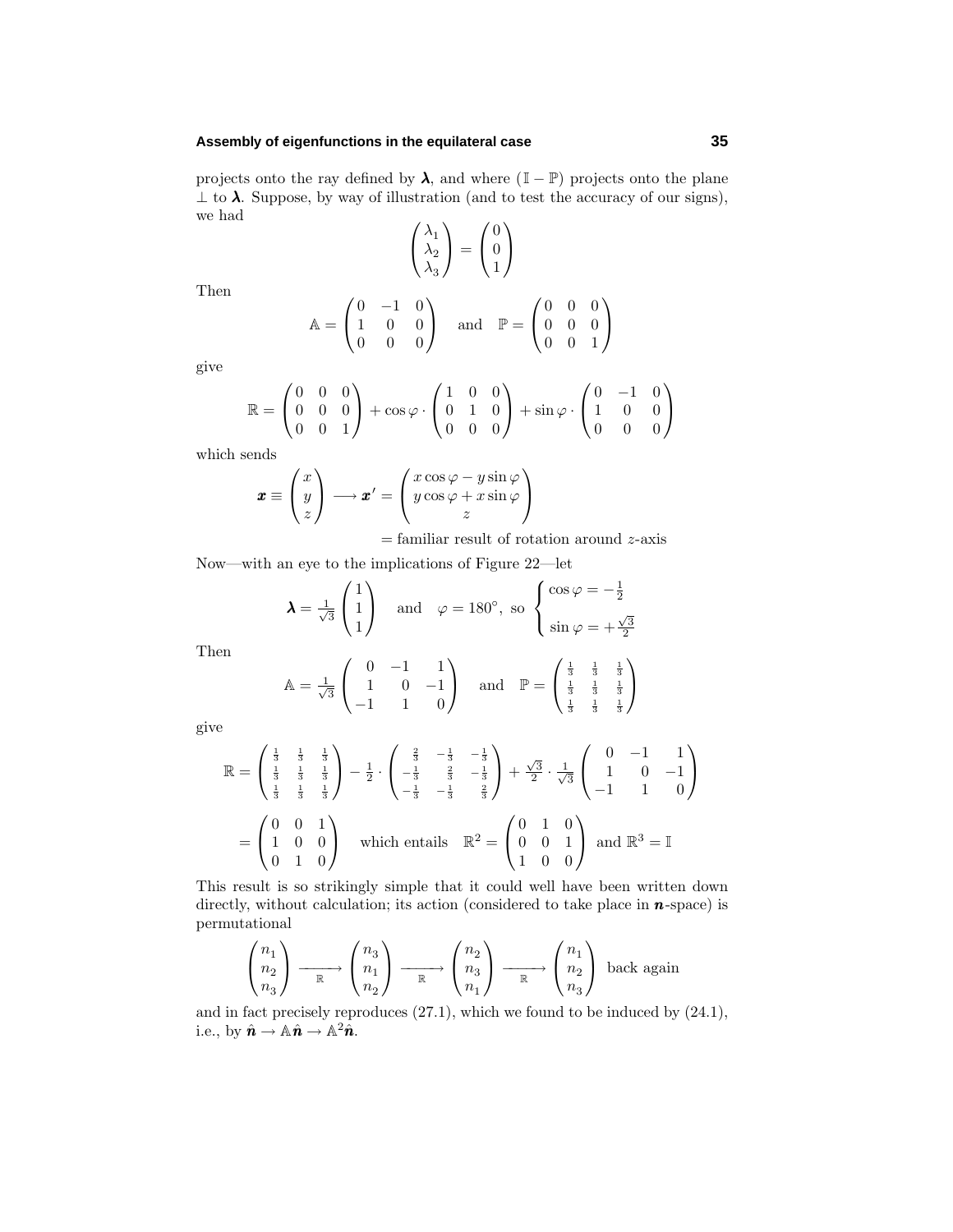## **Assembly of eigenfunctions in the equilateral case 35**

projects onto the ray defined by  $\lambda$ , and where  $(\mathbb{I} - \mathbb{P})$  projects onto the plane ⊥ to *λ*. Suppose, by way of illustration (and to test the accuracy of our signs), we had

$$
\begin{pmatrix} \lambda_1 \\ \lambda_2 \\ \lambda_3 \end{pmatrix} = \begin{pmatrix} 0 \\ 0 \\ 1 \end{pmatrix}
$$

Then

$$
\mathbb{A} = \begin{pmatrix} 0 & -1 & 0 \\ 1 & 0 & 0 \\ 0 & 0 & 0 \end{pmatrix} \quad \text{and} \quad \mathbb{P} = \begin{pmatrix} 0 & 0 & 0 \\ 0 & 0 & 0 \\ 0 & 0 & 1 \end{pmatrix}
$$

give

$$
\mathbb{R} = \begin{pmatrix} 0 & 0 & 0 \\ 0 & 0 & 0 \\ 0 & 0 & 1 \end{pmatrix} + \cos \varphi \cdot \begin{pmatrix} 1 & 0 & 0 \\ 0 & 1 & 0 \\ 0 & 0 & 0 \end{pmatrix} + \sin \varphi \cdot \begin{pmatrix} 0 & -1 & 0 \\ 1 & 0 & 0 \\ 0 & 0 & 0 \end{pmatrix}
$$

which sends

$$
\boldsymbol{x} \equiv \begin{pmatrix} x \\ y \\ z \end{pmatrix} \longrightarrow \boldsymbol{x}' = \begin{pmatrix} x \cos \varphi - y \sin \varphi \\ y \cos \varphi + x \sin \varphi \\ z \end{pmatrix}
$$

= familiar result of rotation around *z*-axis

Now—with an eye to the implications of Figure 22—let

$$
\lambda = \frac{1}{\sqrt{3}} \begin{pmatrix} 1 \\ 1 \\ 1 \end{pmatrix} \quad \text{and} \quad \varphi = 180^{\circ}, \text{ so } \begin{cases} \cos \varphi = -\frac{1}{2} \\ \sin \varphi = +\frac{\sqrt{3}}{2} \end{cases}
$$

Then

$$
\mathbb{A} = \frac{1}{\sqrt{3}} \begin{pmatrix} 0 & -1 & 1 \\ 1 & 0 & -1 \\ -1 & 1 & 0 \end{pmatrix} \text{ and } \mathbb{P} = \begin{pmatrix} \frac{1}{3} & \frac{1}{3} & \frac{1}{3} \\ \frac{1}{3} & \frac{1}{3} & \frac{1}{3} \\ \frac{1}{3} & \frac{1}{3} & \frac{1}{3} \end{pmatrix}
$$

give

$$
\mathbb{R} = \begin{pmatrix} \frac{1}{3} & \frac{1}{3} & \frac{1}{3} \\ \frac{1}{3} & \frac{1}{3} & \frac{1}{3} \\ \frac{1}{3} & \frac{1}{3} & \frac{1}{3} \end{pmatrix} - \frac{1}{2} \cdot \begin{pmatrix} \frac{2}{3} & -\frac{1}{3} & -\frac{1}{3} \\ -\frac{1}{3} & \frac{2}{3} & -\frac{1}{3} \\ -\frac{1}{3} & -\frac{1}{3} & \frac{2}{3} \end{pmatrix} + \frac{\sqrt{3}}{2} \cdot \frac{1}{\sqrt{3}} \begin{pmatrix} 0 & -1 & 1 \\ 1 & 0 & -1 \\ -1 & 1 & 0 \end{pmatrix}
$$
\n
$$
= \begin{pmatrix} 0 & 0 & 1 \\ 1 & 0 & 0 \\ 0 & 1 & 0 \end{pmatrix} \quad \text{which entails} \quad \mathbb{R}^2 = \begin{pmatrix} 0 & 1 & 0 \\ 0 & 0 & 1 \\ 1 & 0 & 0 \end{pmatrix} \quad \text{and } \mathbb{R}^3 = \mathbb{I}
$$

This result is so strikingly simple that it could well have been written down directly, without calculation; its action (considered to take place in *n*-space) is permutational

$$
\begin{pmatrix} n_1 \\ n_2 \\ n_3 \end{pmatrix} \xrightarrow{\mathbb{R}} \begin{pmatrix} n_3 \\ n_1 \\ n_2 \end{pmatrix} \xrightarrow{\mathbb{R}} \begin{pmatrix} n_2 \\ n_3 \\ n_1 \end{pmatrix} \xrightarrow{\mathbb{R}} \begin{pmatrix} n_1 \\ n_2 \\ n_3 \end{pmatrix}
$$
back again

and in fact precisely reproduces (27.1), which we found to be induced by (24.1), i.e., by  $\hat{\mathbf{n}} \to \mathbb{A} \hat{\mathbf{n}} \to \mathbb{A}^2 \hat{\mathbf{n}}$ .